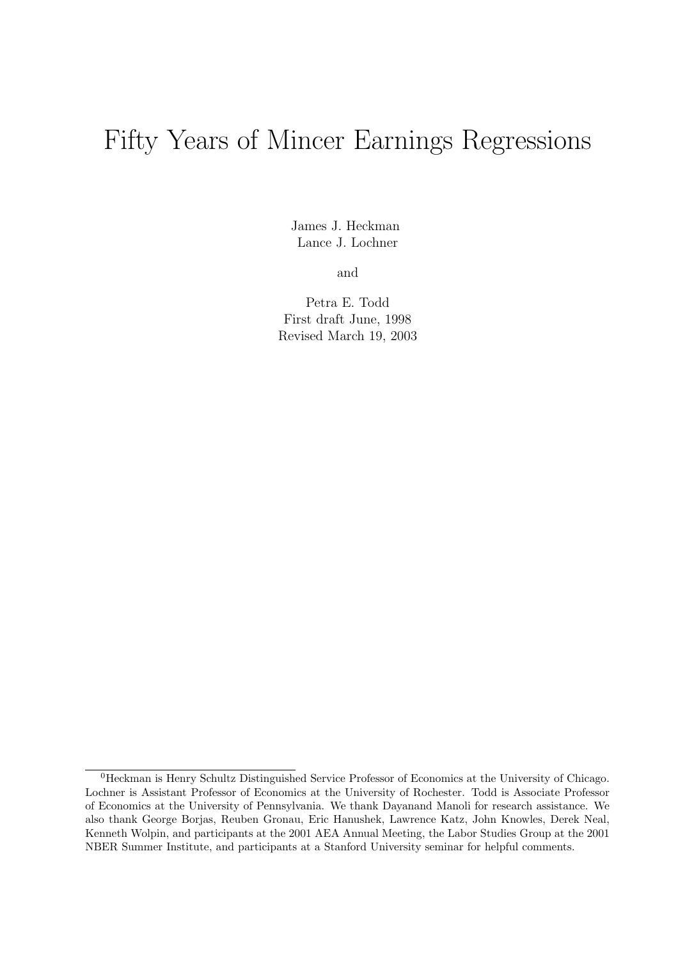# Fifty Years of Mincer Earnings Regressions

James J. Heckman Lance J. Lochner

and

Petra E. Todd First draft June, 1998 Revised March 19, 2003

<sup>0</sup>Heckman is Henry Schultz Distinguished Service Professor of Economics at the University of Chicago. Lochner is Assistant Professor of Economics at the University of Rochester. Todd is Associate Professor of Economics at the University of Pennsylvania. We thank Dayanand Manoli for research assistance. We also thank George Borjas, Reuben Gronau, Eric Hanushek, Lawrence Katz, John Knowles, Derek Neal, Kenneth Wolpin, and participants at the 2001 AEA Annual Meeting, the Labor Studies Group at the 2001 NBER Summer Institute, and participants at a Stanford University seminar for helpful comments.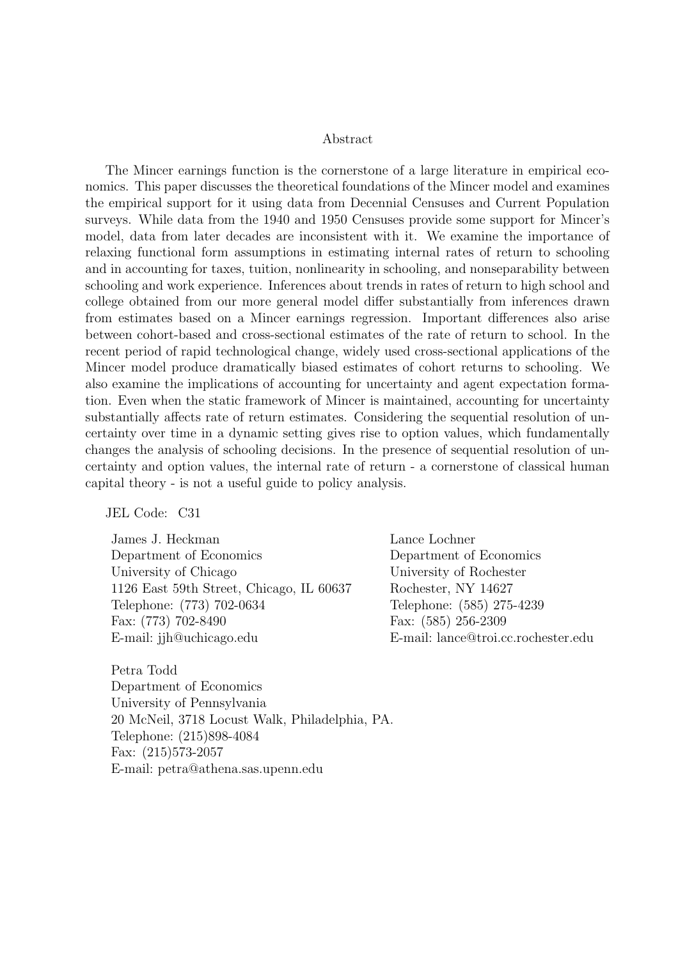#### Abstract

The Mincer earnings function is the cornerstone of a large literature in empirical economics. This paper discusses the theoretical foundations of the Mincer model and examines the empirical support for it using data from Decennial Censuses and Current Population surveys. While data from the 1940 and 1950 Censuses provide some support for Mincer's model, data from later decades are inconsistent with it. We examine the importance of relaxing functional form assumptions in estimating internal rates of return to schooling and in accounting for taxes, tuition, nonlinearity in schooling, and nonseparability between schooling and work experience. Inferences about trends in rates of return to high school and college obtained from our more general model differ substantially from inferences drawn from estimates based on a Mincer earnings regression. Important differences also arise between cohort-based and cross-sectional estimates of the rate of return to school. In the recent period of rapid technological change, widely used cross-sectional applications of the Mincer model produce dramatically biased estimates of cohort returns to schooling. We also examine the implications of accounting for uncertainty and agent expectation formation. Even when the static framework of Mincer is maintained, accounting for uncertainty substantially affects rate of return estimates. Considering the sequential resolution of uncertainty over time in a dynamic setting gives rise to option values, which fundamentally changes the analysis of schooling decisions. In the presence of sequential resolution of uncertainty and option values, the internal rate of return - a cornerstone of classical human capital theory - is not a useful guide to policy analysis.

JEL Code: C31

James J. Heckman Department of Economics University of Chicago 1126 East 59th Street, Chicago, IL 60637 Telephone: (773) 702-0634 Fax: (773) 702-8490 E-mail: jjh@uchicago.edu

Lance Lochner Department of Economics University of Rochester Rochester, NY 14627 Telephone: (585) 275-4239 Fax: (585) 256-2309 E-mail: lance@troi.cc.rochester.edu

Petra Todd Department of Economics University of Pennsylvania 20 McNeil, 3718 Locust Walk, Philadelphia, PA. Telephone: (215)898-4084 Fax: (215)573-2057 E-mail: petra@athena.sas.upenn.edu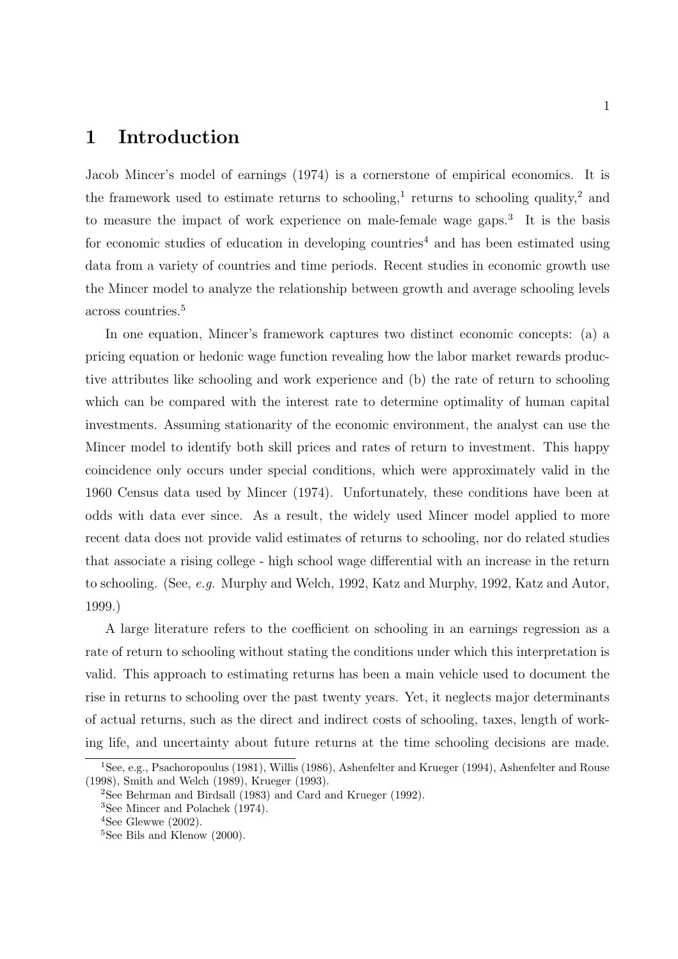### 1 Introduction

Jacob Mincer's model of earnings (1974) is a cornerstone of empirical economics. It is the framework used to estimate returns to schooling,<sup>1</sup> returns to schooling quality,<sup>2</sup> and to measure the impact of work experience on male-female wage gaps.<sup>3</sup> It is the basis for economic studies of education in developing countries<sup>4</sup> and has been estimated using data from a variety of countries and time periods. Recent studies in economic growth use the Mincer model to analyze the relationship between growth and average schooling levels across countries.<sup>5</sup>

In one equation, Mincer's framework captures two distinct economic concepts: (a) a pricing equation or hedonic wage function revealing how the labor market rewards productive attributes like schooling and work experience and (b) the rate of return to schooling which can be compared with the interest rate to determine optimality of human capital investments. Assuming stationarity of the economic environment, the analyst can use the Mincer model to identify both skill prices and rates of return to investment. This happy coincidence only occurs under special conditions, which were approximately valid in the 1960 Census data used by Mincer (1974). Unfortunately, these conditions have been at odds with data ever since. As a result, the widely used Mincer model applied to more recent data does not provide valid estimates of returns to schooling, nor do related studies that associate a rising college - high school wage differential with an increase in the return to schooling. (See, e.g. Murphy and Welch, 1992, Katz and Murphy, 1992, Katz and Autor, 1999.)

A large literature refers to the coefficient on schooling in an earnings regression as a rate of return to schooling without stating the conditions under which this interpretation is valid. This approach to estimating returns has been a main vehicle used to document the rise in returns to schooling over the past twenty years. Yet, it neglects major determinants of actual returns, such as the direct and indirect costs of schooling, taxes, length of working life, and uncertainty about future returns at the time schooling decisions are made.

<sup>1</sup>See, e.g., Psachoropoulus (1981), Willis (1986), Ashenfelter and Krueger (1994), Ashenfelter and Rouse (1998), Smith and Welch (1989), Krueger (1993).

<sup>2</sup>See Behrman and Birdsall (1983) and Card and Krueger (1992).

<sup>3</sup>See Mincer and Polachek (1974).

 $4$ See Glewwe  $(2002)$ .

<sup>&</sup>lt;sup>5</sup>See Bils and Klenow (2000).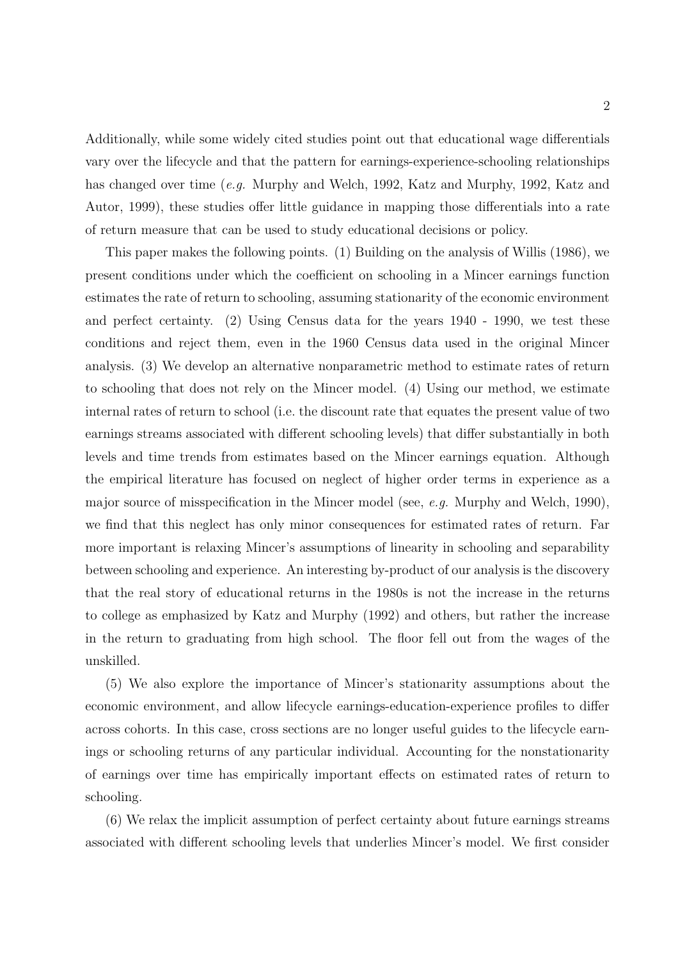Additionally, while some widely cited studies point out that educational wage differentials vary over the lifecycle and that the pattern for earnings-experience-schooling relationships has changed over time (e.g. Murphy and Welch, 1992, Katz and Murphy, 1992, Katz and Autor, 1999), these studies offer little guidance in mapping those differentials into a rate of return measure that can be used to study educational decisions or policy.

This paper makes the following points. (1) Building on the analysis of Willis (1986), we present conditions under which the coefficient on schooling in a Mincer earnings function estimates the rate of return to schooling, assuming stationarity of the economic environment and perfect certainty. (2) Using Census data for the years 1940 - 1990, we test these conditions and reject them, even in the 1960 Census data used in the original Mincer analysis. (3) We develop an alternative nonparametric method to estimate rates of return to schooling that does not rely on the Mincer model. (4) Using our method, we estimate internal rates of return to school (i.e. the discount rate that equates the present value of two earnings streams associated with different schooling levels) that differ substantially in both levels and time trends from estimates based on the Mincer earnings equation. Although the empirical literature has focused on neglect of higher order terms in experience as a major source of misspecification in the Mincer model (see, e.g. Murphy and Welch, 1990), we find that this neglect has only minor consequences for estimated rates of return. Far more important is relaxing Mincer's assumptions of linearity in schooling and separability between schooling and experience. An interesting by-product of our analysis is the discovery that the real story of educational returns in the 1980s is not the increase in the returns to college as emphasized by Katz and Murphy (1992) and others, but rather the increase in the return to graduating from high school. The floor fell out from the wages of the unskilled.

(5) We also explore the importance of Mincer's stationarity assumptions about the economic environment, and allow lifecycle earnings-education-experience profiles to differ across cohorts. In this case, cross sections are no longer useful guides to the lifecycle earnings or schooling returns of any particular individual. Accounting for the nonstationarity of earnings over time has empirically important effects on estimated rates of return to schooling.

(6) We relax the implicit assumption of perfect certainty about future earnings streams associated with different schooling levels that underlies Mincer's model. We first consider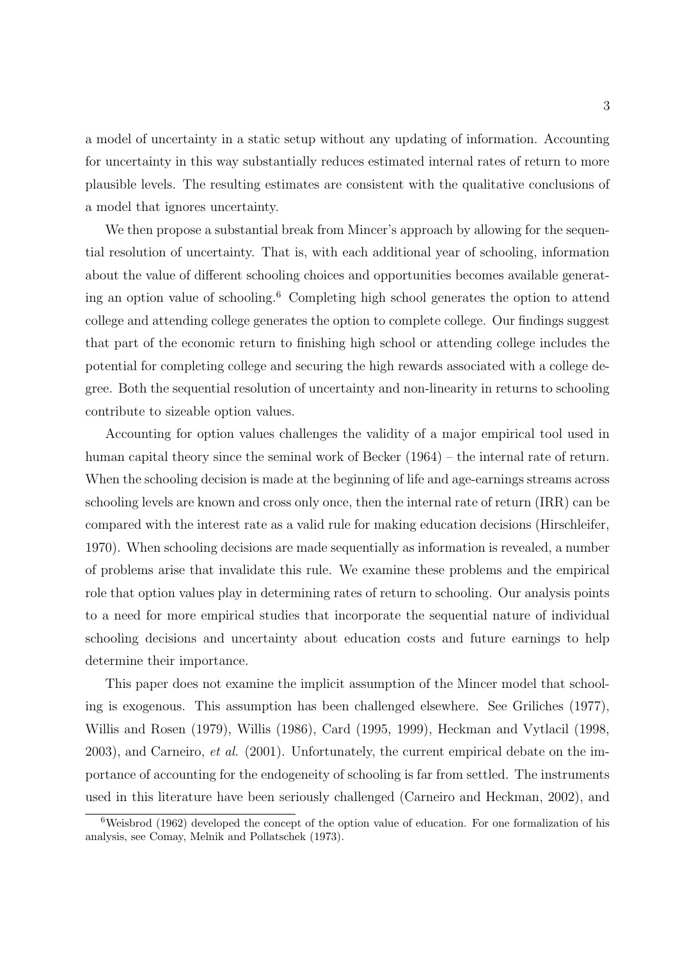a model of uncertainty in a static setup without any updating of information. Accounting for uncertainty in this way substantially reduces estimated internal rates of return to more plausible levels. The resulting estimates are consistent with the qualitative conclusions of a model that ignores uncertainty.

We then propose a substantial break from Mincer's approach by allowing for the sequential resolution of uncertainty. That is, with each additional year of schooling, information about the value of different schooling choices and opportunities becomes available generating an option value of schooling.<sup>6</sup> Completing high school generates the option to attend college and attending college generates the option to complete college. Our findings suggest that part of the economic return to finishing high school or attending college includes the potential for completing college and securing the high rewards associated with a college degree. Both the sequential resolution of uncertainty and non-linearity in returns to schooling contribute to sizeable option values.

Accounting for option values challenges the validity of a major empirical tool used in human capital theory since the seminal work of Becker (1964) – the internal rate of return. When the schooling decision is made at the beginning of life and age-earnings streams across schooling levels are known and cross only once, then the internal rate of return (IRR) can be compared with the interest rate as a valid rule for making education decisions (Hirschleifer, 1970). When schooling decisions are made sequentially as information is revealed, a number of problems arise that invalidate this rule. We examine these problems and the empirical role that option values play in determining rates of return to schooling. Our analysis points to a need for more empirical studies that incorporate the sequential nature of individual schooling decisions and uncertainty about education costs and future earnings to help determine their importance.

This paper does not examine the implicit assumption of the Mincer model that schooling is exogenous. This assumption has been challenged elsewhere. See Griliches (1977), Willis and Rosen (1979), Willis (1986), Card (1995, 1999), Heckman and Vytlacil (1998,  $2003$ , and Carneiro, *et al.* (2001). Unfortunately, the current empirical debate on the importance of accounting for the endogeneity of schooling is far from settled. The instruments used in this literature have been seriously challenged (Carneiro and Heckman, 2002), and

<sup>6</sup>Weisbrod (1962) developed the concept of the option value of education. For one formalization of his analysis, see Comay, Melnik and Pollatschek (1973).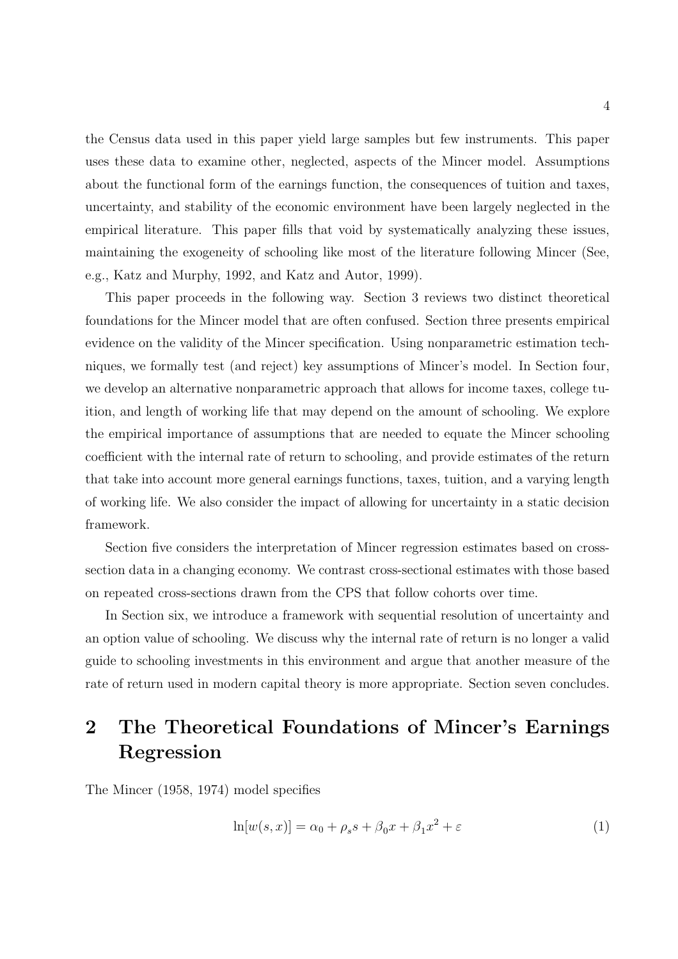the Census data used in this paper yield large samples but few instruments. This paper uses these data to examine other, neglected, aspects of the Mincer model. Assumptions about the functional form of the earnings function, the consequences of tuition and taxes, uncertainty, and stability of the economic environment have been largely neglected in the empirical literature. This paper fills that void by systematically analyzing these issues, maintaining the exogeneity of schooling like most of the literature following Mincer (See, e.g., Katz and Murphy, 1992, and Katz and Autor, 1999).

This paper proceeds in the following way. Section 3 reviews two distinct theoretical foundations for the Mincer model that are often confused. Section three presents empirical evidence on the validity of the Mincer specification. Using nonparametric estimation techniques, we formally test (and reject) key assumptions of Mincer's model. In Section four, we develop an alternative nonparametric approach that allows for income taxes, college tuition, and length of working life that may depend on the amount of schooling. We explore the empirical importance of assumptions that are needed to equate the Mincer schooling coefficient with the internal rate of return to schooling, and provide estimates of the return that take into account more general earnings functions, taxes, tuition, and a varying length of working life. We also consider the impact of allowing for uncertainty in a static decision framework.

Section five considers the interpretation of Mincer regression estimates based on crosssection data in a changing economy. We contrast cross-sectional estimates with those based on repeated cross-sections drawn from the CPS that follow cohorts over time.

In Section six, we introduce a framework with sequential resolution of uncertainty and an option value of schooling. We discuss why the internal rate of return is no longer a valid guide to schooling investments in this environment and argue that another measure of the rate of return used in modern capital theory is more appropriate. Section seven concludes.

# 2 The Theoretical Foundations of Mincer's Earnings Regression

The Mincer (1958, 1974) model specifies

$$
\ln[w(s,x)] = \alpha_0 + \rho_s s + \beta_0 x + \beta_1 x^2 + \varepsilon \tag{1}
$$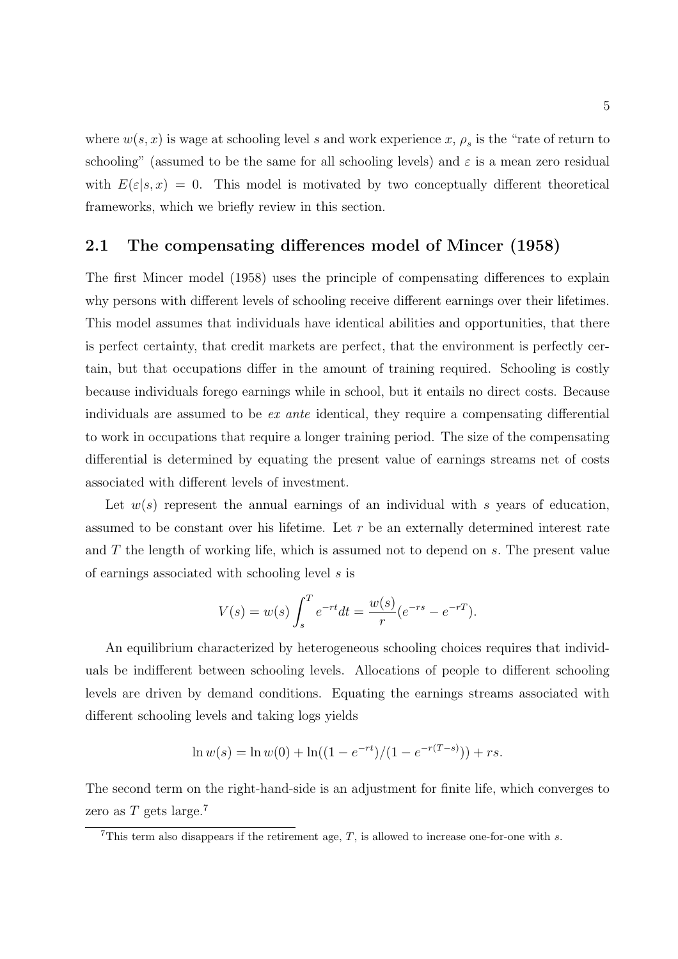where  $w(s, x)$  is wage at schooling level s and work experience  $x, \rho_s$  is the "rate of return to schooling" (assumed to be the same for all schooling levels) and  $\varepsilon$  is a mean zero residual with  $E(\varepsilon|s,x) = 0$ . This model is motivated by two conceptually different theoretical frameworks, which we briefly review in this section.

#### 2.1 The compensating differences model of Mincer (1958)

The first Mincer model (1958) uses the principle of compensating differences to explain why persons with different levels of schooling receive different earnings over their lifetimes. This model assumes that individuals have identical abilities and opportunities, that there is perfect certainty, that credit markets are perfect, that the environment is perfectly certain, but that occupations differ in the amount of training required. Schooling is costly because individuals forego earnings while in school, but it entails no direct costs. Because individuals are assumed to be ex ante identical, they require a compensating differential to work in occupations that require a longer training period. The size of the compensating differential is determined by equating the present value of earnings streams net of costs associated with different levels of investment.

Let  $w(s)$  represent the annual earnings of an individual with s years of education, assumed to be constant over his lifetime. Let  $r$  be an externally determined interest rate and T the length of working life, which is assumed not to depend on s. The present value of earnings associated with schooling level s is

$$
V(s) = w(s) \int_{s}^{T} e^{-rt} dt = \frac{w(s)}{r} (e^{-rs} - e^{-rT}).
$$

An equilibrium characterized by heterogeneous schooling choices requires that individuals be indifferent between schooling levels. Allocations of people to different schooling levels are driven by demand conditions. Equating the earnings streams associated with different schooling levels and taking logs yields

$$
\ln w(s) = \ln w(0) + \ln((1 - e^{-rt})/(1 - e^{-r(T-s)})) + rs.
$$

The second term on the right-hand-side is an adjustment for finite life, which converges to zero as  $T$  gets large.<sup>7</sup>

<sup>&</sup>lt;sup>7</sup>This term also disappears if the retirement age,  $T$ , is allowed to increase one-for-one with  $s$ .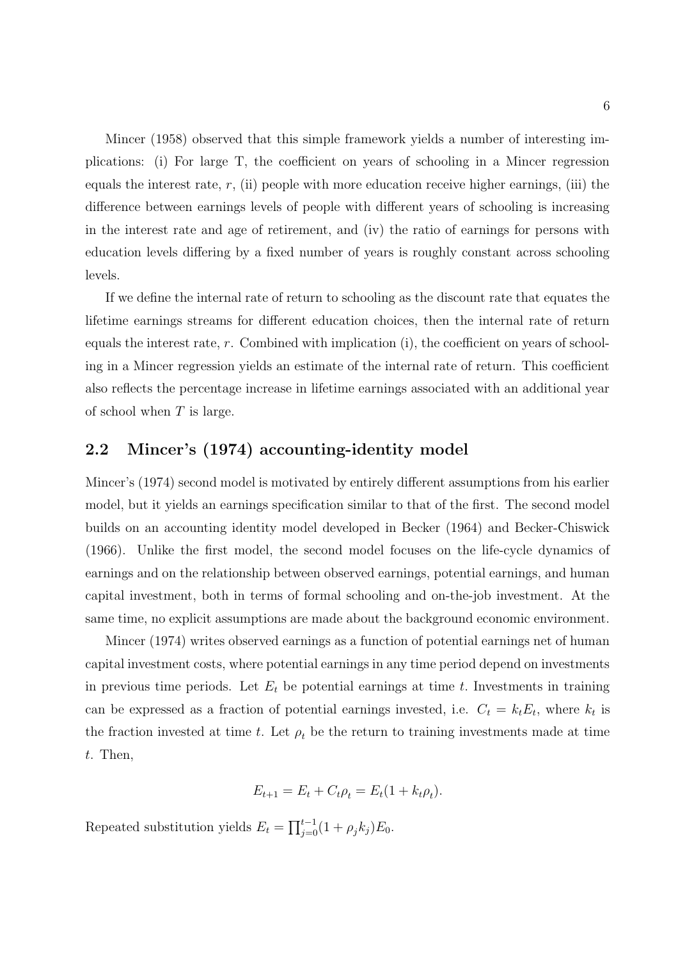Mincer (1958) observed that this simple framework yields a number of interesting implications: (i) For large T, the coefficient on years of schooling in a Mincer regression equals the interest rate,  $r$ , (ii) people with more education receive higher earnings, (iii) the difference between earnings levels of people with different years of schooling is increasing in the interest rate and age of retirement, and (iv) the ratio of earnings for persons with education levels differing by a fixed number of years is roughly constant across schooling levels.

If we define the internal rate of return to schooling as the discount rate that equates the lifetime earnings streams for different education choices, then the internal rate of return equals the interest rate, r. Combined with implication (i), the coefficient on years of schooling in a Mincer regression yields an estimate of the internal rate of return. This coefficient also reflects the percentage increase in lifetime earnings associated with an additional year of school when  $T$  is large.

### 2.2 Mincer's (1974) accounting-identity model

Mincer's (1974) second model is motivated by entirely different assumptions from his earlier model, but it yields an earnings specification similar to that of the first. The second model builds on an accounting identity model developed in Becker (1964) and Becker-Chiswick (1966). Unlike the first model, the second model focuses on the life-cycle dynamics of earnings and on the relationship between observed earnings, potential earnings, and human capital investment, both in terms of formal schooling and on-the-job investment. At the same time, no explicit assumptions are made about the background economic environment.

Mincer (1974) writes observed earnings as a function of potential earnings net of human capital investment costs, where potential earnings in any time period depend on investments in previous time periods. Let  $E_t$  be potential earnings at time t. Investments in training can be expressed as a fraction of potential earnings invested, i.e.  $C_t = k_t E_t$ , where  $k_t$  is the fraction invested at time t. Let  $\rho_t$  be the return to training investments made at time t. Then,

$$
E_{t+1} = E_t + C_t \rho_t = E_t (1 + k_t \rho_t).
$$

Repeated substitution yields  $E_t = \prod_{j=0}^{t-1} (1 + \rho_j k_j) E_0$ .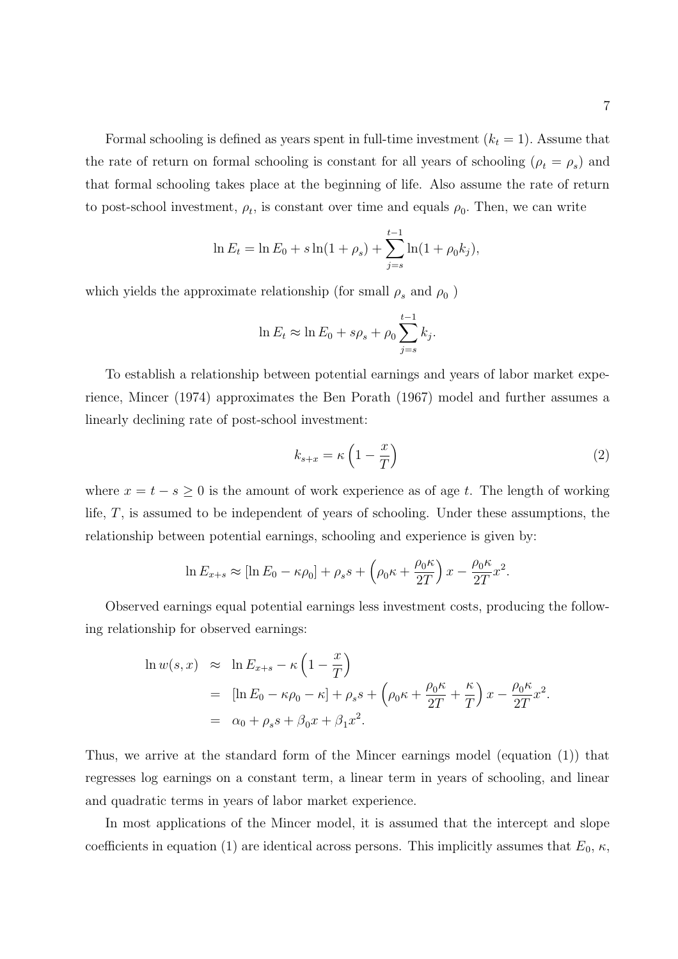Formal schooling is defined as years spent in full-time investment  $(k<sub>t</sub> = 1)$ . Assume that the rate of return on formal schooling is constant for all years of schooling  $(\rho_t = \rho_s)$  and that formal schooling takes place at the beginning of life. Also assume the rate of return to post-school investment,  $\rho_t$ , is constant over time and equals  $\rho_0$ . Then, we can write

$$
\ln E_t = \ln E_0 + s \ln(1 + \rho_s) + \sum_{j=s}^{t-1} \ln(1 + \rho_0 k_j),
$$

which yields the approximate relationship (for small  $\rho_s$  and  $\rho_0$ )

$$
\ln E_t \approx \ln E_0 + s\rho_s + \rho_0 \sum_{j=s}^{t-1} k_j.
$$

To establish a relationship between potential earnings and years of labor market experience, Mincer (1974) approximates the Ben Porath (1967) model and further assumes a linearly declining rate of post-school investment:

$$
k_{s+x} = \kappa \left( 1 - \frac{x}{T} \right) \tag{2}
$$

where  $x = t - s \geq 0$  is the amount of work experience as of age t. The length of working life, T, is assumed to be independent of years of schooling. Under these assumptions, the relationship between potential earnings, schooling and experience is given by:

$$
\ln E_{x+s} \approx [\ln E_0 - \kappa \rho_0] + \rho_s s + \left(\rho_0 \kappa + \frac{\rho_0 \kappa}{2T}\right) x - \frac{\rho_0 \kappa}{2T} x^2.
$$

Observed earnings equal potential earnings less investment costs, producing the following relationship for observed earnings:

$$
\ln w(s, x) \approx \ln E_{x+s} - \kappa \left( 1 - \frac{x}{T} \right)
$$
  
= 
$$
[\ln E_0 - \kappa \rho_0 - \kappa] + \rho_s s + \left( \rho_0 \kappa + \frac{\rho_0 \kappa}{2T} + \frac{\kappa}{T} \right) x - \frac{\rho_0 \kappa}{2T} x^2.
$$
  
= 
$$
\alpha_0 + \rho_s s + \beta_0 x + \beta_1 x^2.
$$

Thus, we arrive at the standard form of the Mincer earnings model (equation (1)) that regresses log earnings on a constant term, a linear term in years of schooling, and linear and quadratic terms in years of labor market experience.

In most applications of the Mincer model, it is assumed that the intercept and slope coefficients in equation (1) are identical across persons. This implicitly assumes that  $E_0$ ,  $\kappa$ ,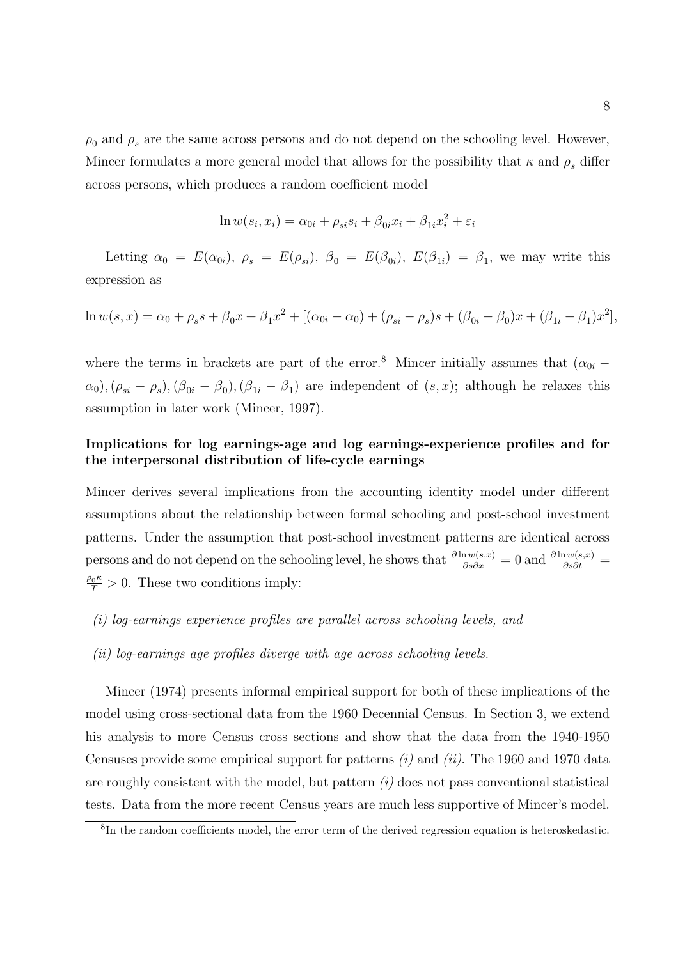$\rho_0$  and  $\rho_s$  are the same across persons and do not depend on the schooling level. However, Mincer formulates a more general model that allows for the possibility that  $\kappa$  and  $\rho_s$  differ across persons, which produces a random coefficient model

$$
\ln w(s_i, x_i) = \alpha_{0i} + \rho_{si} s_i + \beta_{0i} x_i + \beta_{1i} x_i^2 + \varepsilon_i
$$

Letting  $\alpha_0 = E(\alpha_{0i}), \ \rho_s = E(\rho_{si}), \ \beta_0 = E(\beta_{0i}), E(\beta_{1i}) = \beta_1$ , we may write this expression as

$$
\ln w(s, x) = \alpha_0 + \rho_s s + \beta_0 x + \beta_1 x^2 + [(\alpha_{0i} - \alpha_0) + (\rho_{si} - \rho_s)s + (\beta_{0i} - \beta_0)x + (\beta_{1i} - \beta_1)x^2],
$$

where the terms in brackets are part of the error.<sup>8</sup> Mincer initially assumes that  $(\alpha_{0i} \alpha_0$ ,  $(\rho_{si} - \rho_s)$ ,  $(\beta_{0i} - \beta_0)$ ,  $(\beta_{1i} - \beta_1)$  are independent of  $(s, x)$ ; although he relaxes this assumption in later work (Mincer, 1997).

#### Implications for log earnings-age and log earnings-experience profiles and for the interpersonal distribution of life-cycle earnings

Mincer derives several implications from the accounting identity model under different assumptions about the relationship between formal schooling and post-school investment patterns. Under the assumption that post-school investment patterns are identical across persons and do not depend on the schooling level, he shows that  $\frac{\partial \ln w(s,x)}{\partial s \partial x} = 0$  and  $\frac{\partial \ln w(s,x)}{\partial s \partial t} = 0$  $\frac{\rho_0 \kappa}{T} > 0$ . These two conditions imply:

- (i) log-earnings experience profiles are parallel across schooling levels, and
- (ii) log-earnings age profiles diverge with age across schooling levels.

Mincer (1974) presents informal empirical support for both of these implications of the model using cross-sectional data from the 1960 Decennial Census. In Section 3, we extend his analysis to more Census cross sections and show that the data from the 1940-1950 Censuses provide some empirical support for patterns  $(i)$  and  $(ii)$ . The 1960 and 1970 data are roughly consistent with the model, but pattern  $(i)$  does not pass conventional statistical tests. Data from the more recent Census years are much less supportive of Mincer's model.

<sup>&</sup>lt;sup>8</sup>In the random coefficients model, the error term of the derived regression equation is heteroskedastic.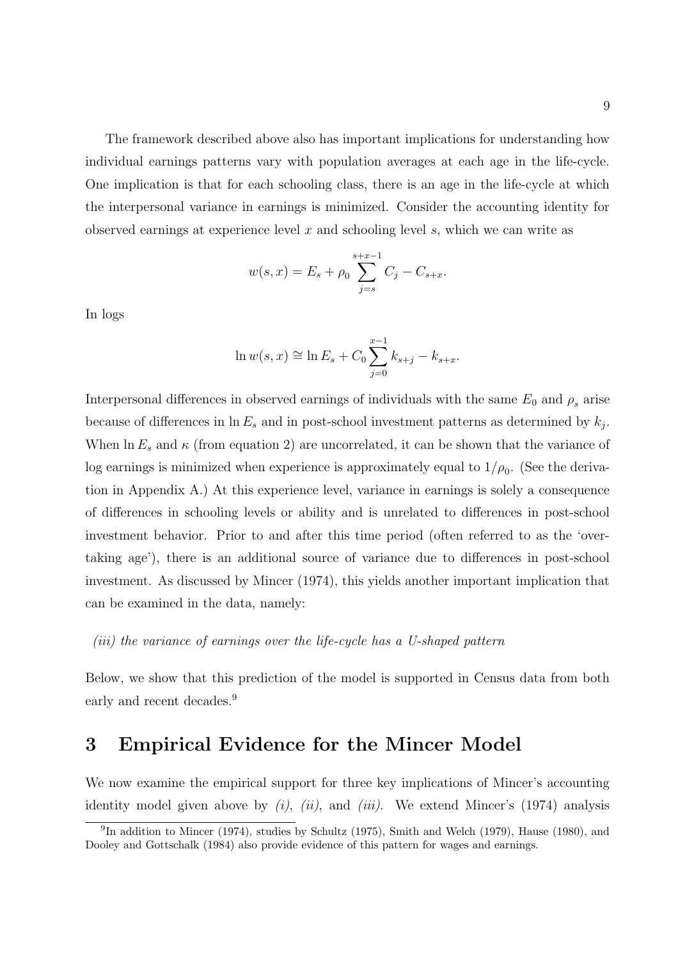The framework described above also has important implications for understanding how individual earnings patterns vary with population averages at each age in the life-cycle. One implication is that for each schooling class, there is an age in the life-cycle at which the interpersonal variance in earnings is minimized. Consider the accounting identity for observed earnings at experience level  $x$  and schooling level  $s$ , which we can write as

$$
w(s,x) = E_s + \rho_0 \sum_{j=s}^{s+x-1} C_j - C_{s+x}.
$$

In logs

$$
\ln w(s, x) \cong \ln E_s + C_0 \sum_{j=0}^{x-1} k_{s+j} - k_{s+x}.
$$

Interpersonal differences in observed earnings of individuals with the same  $E_0$  and  $\rho_s$  arise because of differences in  $\ln E_s$  and in post-school investment patterns as determined by  $k_j$ . When  $\ln E_s$  and  $\kappa$  (from equation 2) are uncorrelated, it can be shown that the variance of log earnings is minimized when experience is approximately equal to  $1/\rho_0$ . (See the derivation in Appendix A.) At this experience level, variance in earnings is solely a consequence of differences in schooling levels or ability and is unrelated to differences in post-school investment behavior. Prior to and after this time period (often referred to as the 'overtaking age'), there is an additional source of variance due to differences in post-school investment. As discussed by Mincer (1974), this yields another important implication that can be examined in the data, namely:

(iii) the variance of earnings over the life-cycle has a U-shaped pattern

Below, we show that this prediction of the model is supported in Census data from both early and recent decades.<sup>9</sup>

### 3 Empirical Evidence for the Mincer Model

We now examine the empirical support for three key implications of Mincer's accounting identity model given above by  $(i)$ ,  $(ii)$ , and  $(iii)$ . We extend Mincer's (1974) analysis

<sup>&</sup>lt;sup>9</sup>In addition to Mincer (1974), studies by Schultz (1975), Smith and Welch (1979), Hause (1980), and Dooley and Gottschalk (1984) also provide evidence of this pattern for wages and earnings.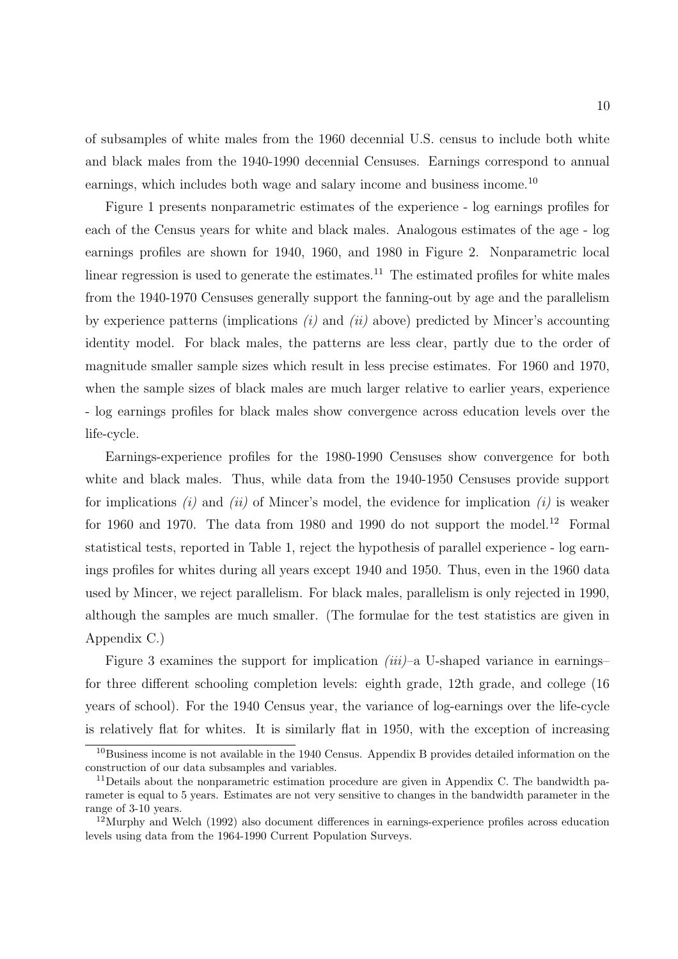of subsamples of white males from the 1960 decennial U.S. census to include both white and black males from the 1940-1990 decennial Censuses. Earnings correspond to annual earnings, which includes both wage and salary income and business income.<sup>10</sup>

Figure 1 presents nonparametric estimates of the experience - log earnings profiles for each of the Census years for white and black males. Analogous estimates of the age - log earnings profiles are shown for 1940, 1960, and 1980 in Figure 2. Nonparametric local linear regression is used to generate the estimates.<sup>11</sup> The estimated profiles for white males from the 1940-1970 Censuses generally support the fanning-out by age and the parallelism by experience patterns (implications  $(i)$  and  $(ii)$  above) predicted by Mincer's accounting identity model. For black males, the patterns are less clear, partly due to the order of magnitude smaller sample sizes which result in less precise estimates. For 1960 and 1970, when the sample sizes of black males are much larger relative to earlier years, experience - log earnings profiles for black males show convergence across education levels over the life-cycle.

Earnings-experience profiles for the 1980-1990 Censuses show convergence for both white and black males. Thus, while data from the 1940-1950 Censuses provide support for implications  $(i)$  and  $(ii)$  of Mincer's model, the evidence for implication  $(i)$  is weaker for 1960 and 1970. The data from 1980 and 1990 do not support the model.<sup>12</sup> Formal statistical tests, reported in Table 1, reject the hypothesis of parallel experience - log earnings profiles for whites during all years except 1940 and 1950. Thus, even in the 1960 data used by Mincer, we reject parallelism. For black males, parallelism is only rejected in 1990, although the samples are much smaller. (The formulae for the test statistics are given in Appendix C.)

Figure 3 examines the support for implication  $(iii)$ –a U-shaped variance in earnings– for three different schooling completion levels: eighth grade, 12th grade, and college (16 years of school). For the 1940 Census year, the variance of log-earnings over the life-cycle is relatively flat for whites. It is similarly flat in 1950, with the exception of increasing

<sup>10</sup>Business income is not available in the 1940 Census. Appendix B provides detailed information on the construction of our data subsamples and variables.

 $11$  Details about the nonparametric estimation procedure are given in Appendix C. The bandwidth parameter is equal to 5 years. Estimates are not very sensitive to changes in the bandwidth parameter in the range of 3-10 years.

 $12$ Murphy and Welch (1992) also document differences in earnings-experience profiles across education levels using data from the 1964-1990 Current Population Surveys.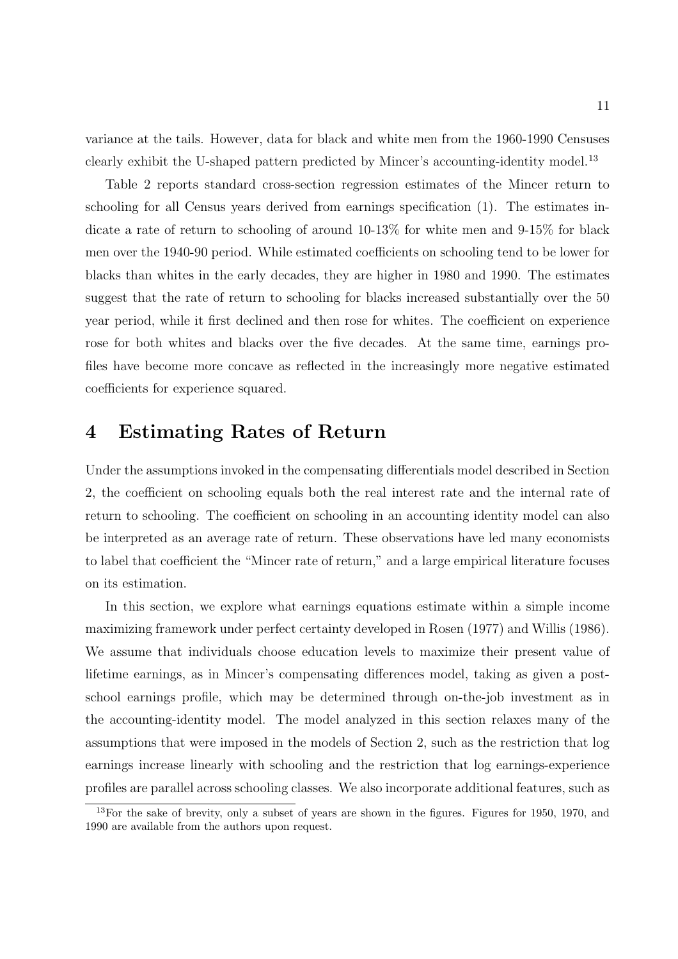variance at the tails. However, data for black and white men from the 1960-1990 Censuses clearly exhibit the U-shaped pattern predicted by Mincer's accounting-identity model.<sup>13</sup>

Table 2 reports standard cross-section regression estimates of the Mincer return to schooling for all Census years derived from earnings specification (1). The estimates indicate a rate of return to schooling of around 10-13% for white men and 9-15% for black men over the 1940-90 period. While estimated coefficients on schooling tend to be lower for blacks than whites in the early decades, they are higher in 1980 and 1990. The estimates suggest that the rate of return to schooling for blacks increased substantially over the 50 year period, while it first declined and then rose for whites. The coefficient on experience rose for both whites and blacks over the five decades. At the same time, earnings profiles have become more concave as reflected in the increasingly more negative estimated coefficients for experience squared.

### 4 Estimating Rates of Return

Under the assumptions invoked in the compensating differentials model described in Section 2, the coefficient on schooling equals both the real interest rate and the internal rate of return to schooling. The coefficient on schooling in an accounting identity model can also be interpreted as an average rate of return. These observations have led many economists to label that coefficient the "Mincer rate of return," and a large empirical literature focuses on its estimation.

In this section, we explore what earnings equations estimate within a simple income maximizing framework under perfect certainty developed in Rosen (1977) and Willis (1986). We assume that individuals choose education levels to maximize their present value of lifetime earnings, as in Mincer's compensating differences model, taking as given a postschool earnings profile, which may be determined through on-the-job investment as in the accounting-identity model. The model analyzed in this section relaxes many of the assumptions that were imposed in the models of Section 2, such as the restriction that log earnings increase linearly with schooling and the restriction that log earnings-experience profiles are parallel across schooling classes. We also incorporate additional features, such as

 $13$ For the sake of brevity, only a subset of years are shown in the figures. Figures for 1950, 1970, and 1990 are available from the authors upon request.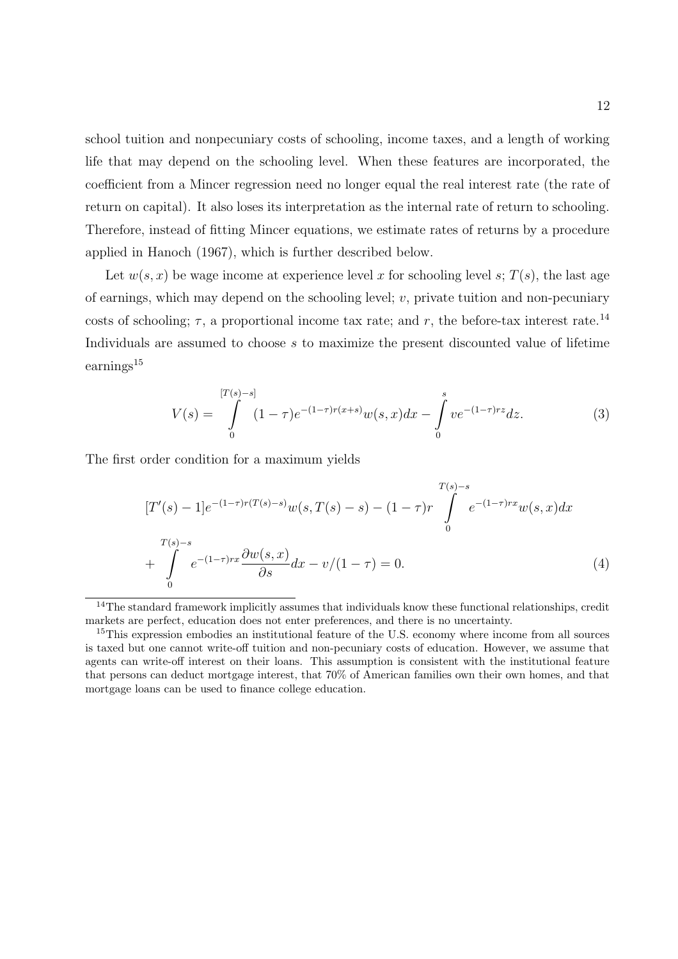school tuition and nonpecuniary costs of schooling, income taxes, and a length of working life that may depend on the schooling level. When these features are incorporated, the coefficient from a Mincer regression need no longer equal the real interest rate (the rate of return on capital). It also loses its interpretation as the internal rate of return to schooling. Therefore, instead of fitting Mincer equations, we estimate rates of returns by a procedure applied in Hanoch (1967), which is further described below.

Let  $w(s, x)$  be wage income at experience level x for schooling level s;  $T(s)$ , the last age of earnings, which may depend on the schooling level;  $v$ , private tuition and non-pecuniary costs of schooling;  $\tau$ , a proportional income tax rate; and r, the before-tax interest rate.<sup>14</sup> Individuals are assumed to choose s to maximize the present discounted value of lifetime earnings<sup>15</sup>

$$
V(s) = \int_{0}^{[T(s)-s]} (1-\tau)e^{-(1-\tau)r(x+s)}w(s,x)dx - \int_{0}^{s} ve^{-(1-\tau)rz}dz.
$$
 (3)

The first order condition for a maximum yields

$$
[T'(s) - 1]e^{-(1-\tau)r(T(s)-s)}w(s,T(s)-s) - (1-\tau)r\int_{0}^{T(s)-s}e^{-(1-\tau)rx}w(s,x)dx
$$
  
+ 
$$
\int_{0}^{T(s)-s}e^{-(1-\tau)rx}\frac{\partial w(s,x)}{\partial s}dx - v/(1-\tau) = 0.
$$
 (4)

 $14$ The standard framework implicitly assumes that individuals know these functional relationships, credit markets are perfect, education does not enter preferences, and there is no uncertainty.

<sup>&</sup>lt;sup>15</sup>This expression embodies an institutional feature of the U.S. economy where income from all sources is taxed but one cannot write-off tuition and non-pecuniary costs of education. However, we assume that agents can write-off interest on their loans. This assumption is consistent with the institutional feature that persons can deduct mortgage interest, that 70% of American families own their own homes, and that mortgage loans can be used to finance college education.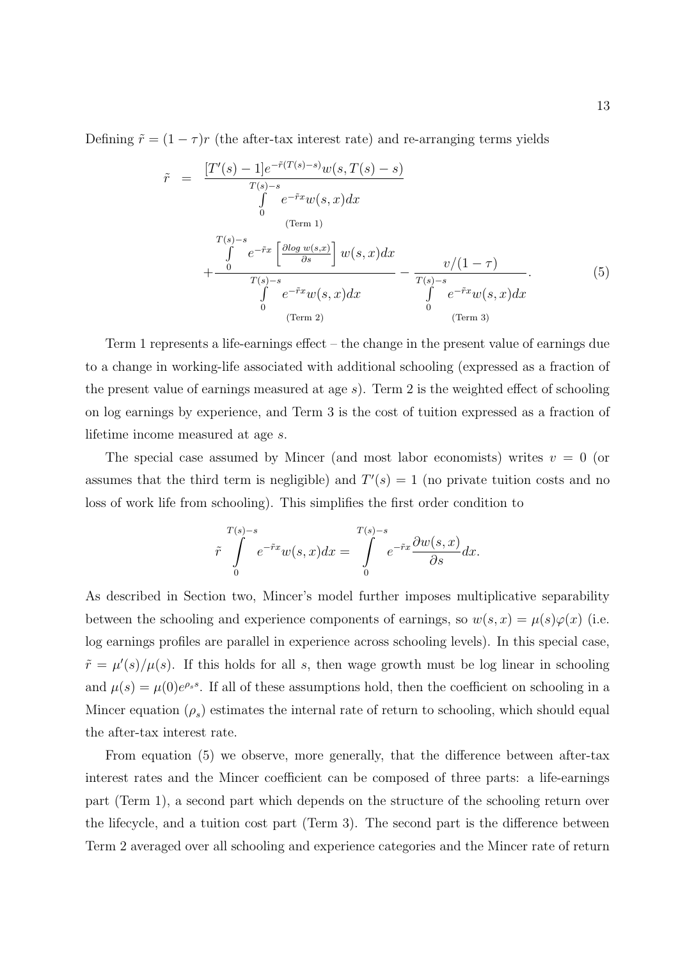Defining  $\tilde{r} = (1 - \tau)r$  (the after-tax interest rate) and re-arranging terms yields

$$
\tilde{r} = \frac{[T'(s) - 1]e^{-\tilde{r}(T(s) - s)}w(s, T(s) - s)}{\int\limits_{0}^{T(s) - s} e^{-\tilde{r}x}w(s, x)dx}
$$
\n(Term 1)\n
$$
+\frac{\int\limits_{0}^{T(s) - s} e^{-\tilde{r}x} \left[\frac{\partial \log w(s, x)}{\partial s}\right]w(s, x)dx}{\int\limits_{0}^{T(s) - s} e^{-\tilde{r}x}w(s, x)dx} - \frac{v/(1 - \tau)}{\int\limits_{0}^{T(s) - s} e^{-\tilde{r}x}w(s, x)dx}.
$$
\n(5)

Term 1 represents a life-earnings effect – the change in the present value of earnings due to a change in working-life associated with additional schooling (expressed as a fraction of the present value of earnings measured at age  $s$ ). Term 2 is the weighted effect of schooling on log earnings by experience, and Term 3 is the cost of tuition expressed as a fraction of lifetime income measured at age s.

The special case assumed by Mincer (and most labor economists) writes  $v = 0$  (or assumes that the third term is negligible) and  $T'(s) = 1$  (no private tuition costs and no loss of work life from schooling). This simplifies the first order condition to

$$
\tilde{r} \int\limits_{0}^{T(s)-s} e^{-\tilde{r}x} w(s,x) dx = \int\limits_{0}^{T(s)-s} e^{-\tilde{r}x} \frac{\partial w(s,x)}{\partial s} dx.
$$

As described in Section two, Mincer's model further imposes multiplicative separability between the schooling and experience components of earnings, so  $w(s, x) = \mu(s)\varphi(x)$  (i.e. log earnings profiles are parallel in experience across schooling levels). In this special case,  $\tilde{r} = \mu'(s)/\mu(s)$ . If this holds for all s, then wage growth must be log linear in schooling and  $\mu(s) = \mu(0)e^{\rho_s s}$ . If all of these assumptions hold, then the coefficient on schooling in a Mincer equation  $(\rho_s)$  estimates the internal rate of return to schooling, which should equal the after-tax interest rate.

From equation (5) we observe, more generally, that the difference between after-tax interest rates and the Mincer coefficient can be composed of three parts: a life-earnings part (Term 1), a second part which depends on the structure of the schooling return over the lifecycle, and a tuition cost part (Term 3). The second part is the difference between Term 2 averaged over all schooling and experience categories and the Mincer rate of return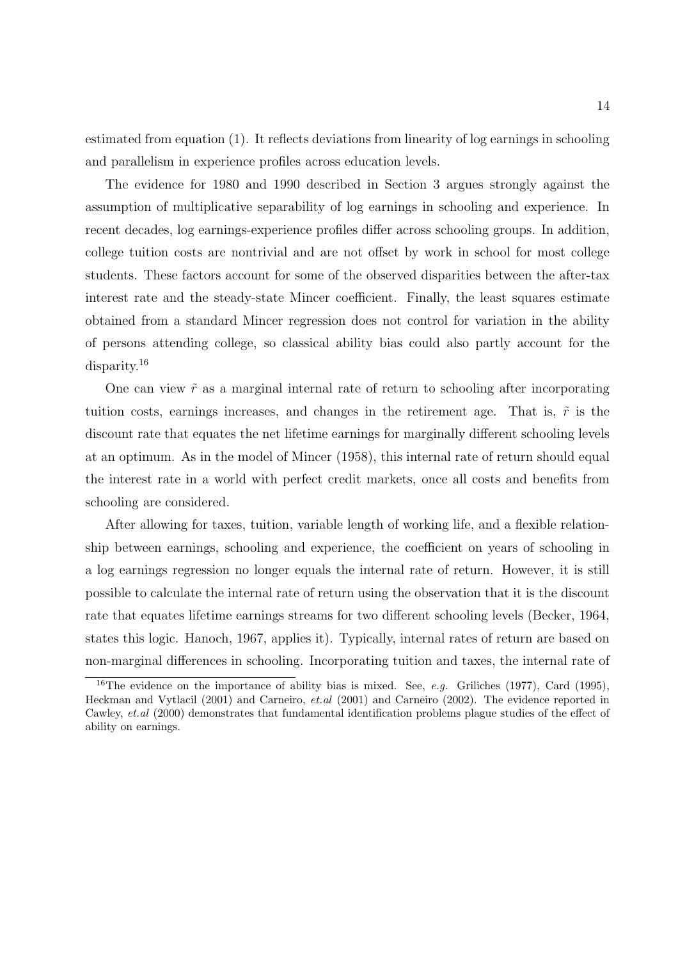estimated from equation (1). It reflects deviations from linearity of log earnings in schooling and parallelism in experience profiles across education levels.

The evidence for 1980 and 1990 described in Section 3 argues strongly against the assumption of multiplicative separability of log earnings in schooling and experience. In recent decades, log earnings-experience profiles differ across schooling groups. In addition, college tuition costs are nontrivial and are not offset by work in school for most college students. These factors account for some of the observed disparities between the after-tax interest rate and the steady-state Mincer coefficient. Finally, the least squares estimate obtained from a standard Mincer regression does not control for variation in the ability of persons attending college, so classical ability bias could also partly account for the disparity. 16

One can view  $\tilde{r}$  as a marginal internal rate of return to schooling after incorporating tuition costs, earnings increases, and changes in the retirement age. That is,  $\tilde{r}$  is the discount rate that equates the net lifetime earnings for marginally different schooling levels at an optimum. As in the model of Mincer (1958), this internal rate of return should equal the interest rate in a world with perfect credit markets, once all costs and benefits from schooling are considered.

After allowing for taxes, tuition, variable length of working life, and a flexible relationship between earnings, schooling and experience, the coefficient on years of schooling in a log earnings regression no longer equals the internal rate of return. However, it is still possible to calculate the internal rate of return using the observation that it is the discount rate that equates lifetime earnings streams for two different schooling levels (Becker, 1964, states this logic. Hanoch, 1967, applies it). Typically, internal rates of return are based on non-marginal differences in schooling. Incorporating tuition and taxes, the internal rate of

<sup>&</sup>lt;sup>16</sup>The evidence on the importance of ability bias is mixed. See, *e.g.* Griliches (1977), Card (1995), Heckman and Vytlacil (2001) and Carneiro, et.al (2001) and Carneiro (2002). The evidence reported in Cawley, et.al (2000) demonstrates that fundamental identification problems plague studies of the effect of ability on earnings.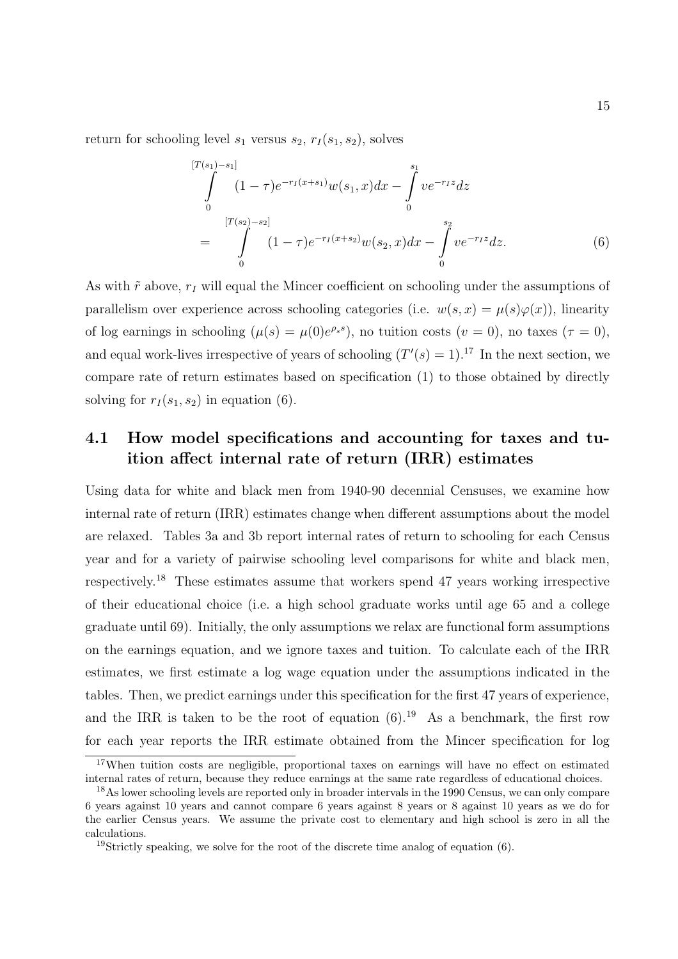return for schooling level  $s_1$  versus  $s_2$ ,  $r_I(s_1, s_2)$ , solves

$$
\int_{0}^{[T(s_1)-s_1]} (1-\tau)e^{-r_I(x+s_1)}w(s_1,x)dx - \int_{0}^{s_1} ve^{-r_I z}dz
$$
\n
$$
= \int_{0}^{[T(s_2)-s_2]} (1-\tau)e^{-r_I(x+s_2)}w(s_2,x)dx - \int_{0}^{s_2} ve^{-r_I z}dz.
$$
\n(6)

As with  $\tilde{r}$  above,  $r_I$  will equal the Mincer coefficient on schooling under the assumptions of parallelism over experience across schooling categories (i.e.  $w(s, x) = \mu(s)\varphi(x)$ ), linearity of log earnings in schooling  $(\mu(s) = \mu(0)e^{\rho_s s})$ , no tuition costs  $(v = 0)$ , no taxes  $(\tau = 0)$ , and equal work-lives irrespective of years of schooling  $(T'(s) = 1).^{17}$  In the next section, we compare rate of return estimates based on specification (1) to those obtained by directly solving for  $r_1(s_1, s_2)$  in equation (6).

#### 4.1 How model specifications and accounting for taxes and tuition affect internal rate of return (IRR) estimates

Using data for white and black men from 1940-90 decennial Censuses, we examine how internal rate of return (IRR) estimates change when different assumptions about the model are relaxed. Tables 3a and 3b report internal rates of return to schooling for each Census year and for a variety of pairwise schooling level comparisons for white and black men, respectively. <sup>18</sup> These estimates assume that workers spend 47 years working irrespective of their educational choice (i.e. a high school graduate works until age 65 and a college graduate until 69). Initially, the only assumptions we relax are functional form assumptions on the earnings equation, and we ignore taxes and tuition. To calculate each of the IRR estimates, we first estimate a log wage equation under the assumptions indicated in the tables. Then, we predict earnings under this specification for the first 47 years of experience, and the IRR is taken to be the root of equation  $(6)$ .<sup>19</sup> As a benchmark, the first row for each year reports the IRR estimate obtained from the Mincer specification for log

<sup>&</sup>lt;sup>17</sup>When tuition costs are negligible, proportional taxes on earnings will have no effect on estimated internal rates of return, because they reduce earnings at the same rate regardless of educational choices.

<sup>&</sup>lt;sup>18</sup>As lower schooling levels are reported only in broader intervals in the 1990 Census, we can only compare 6 years against 10 years and cannot compare 6 years against 8 years or 8 against 10 years as we do for the earlier Census years. We assume the private cost to elementary and high school is zero in all the calculations.

<sup>&</sup>lt;sup>19</sup>Strictly speaking, we solve for the root of the discrete time analog of equation  $(6)$ .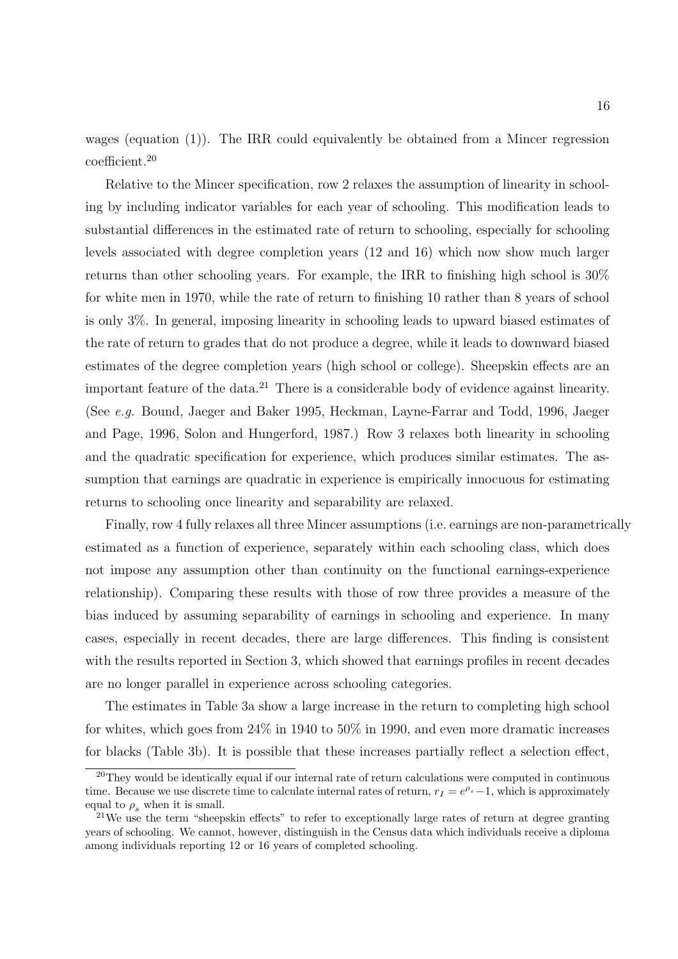wages (equation (1)). The IRR could equivalently be obtained from a Mincer regression coefficient.<sup>20</sup>

Relative to the Mincer specification, row 2 relaxes the assumption of linearity in schooling by including indicator variables for each year of schooling. This modification leads to substantial differences in the estimated rate of return to schooling, especially for schooling levels associated with degree completion years (12 and 16) which now show much larger returns than other schooling years. For example, the IRR to finishing high school is 30% for white men in 1970, while the rate of return to finishing 10 rather than 8 years of school is only 3%. In general, imposing linearity in schooling leads to upward biased estimates of the rate of return to grades that do not produce a degree, while it leads to downward biased estimates of the degree completion years (high school or college). Sheepskin effects are an important feature of the data.<sup>21</sup> There is a considerable body of evidence against linearity. (See e.g. Bound, Jaeger and Baker 1995, Heckman, Layne-Farrar and Todd, 1996, Jaeger and Page, 1996, Solon and Hungerford, 1987.) Row 3 relaxes both linearity in schooling and the quadratic specification for experience, which produces similar estimates. The assumption that earnings are quadratic in experience is empirically innocuous for estimating returns to schooling once linearity and separability are relaxed.

Finally, row 4 fully relaxes all three Mincer assumptions (i.e. earnings are non-parametrically estimated as a function of experience, separately within each schooling class, which does not impose any assumption other than continuity on the functional earnings-experience relationship). Comparing these results with those of row three provides a measure of the bias induced by assuming separability of earnings in schooling and experience. In many cases, especially in recent decades, there are large differences. This finding is consistent with the results reported in Section 3, which showed that earnings profiles in recent decades are no longer parallel in experience across schooling categories.

The estimates in Table 3a show a large increase in the return to completing high school for whites, which goes from  $24\%$  in 1940 to 50% in 1990, and even more dramatic increases for blacks (Table 3b). It is possible that these increases partially reflect a selection effect,

 $20$ They would be identically equal if our internal rate of return calculations were computed in continuous time. Because we use discrete time to calculate internal rates of return,  $r_I = e^{\rho_s} - 1$ , which is approximately equal to  $\rho_s$  when it is small.

<sup>&</sup>lt;sup>21</sup>We use the term "sheepskin effects" to refer to exceptionally large rates of return at degree granting years of schooling. We cannot, however, distinguish in the Census data which individuals receive a diploma among individuals reporting 12 or 16 years of completed schooling.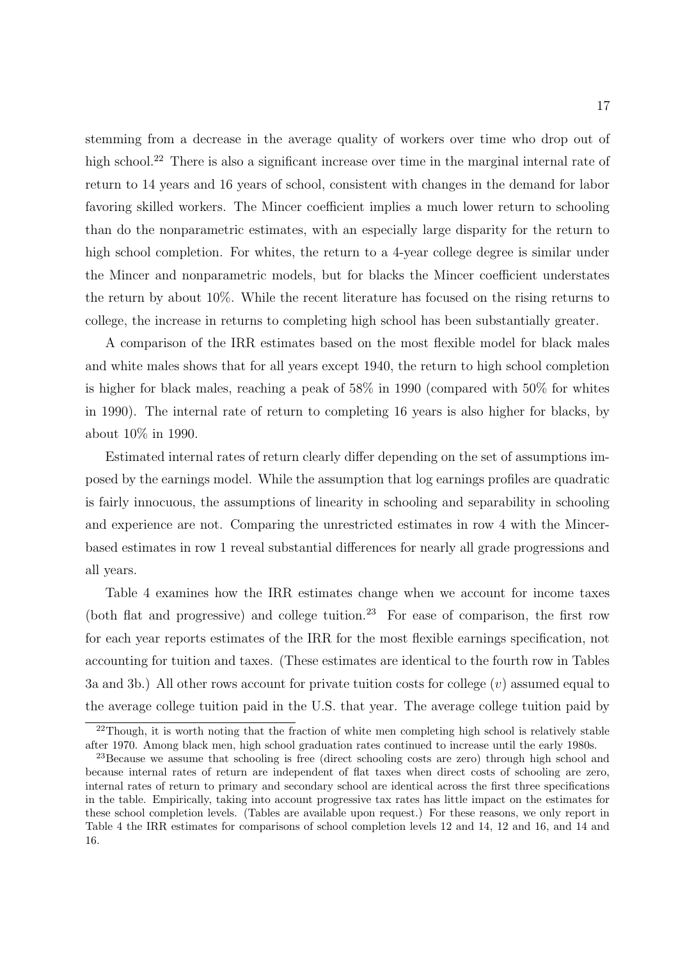stemming from a decrease in the average quality of workers over time who drop out of high school.<sup>22</sup> There is also a significant increase over time in the marginal internal rate of return to 14 years and 16 years of school, consistent with changes in the demand for labor favoring skilled workers. The Mincer coefficient implies a much lower return to schooling than do the nonparametric estimates, with an especially large disparity for the return to high school completion. For whites, the return to a 4-year college degree is similar under the Mincer and nonparametric models, but for blacks the Mincer coefficient understates the return by about 10%. While the recent literature has focused on the rising returns to college, the increase in returns to completing high school has been substantially greater.

A comparison of the IRR estimates based on the most flexible model for black males and white males shows that for all years except 1940, the return to high school completion is higher for black males, reaching a peak of 58% in 1990 (compared with 50% for whites in 1990). The internal rate of return to completing 16 years is also higher for blacks, by about 10% in 1990.

Estimated internal rates of return clearly differ depending on the set of assumptions imposed by the earnings model. While the assumption that log earnings profiles are quadratic is fairly innocuous, the assumptions of linearity in schooling and separability in schooling and experience are not. Comparing the unrestricted estimates in row 4 with the Mincerbased estimates in row 1 reveal substantial differences for nearly all grade progressions and all years.

Table 4 examines how the IRR estimates change when we account for income taxes (both flat and progressive) and college tuition.<sup>23</sup> For ease of comparison, the first row for each year reports estimates of the IRR for the most flexible earnings specification, not accounting for tuition and taxes. (These estimates are identical to the fourth row in Tables 3a and 3b.) All other rows account for private tuition costs for college  $(v)$  assumed equal to the average college tuition paid in the U.S. that year. The average college tuition paid by

 $^{22}$ Though, it is worth noting that the fraction of white men completing high school is relatively stable after 1970. Among black men, high school graduation rates continued to increase until the early 1980s.

<sup>&</sup>lt;sup>23</sup>Because we assume that schooling is free (direct schooling costs are zero) through high school and because internal rates of return are independent of flat taxes when direct costs of schooling are zero, internal rates of return to primary and secondary school are identical across the first three specifications in the table. Empirically, taking into account progressive tax rates has little impact on the estimates for these school completion levels. (Tables are available upon request.) For these reasons, we only report in Table 4 the IRR estimates for comparisons of school completion levels 12 and 14, 12 and 16, and 14 and 16.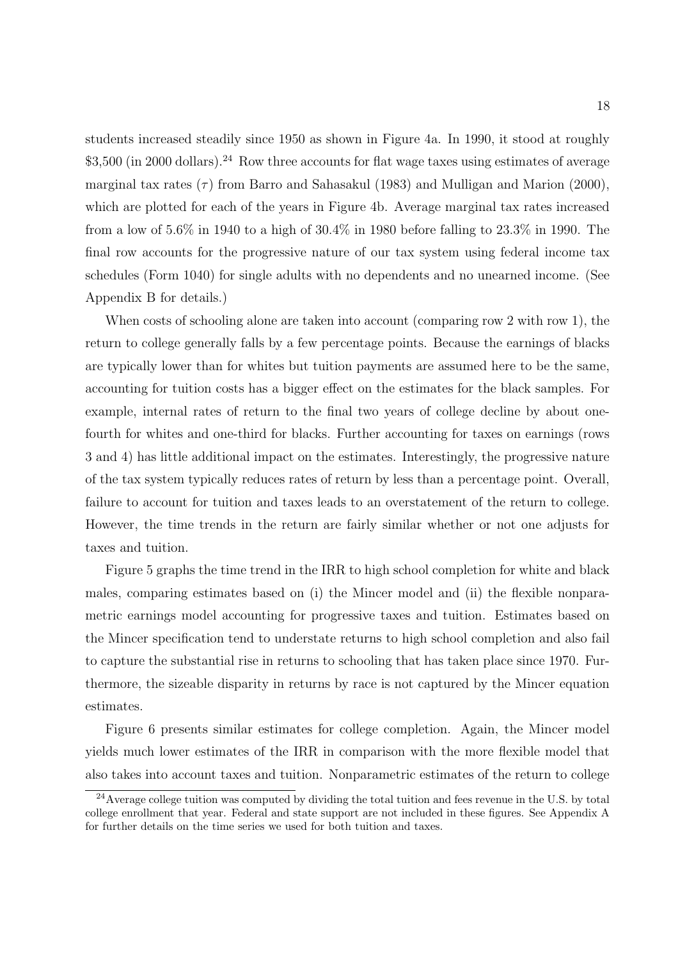students increased steadily since 1950 as shown in Figure 4a. In 1990, it stood at roughly  $$3,500$  (in 2000 dollars).<sup>24</sup> Row three accounts for flat wage taxes using estimates of average marginal tax rates  $(\tau)$  from Barro and Sahasakul (1983) and Mulligan and Marion (2000), which are plotted for each of the years in Figure 4b. Average marginal tax rates increased from a low of 5.6% in 1940 to a high of 30.4% in 1980 before falling to 23.3% in 1990. The final row accounts for the progressive nature of our tax system using federal income tax schedules (Form 1040) for single adults with no dependents and no unearned income. (See Appendix B for details.)

When costs of schooling alone are taken into account (comparing row 2 with row 1), the return to college generally falls by a few percentage points. Because the earnings of blacks are typically lower than for whites but tuition payments are assumed here to be the same, accounting for tuition costs has a bigger effect on the estimates for the black samples. For example, internal rates of return to the final two years of college decline by about onefourth for whites and one-third for blacks. Further accounting for taxes on earnings (rows 3 and 4) has little additional impact on the estimates. Interestingly, the progressive nature of the tax system typically reduces rates of return by less than a percentage point. Overall, failure to account for tuition and taxes leads to an overstatement of the return to college. However, the time trends in the return are fairly similar whether or not one adjusts for taxes and tuition.

Figure 5 graphs the time trend in the IRR to high school completion for white and black males, comparing estimates based on (i) the Mincer model and (ii) the flexible nonparametric earnings model accounting for progressive taxes and tuition. Estimates based on the Mincer specification tend to understate returns to high school completion and also fail to capture the substantial rise in returns to schooling that has taken place since 1970. Furthermore, the sizeable disparity in returns by race is not captured by the Mincer equation estimates.

Figure 6 presents similar estimates for college completion. Again, the Mincer model yields much lower estimates of the IRR in comparison with the more flexible model that also takes into account taxes and tuition. Nonparametric estimates of the return to college

<sup>&</sup>lt;sup>24</sup>Average college tuition was computed by dividing the total tuition and fees revenue in the U.S. by total college enrollment that year. Federal and state support are not included in these figures. See Appendix A for further details on the time series we used for both tuition and taxes.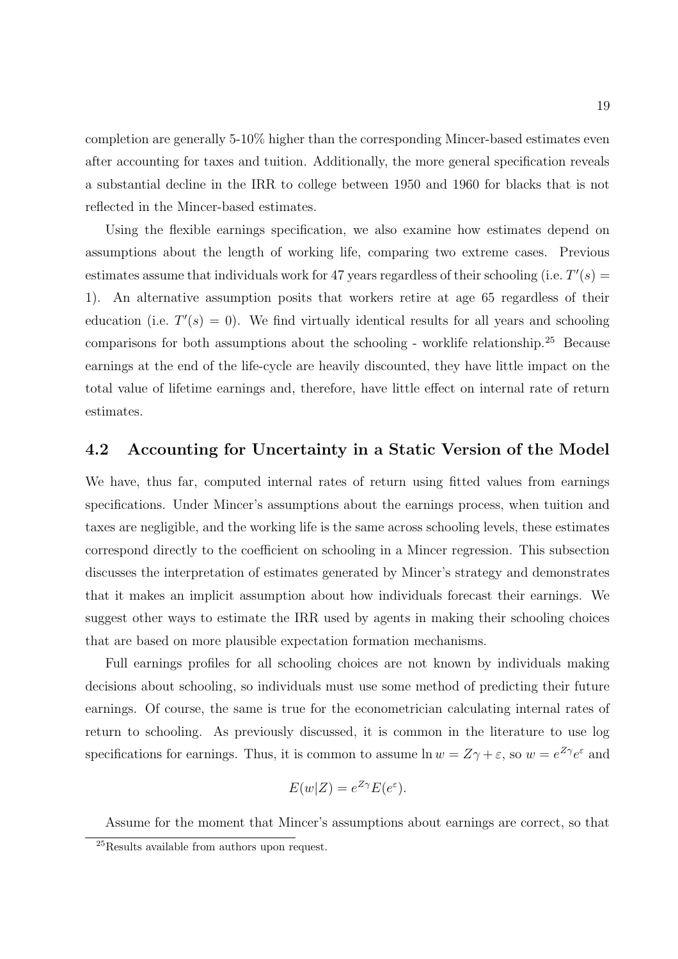completion are generally 5-10% higher than the corresponding Mincer-based estimates even after accounting for taxes and tuition. Additionally, the more general specification reveals a substantial decline in the IRR to college between 1950 and 1960 for blacks that is not reflected in the Mincer-based estimates.

Using the flexible earnings specification, we also examine how estimates depend on assumptions about the length of working life, comparing two extreme cases. Previous estimates assume that individuals work for 47 years regardless of their schooling (i.e.  $T'(s)$ ) 1). An alternative assumption posits that workers retire at age 65 regardless of their education (i.e.  $T'(s) = 0$ ). We find virtually identical results for all years and schooling comparisons for both assumptions about the schooling - worklife relationship.<sup>25</sup> Because earnings at the end of the life-cycle are heavily discounted, they have little impact on the total value of lifetime earnings and, therefore, have little effect on internal rate of return estimates.

#### 4.2 Accounting for Uncertainty in a Static Version of the Model

We have, thus far, computed internal rates of return using fitted values from earnings specifications. Under Mincer's assumptions about the earnings process, when tuition and taxes are negligible, and the working life is the same across schooling levels, these estimates correspond directly to the coefficient on schooling in a Mincer regression. This subsection discusses the interpretation of estimates generated by Mincer's strategy and demonstrates that it makes an implicit assumption about how individuals forecast their earnings. We suggest other ways to estimate the IRR used by agents in making their schooling choices that are based on more plausible expectation formation mechanisms.

Full earnings profiles for all schooling choices are not known by individuals making decisions about schooling, so individuals must use some method of predicting their future earnings. Of course, the same is true for the econometrician calculating internal rates of return to schooling. As previously discussed, it is common in the literature to use log specifications for earnings. Thus, it is common to assume  $\ln w = Z\gamma + \varepsilon$ , so  $w = e^{Z\gamma}e^{\varepsilon}$  and

$$
E(w|Z) = e^{Z\gamma} E(e^{\varepsilon}).
$$

Assume for the moment that Mincer's assumptions about earnings are correct, so that

<sup>25</sup>Results available from authors upon request.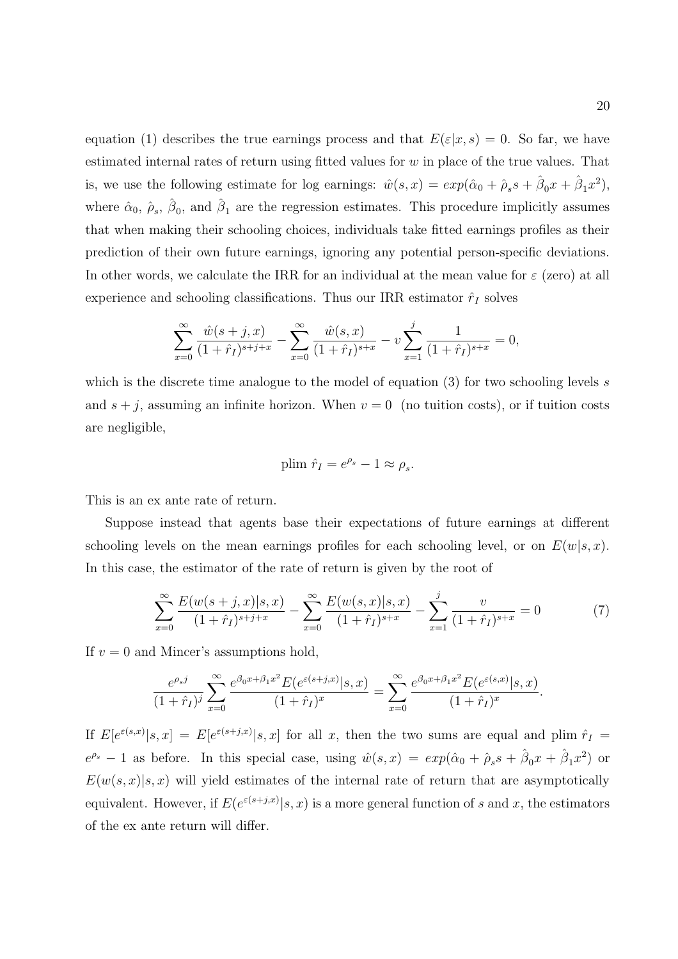equation (1) describes the true earnings process and that  $E(\varepsilon|x,s) = 0$ . So far, we have estimated internal rates of return using fitted values for  $w$  in place of the true values. That is, we use the following estimate for log earnings:  $\hat{w}(s,x) = exp(\hat{\alpha}_0 + \hat{\rho}_s s + \hat{\beta}_0 x + \hat{\beta}_1 x^2)$ , where  $\hat{\alpha}_0$ ,  $\hat{\beta}_s$ ,  $\hat{\beta}_0$ , and  $\hat{\beta}_1$  are the regression estimates. This procedure implicitly assumes that when making their schooling choices, individuals take fitted earnings profiles as their prediction of their own future earnings, ignoring any potential person-specific deviations. In other words, we calculate the IRR for an individual at the mean value for  $\varepsilon$  (zero) at all experience and schooling classifications. Thus our IRR estimator  $\hat{r}_I$  solves

$$
\sum_{x=0}^{\infty} \frac{\hat{w}(s+j, x)}{(1+\hat{r}_I)^{s+j+x}} - \sum_{x=0}^{\infty} \frac{\hat{w}(s, x)}{(1+\hat{r}_I)^{s+x}} - v \sum_{x=1}^{j} \frac{1}{(1+\hat{r}_I)^{s+x}} = 0,
$$

which is the discrete time analogue to the model of equation  $(3)$  for two schooling levels s and  $s + j$ , assuming an infinite horizon. When  $v = 0$  (no tuition costs), or if tuition costs are negligible,

plim 
$$
\hat{r}_I = e^{\rho_s} - 1 \approx \rho_s
$$
.

This is an ex ante rate of return.

Suppose instead that agents base their expectations of future earnings at different schooling levels on the mean earnings profiles for each schooling level, or on  $E(w|s, x)$ . In this case, the estimator of the rate of return is given by the root of

$$
\sum_{x=0}^{\infty} \frac{E(w(s+j,x)|s,x)}{(1+\hat{r}_I)^{s+j+x}} - \sum_{x=0}^{\infty} \frac{E(w(s,x)|s,x)}{(1+\hat{r}_I)^{s+x}} - \sum_{x=1}^{j} \frac{v}{(1+\hat{r}_I)^{s+x}} = 0
$$
(7)

.

If  $v = 0$  and Mincer's assumptions hold,

$$
\frac{e^{\rho_s j}}{(1+\hat{r}_I)^j} \sum_{x=0}^{\infty} \frac{e^{\beta_0 x + \beta_1 x^2} E(e^{\varepsilon(s+j,x)} | s, x)}{(1+\hat{r}_I)^x} = \sum_{x=0}^{\infty} \frac{e^{\beta_0 x + \beta_1 x^2} E(e^{\varepsilon(s,x)} | s, x)}{(1+\hat{r}_I)^x}
$$

If  $E[e^{\varepsilon(s,x)}|s,x] = E[e^{\varepsilon(s+j,x)}|s,x]$  for all x, then the two sums are equal and plim  $\hat{r}_I$  $e^{\rho_s}-1$  as before. In this special case, using  $\hat{w}(s,x) = exp(\hat{\alpha}_0 + \hat{\rho}_s s + \hat{\beta}_0 x + \hat{\beta}_1 x^2)$  or  $E(w(s, x)|s, x)$  will yield estimates of the internal rate of return that are asymptotically equivalent. However, if  $E(e^{\varepsilon(s+j,x)}|s,x)$  is a more general function of s and x, the estimators of the ex ante return will differ.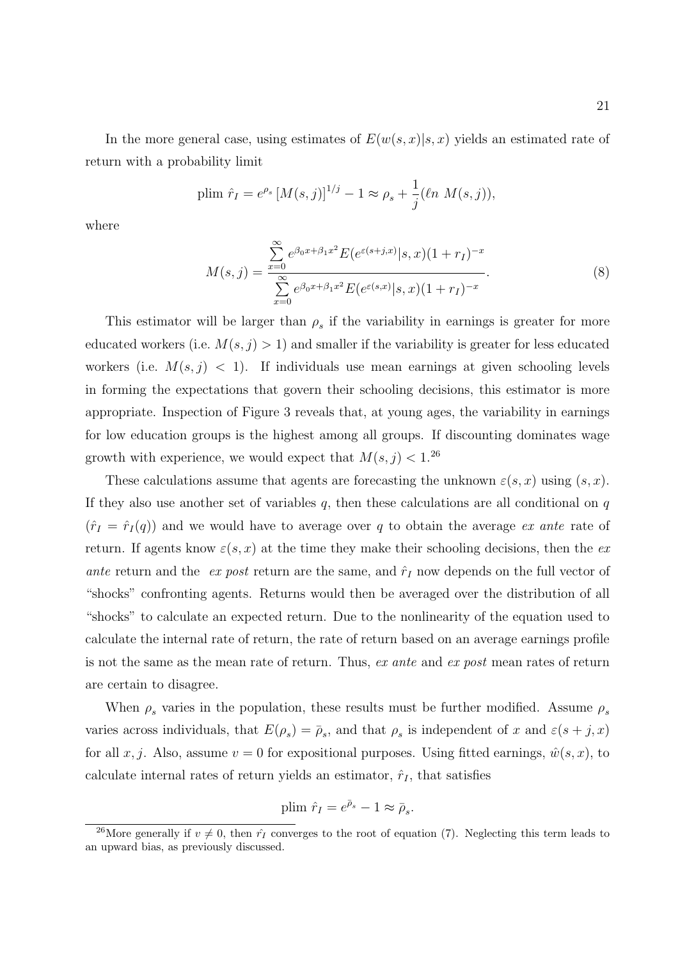In the more general case, using estimates of  $E(w(s, x)|s, x)$  yields an estimated rate of return with a probability limit

plim 
$$
\hat{r}_I = e^{\rho_s} [M(s,j)]^{1/j} - 1 \approx \rho_s + \frac{1}{j} (\ln M(s,j)),
$$

where

$$
M(s,j) = \frac{\sum_{x=0}^{\infty} e^{\beta_0 x + \beta_1 x^2} E(e^{\varepsilon(s+j,x)} | s, x)(1+r_I)^{-x}}{\sum_{x=0}^{\infty} e^{\beta_0 x + \beta_1 x^2} E(e^{\varepsilon(s,x)} | s, x)(1+r_I)^{-x}}.
$$
(8)

This estimator will be larger than  $\rho_s$  if the variability in earnings is greater for more educated workers (i.e.  $M(s, j) > 1$ ) and smaller if the variability is greater for less educated workers (i.e.  $M(s, j) < 1$ ). If individuals use mean earnings at given schooling levels in forming the expectations that govern their schooling decisions, this estimator is more appropriate. Inspection of Figure 3 reveals that, at young ages, the variability in earnings for low education groups is the highest among all groups. If discounting dominates wage growth with experience, we would expect that  $M(s, j) < 1$ .<sup>26</sup>

These calculations assume that agents are forecasting the unknown  $\varepsilon(s, x)$  using  $(s, x)$ . If they also use another set of variables  $q$ , then these calculations are all conditional on  $q$  $(\hat{r}_I = \hat{r}_I(q))$  and we would have to average over q to obtain the average ex ante rate of return. If agents know  $\varepsilon(s, x)$  at the time they make their schooling decisions, then the exante return and the ex post return are the same, and  $\hat{r}_I$  now depends on the full vector of "shocks" confronting agents. Returns would then be averaged over the distribution of all "shocks" to calculate an expected return. Due to the nonlinearity of the equation used to calculate the internal rate of return, the rate of return based on an average earnings profile is not the same as the mean rate of return. Thus, ex ante and ex post mean rates of return are certain to disagree.

When  $\rho_s$  varies in the population, these results must be further modified. Assume  $\rho_s$ varies across individuals, that  $E(\rho_s) = \overline{\rho}_s$ , and that  $\rho_s$  is independent of x and  $\varepsilon(s+j, x)$ for all  $x, j$ . Also, assume  $v = 0$  for expositional purposes. Using fitted earnings,  $\hat{w}(s, x)$ , to calculate internal rates of return yields an estimator,  $\hat{r}_I$ , that satisfies

plim 
$$
\hat{r}_I = e^{\bar{\rho}_s} - 1 \approx \bar{\rho}_s
$$
.

<sup>&</sup>lt;sup>26</sup>More generally if  $v \neq 0$ , then  $\hat{r}_I$  converges to the root of equation (7). Neglecting this term leads to an upward bias, as previously discussed.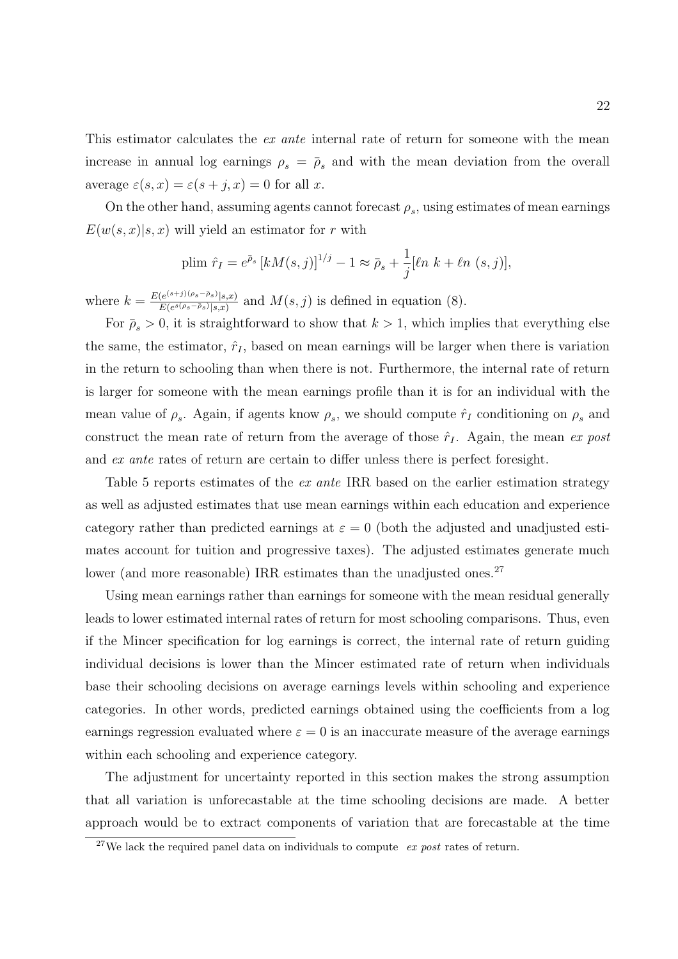This estimator calculates the *ex ante* internal rate of return for someone with the mean increase in annual log earnings  $\rho_s = \overline{\rho}_s$  and with the mean deviation from the overall average  $\varepsilon(s, x) = \varepsilon(s + j, x) = 0$  for all x.

On the other hand, assuming agents cannot forecast  $\rho_s$ , using estimates of mean earnings  $E(w(s, x)|s, x)$  will yield an estimator for r with

plim 
$$
\hat{r}_I = e^{\bar{\rho}_s} [kM(s,j)]^{1/j} - 1 \approx \bar{\rho}_s + \frac{1}{j} [\ln k + \ln (s,j)],
$$

where  $k = \frac{E(e^{(s+j)(\rho_s-\bar{\rho}_s)}|s,x)}{E(e^{s(\rho_s-\bar{\rho}_s)}|s,x)}$  $\frac{e^{(e^{(s)}\cdot f)(\mathcal{S}s-\mathcal{F}_s)}[s,x)}{E(e^{s(\rho_s-\bar{\rho}_s)}|s,x)}$  and  $M(s, j)$  is defined in equation (8).

For  $\bar{\rho}_s > 0$ , it is straightforward to show that  $k > 1$ , which implies that everything else the same, the estimator,  $\hat{r}_I$ , based on mean earnings will be larger when there is variation in the return to schooling than when there is not. Furthermore, the internal rate of return is larger for someone with the mean earnings profile than it is for an individual with the mean value of  $\rho_s$ . Again, if agents know  $\rho_s$ , we should compute  $\hat{r}_I$  conditioning on  $\rho_s$  and construct the mean rate of return from the average of those  $\hat{r}_I$ . Again, the mean ex post and ex ante rates of return are certain to differ unless there is perfect foresight.

Table 5 reports estimates of the *ex ante* IRR based on the earlier estimation strategy as well as adjusted estimates that use mean earnings within each education and experience category rather than predicted earnings at  $\varepsilon = 0$  (both the adjusted and unadjusted estimates account for tuition and progressive taxes). The adjusted estimates generate much lower (and more reasonable) IRR estimates than the unadjusted ones.<sup>27</sup>

Using mean earnings rather than earnings for someone with the mean residual generally leads to lower estimated internal rates of return for most schooling comparisons. Thus, even if the Mincer specification for log earnings is correct, the internal rate of return guiding individual decisions is lower than the Mincer estimated rate of return when individuals base their schooling decisions on average earnings levels within schooling and experience categories. In other words, predicted earnings obtained using the coefficients from a log earnings regression evaluated where  $\varepsilon = 0$  is an inaccurate measure of the average earnings within each schooling and experience category.

The adjustment for uncertainty reported in this section makes the strong assumption that all variation is unforecastable at the time schooling decisions are made. A better approach would be to extract components of variation that are forecastable at the time

<sup>&</sup>lt;sup>27</sup>We lack the required panel data on individuals to compute  $ex$  *post* rates of return.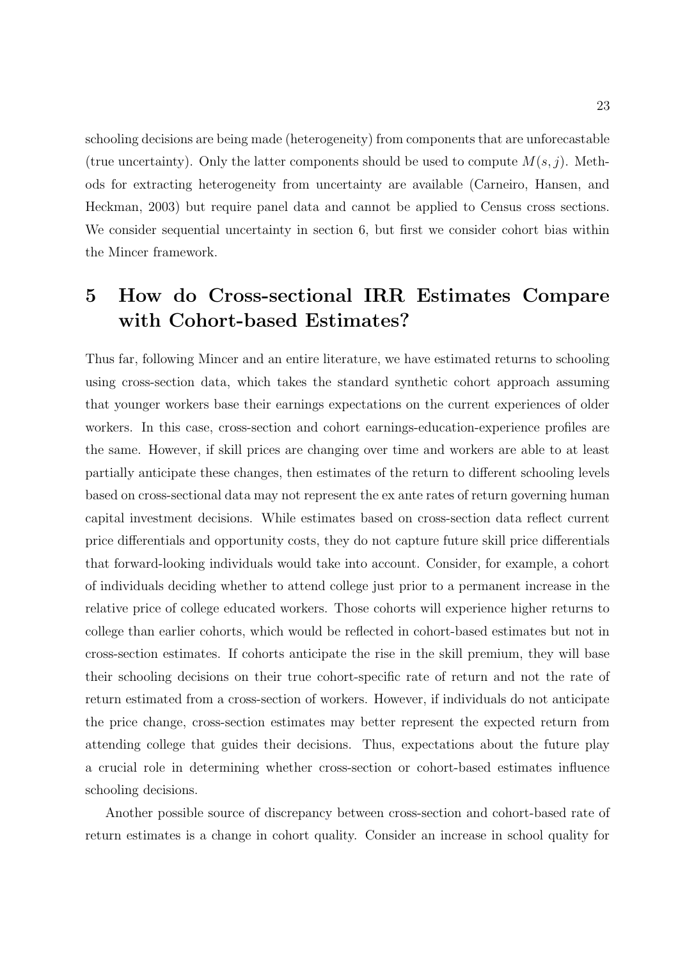schooling decisions are being made (heterogeneity) from components that are unforecastable (true uncertainty). Only the latter components should be used to compute  $M(s, j)$ . Methods for extracting heterogeneity from uncertainty are available (Carneiro, Hansen, and Heckman, 2003) but require panel data and cannot be applied to Census cross sections. We consider sequential uncertainty in section 6, but first we consider cohort bias within the Mincer framework.

# 5 How do Cross-sectional IRR Estimates Compare with Cohort-based Estimates?

Thus far, following Mincer and an entire literature, we have estimated returns to schooling using cross-section data, which takes the standard synthetic cohort approach assuming that younger workers base their earnings expectations on the current experiences of older workers. In this case, cross-section and cohort earnings-education-experience profiles are the same. However, if skill prices are changing over time and workers are able to at least partially anticipate these changes, then estimates of the return to different schooling levels based on cross-sectional data may not represent the ex ante rates of return governing human capital investment decisions. While estimates based on cross-section data reflect current price differentials and opportunity costs, they do not capture future skill price differentials that forward-looking individuals would take into account. Consider, for example, a cohort of individuals deciding whether to attend college just prior to a permanent increase in the relative price of college educated workers. Those cohorts will experience higher returns to college than earlier cohorts, which would be reflected in cohort-based estimates but not in cross-section estimates. If cohorts anticipate the rise in the skill premium, they will base their schooling decisions on their true cohort-specific rate of return and not the rate of return estimated from a cross-section of workers. However, if individuals do not anticipate the price change, cross-section estimates may better represent the expected return from attending college that guides their decisions. Thus, expectations about the future play a crucial role in determining whether cross-section or cohort-based estimates influence schooling decisions.

Another possible source of discrepancy between cross-section and cohort-based rate of return estimates is a change in cohort quality. Consider an increase in school quality for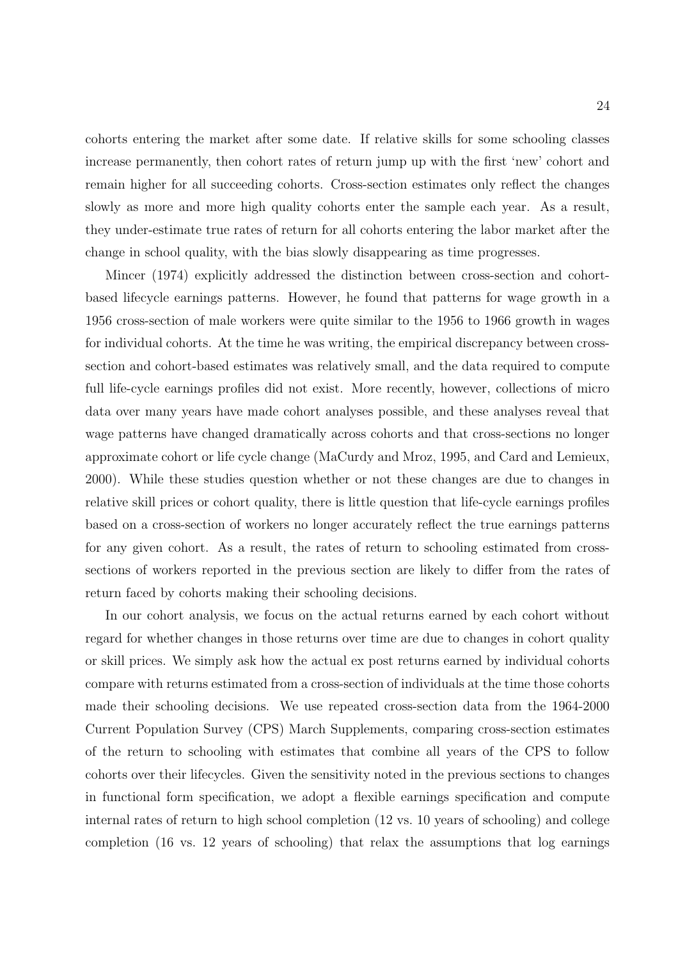cohorts entering the market after some date. If relative skills for some schooling classes increase permanently, then cohort rates of return jump up with the first 'new' cohort and remain higher for all succeeding cohorts. Cross-section estimates only reflect the changes slowly as more and more high quality cohorts enter the sample each year. As a result, they under-estimate true rates of return for all cohorts entering the labor market after the change in school quality, with the bias slowly disappearing as time progresses.

Mincer (1974) explicitly addressed the distinction between cross-section and cohortbased lifecycle earnings patterns. However, he found that patterns for wage growth in a 1956 cross-section of male workers were quite similar to the 1956 to 1966 growth in wages for individual cohorts. At the time he was writing, the empirical discrepancy between crosssection and cohort-based estimates was relatively small, and the data required to compute full life-cycle earnings profiles did not exist. More recently, however, collections of micro data over many years have made cohort analyses possible, and these analyses reveal that wage patterns have changed dramatically across cohorts and that cross-sections no longer approximate cohort or life cycle change (MaCurdy and Mroz, 1995, and Card and Lemieux, 2000). While these studies question whether or not these changes are due to changes in relative skill prices or cohort quality, there is little question that life-cycle earnings profiles based on a cross-section of workers no longer accurately reflect the true earnings patterns for any given cohort. As a result, the rates of return to schooling estimated from crosssections of workers reported in the previous section are likely to differ from the rates of return faced by cohorts making their schooling decisions.

In our cohort analysis, we focus on the actual returns earned by each cohort without regard for whether changes in those returns over time are due to changes in cohort quality or skill prices. We simply ask how the actual ex post returns earned by individual cohorts compare with returns estimated from a cross-section of individuals at the time those cohorts made their schooling decisions. We use repeated cross-section data from the 1964-2000 Current Population Survey (CPS) March Supplements, comparing cross-section estimates of the return to schooling with estimates that combine all years of the CPS to follow cohorts over their lifecycles. Given the sensitivity noted in the previous sections to changes in functional form specification, we adopt a flexible earnings specification and compute internal rates of return to high school completion (12 vs. 10 years of schooling) and college completion (16 vs. 12 years of schooling) that relax the assumptions that log earnings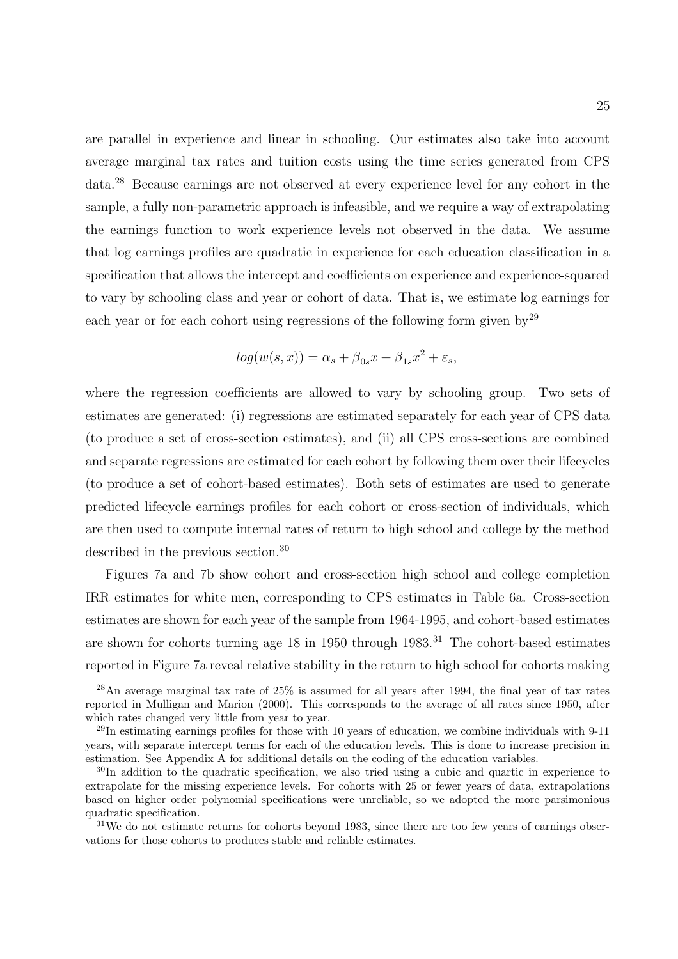are parallel in experience and linear in schooling. Our estimates also take into account average marginal tax rates and tuition costs using the time series generated from CPS data.<sup>28</sup> Because earnings are not observed at every experience level for any cohort in the sample, a fully non-parametric approach is infeasible, and we require a way of extrapolating the earnings function to work experience levels not observed in the data. We assume that log earnings profiles are quadratic in experience for each education classification in a specification that allows the intercept and coefficients on experience and experience-squared to vary by schooling class and year or cohort of data. That is, we estimate log earnings for each year or for each cohort using regressions of the following form given by<sup>29</sup>

$$
log(w(s, x)) = \alpha_s + \beta_{0s}x + \beta_{1s}x^2 + \varepsilon_s,
$$

where the regression coefficients are allowed to vary by schooling group. Two sets of estimates are generated: (i) regressions are estimated separately for each year of CPS data (to produce a set of cross-section estimates), and (ii) all CPS cross-sections are combined and separate regressions are estimated for each cohort by following them over their lifecycles (to produce a set of cohort-based estimates). Both sets of estimates are used to generate predicted lifecycle earnings profiles for each cohort or cross-section of individuals, which are then used to compute internal rates of return to high school and college by the method described in the previous section.<sup>30</sup>

Figures 7a and 7b show cohort and cross-section high school and college completion IRR estimates for white men, corresponding to CPS estimates in Table 6a. Cross-section estimates are shown for each year of the sample from 1964-1995, and cohort-based estimates are shown for cohorts turning age  $18$  in 1950 through  $1983$ .<sup>31</sup> The cohort-based estimates reported in Figure 7a reveal relative stability in the return to high school for cohorts making

 $^{28}$ An average marginal tax rate of  $25\%$  is assumed for all years after 1994, the final year of tax rates reported in Mulligan and Marion (2000). This corresponds to the average of all rates since 1950, after which rates changed very little from year to year.

 $^{29}$ In estimating earnings profiles for those with 10 years of education, we combine individuals with 9-11 years, with separate intercept terms for each of the education levels. This is done to increase precision in estimation. See Appendix A for additional details on the coding of the education variables.

<sup>30</sup>In addition to the quadratic specification, we also tried using a cubic and quartic in experience to extrapolate for the missing experience levels. For cohorts with 25 or fewer years of data, extrapolations based on higher order polynomial specifications were unreliable, so we adopted the more parsimonious quadratic specification.

 $31$ We do not estimate returns for cohorts beyond 1983, since there are too few years of earnings observations for those cohorts to produces stable and reliable estimates.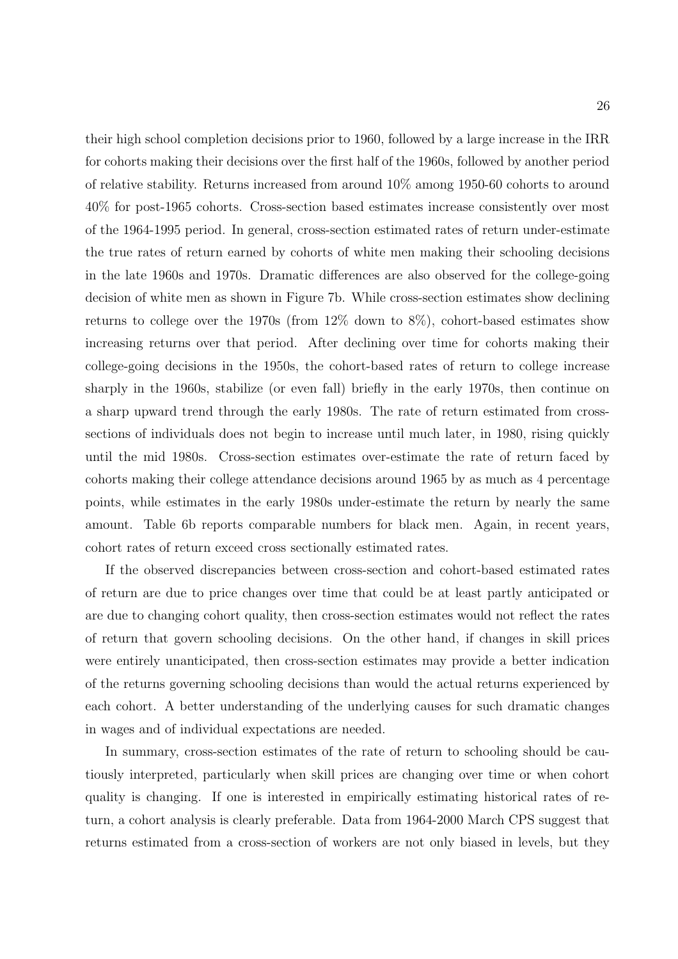their high school completion decisions prior to 1960, followed by a large increase in the IRR for cohorts making their decisions over the first half of the 1960s, followed by another period of relative stability. Returns increased from around 10% among 1950-60 cohorts to around 40% for post-1965 cohorts. Cross-section based estimates increase consistently over most of the 1964-1995 period. In general, cross-section estimated rates of return under-estimate the true rates of return earned by cohorts of white men making their schooling decisions in the late 1960s and 1970s. Dramatic differences are also observed for the college-going decision of white men as shown in Figure 7b. While cross-section estimates show declining returns to college over the 1970s (from 12% down to 8%), cohort-based estimates show increasing returns over that period. After declining over time for cohorts making their college-going decisions in the 1950s, the cohort-based rates of return to college increase sharply in the 1960s, stabilize (or even fall) briefly in the early 1970s, then continue on a sharp upward trend through the early 1980s. The rate of return estimated from crosssections of individuals does not begin to increase until much later, in 1980, rising quickly until the mid 1980s. Cross-section estimates over-estimate the rate of return faced by cohorts making their college attendance decisions around 1965 by as much as 4 percentage points, while estimates in the early 1980s under-estimate the return by nearly the same amount. Table 6b reports comparable numbers for black men. Again, in recent years, cohort rates of return exceed cross sectionally estimated rates.

If the observed discrepancies between cross-section and cohort-based estimated rates of return are due to price changes over time that could be at least partly anticipated or are due to changing cohort quality, then cross-section estimates would not reflect the rates of return that govern schooling decisions. On the other hand, if changes in skill prices were entirely unanticipated, then cross-section estimates may provide a better indication of the returns governing schooling decisions than would the actual returns experienced by each cohort. A better understanding of the underlying causes for such dramatic changes in wages and of individual expectations are needed.

In summary, cross-section estimates of the rate of return to schooling should be cautiously interpreted, particularly when skill prices are changing over time or when cohort quality is changing. If one is interested in empirically estimating historical rates of return, a cohort analysis is clearly preferable. Data from 1964-2000 March CPS suggest that returns estimated from a cross-section of workers are not only biased in levels, but they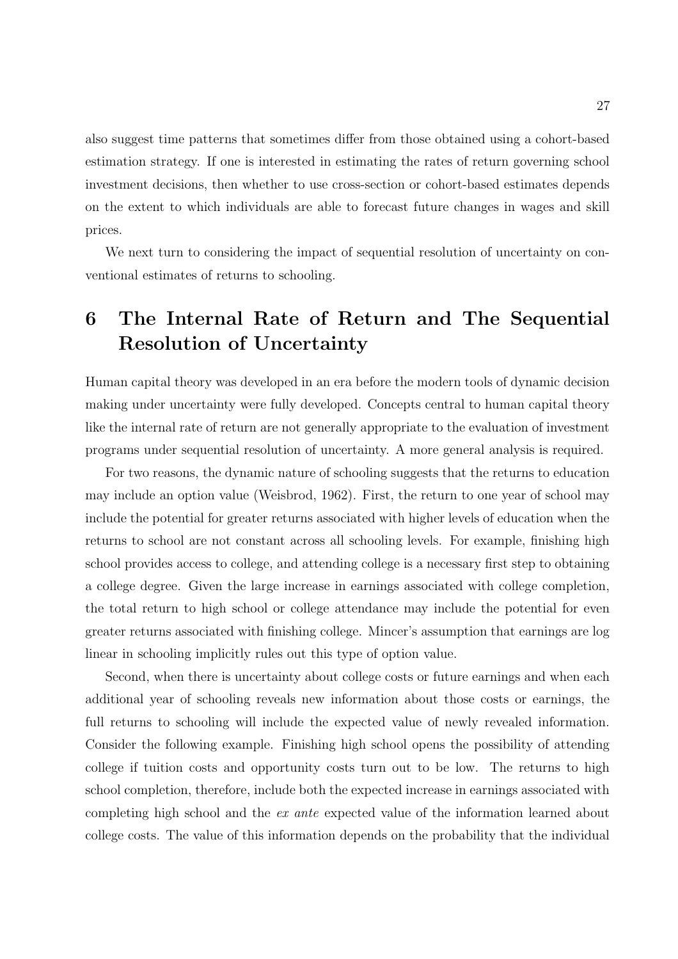also suggest time patterns that sometimes differ from those obtained using a cohort-based estimation strategy. If one is interested in estimating the rates of return governing school investment decisions, then whether to use cross-section or cohort-based estimates depends on the extent to which individuals are able to forecast future changes in wages and skill prices.

We next turn to considering the impact of sequential resolution of uncertainty on conventional estimates of returns to schooling.

# 6 The Internal Rate of Return and The Sequential Resolution of Uncertainty

Human capital theory was developed in an era before the modern tools of dynamic decision making under uncertainty were fully developed. Concepts central to human capital theory like the internal rate of return are not generally appropriate to the evaluation of investment programs under sequential resolution of uncertainty. A more general analysis is required.

For two reasons, the dynamic nature of schooling suggests that the returns to education may include an option value (Weisbrod, 1962). First, the return to one year of school may include the potential for greater returns associated with higher levels of education when the returns to school are not constant across all schooling levels. For example, finishing high school provides access to college, and attending college is a necessary first step to obtaining a college degree. Given the large increase in earnings associated with college completion, the total return to high school or college attendance may include the potential for even greater returns associated with finishing college. Mincer's assumption that earnings are log linear in schooling implicitly rules out this type of option value.

Second, when there is uncertainty about college costs or future earnings and when each additional year of schooling reveals new information about those costs or earnings, the full returns to schooling will include the expected value of newly revealed information. Consider the following example. Finishing high school opens the possibility of attending college if tuition costs and opportunity costs turn out to be low. The returns to high school completion, therefore, include both the expected increase in earnings associated with completing high school and the ex ante expected value of the information learned about college costs. The value of this information depends on the probability that the individual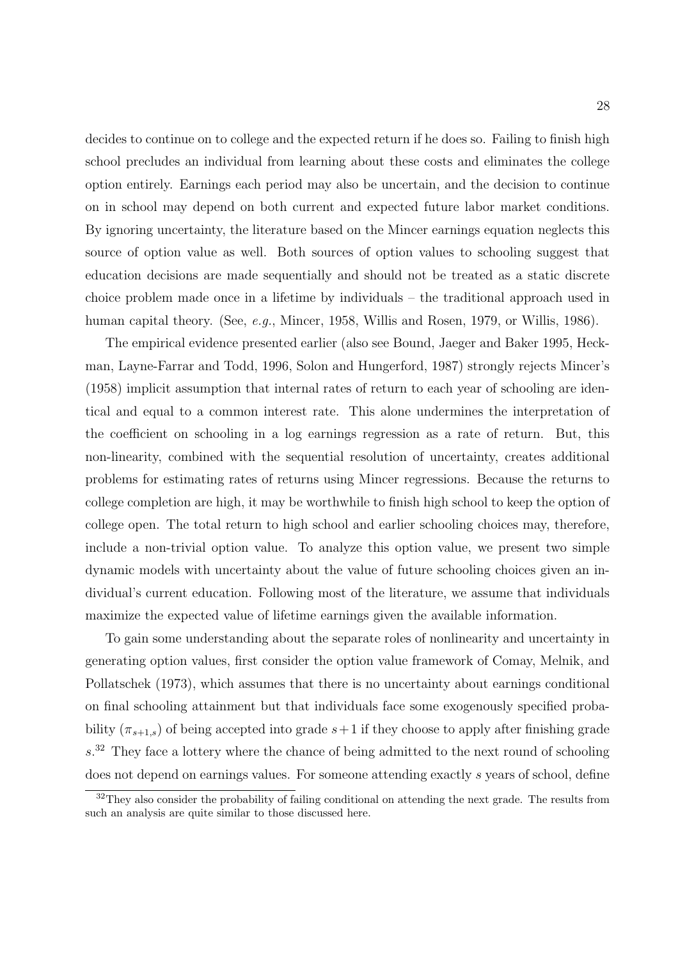decides to continue on to college and the expected return if he does so. Failing to finish high school precludes an individual from learning about these costs and eliminates the college option entirely. Earnings each period may also be uncertain, and the decision to continue on in school may depend on both current and expected future labor market conditions. By ignoring uncertainty, the literature based on the Mincer earnings equation neglects this source of option value as well. Both sources of option values to schooling suggest that education decisions are made sequentially and should not be treated as a static discrete choice problem made once in a lifetime by individuals – the traditional approach used in human capital theory. (See, *e.g.*, Mincer, 1958, Willis and Rosen, 1979, or Willis, 1986).

The empirical evidence presented earlier (also see Bound, Jaeger and Baker 1995, Heckman, Layne-Farrar and Todd, 1996, Solon and Hungerford, 1987) strongly rejects Mincer's (1958) implicit assumption that internal rates of return to each year of schooling are identical and equal to a common interest rate. This alone undermines the interpretation of the coefficient on schooling in a log earnings regression as a rate of return. But, this non-linearity, combined with the sequential resolution of uncertainty, creates additional problems for estimating rates of returns using Mincer regressions. Because the returns to college completion are high, it may be worthwhile to finish high school to keep the option of college open. The total return to high school and earlier schooling choices may, therefore, include a non-trivial option value. To analyze this option value, we present two simple dynamic models with uncertainty about the value of future schooling choices given an individual's current education. Following most of the literature, we assume that individuals maximize the expected value of lifetime earnings given the available information.

To gain some understanding about the separate roles of nonlinearity and uncertainty in generating option values, first consider the option value framework of Comay, Melnik, and Pollatschek (1973), which assumes that there is no uncertainty about earnings conditional on final schooling attainment but that individuals face some exogenously specified probability  $(\pi_{s+1,s})$  of being accepted into grade  $s+1$  if they choose to apply after finishing grade  $s<sup>32</sup>$  They face a lottery where the chance of being admitted to the next round of schooling does not depend on earnings values. For someone attending exactly s years of school, define

<sup>&</sup>lt;sup>32</sup>They also consider the probability of failing conditional on attending the next grade. The results from such an analysis are quite similar to those discussed here.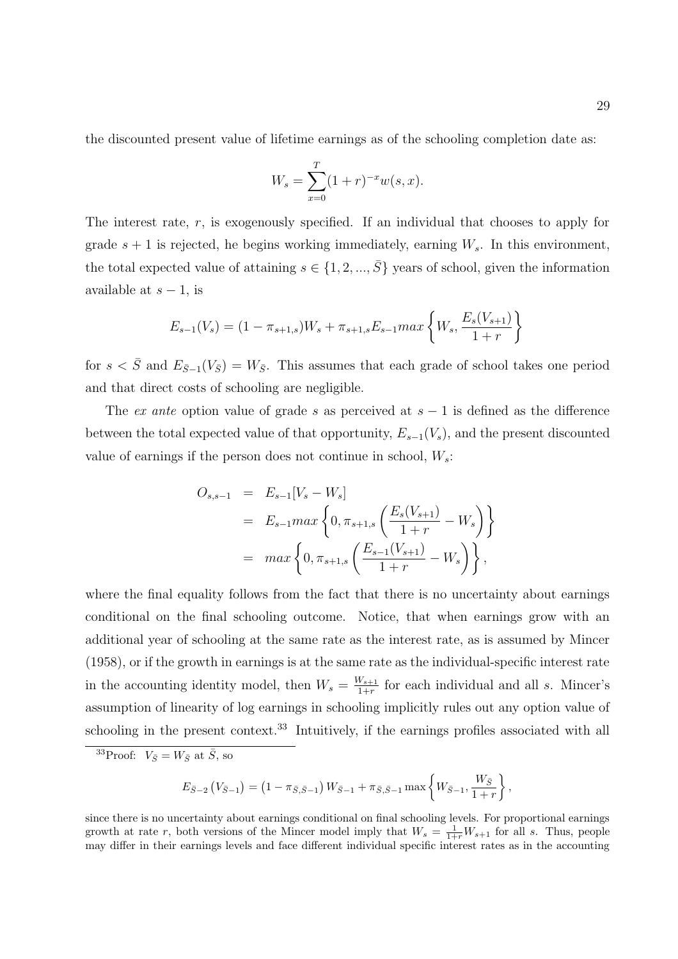the discounted present value of lifetime earnings as of the schooling completion date as:

$$
W_s = \sum_{x=0}^{T} (1+r)^{-x} w(s,x).
$$

The interest rate,  $r$ , is exogenously specified. If an individual that chooses to apply for grade  $s + 1$  is rejected, he begins working immediately, earning  $W_s$ . In this environment, the total expected value of attaining  $s \in \{1, 2, ..., \overline{S}\}\$  years of school, given the information available at  $s - 1$ , is

$$
E_{s-1}(V_s) = (1 - \pi_{s+1,s})W_s + \pi_{s+1,s}E_{s-1}max\left\{W_s, \frac{E_s(V_{s+1})}{1+r}\right\}
$$

for  $s < \bar{S}$  and  $E_{\bar{S}-1}(V_{\bar{S}}) = W_{\bar{S}}$ . This assumes that each grade of school takes one period and that direct costs of schooling are negligible.

The ex ante option value of grade s as perceived at  $s - 1$  is defined as the difference between the total expected value of that opportunity,  $E_{s-1}(V_s)$ , and the present discounted value of earnings if the person does not continue in school,  $W_s$ :

$$
O_{s,s-1} = E_{s-1}[V_s - W_s]
$$
  
=  $E_{s-1}max\left\{0, \pi_{s+1,s}\left(\frac{E_s(V_{s+1})}{1+r} - W_s\right)\right\}$   
=  $max\left\{0, \pi_{s+1,s}\left(\frac{E_{s-1}(V_{s+1})}{1+r} - W_s\right)\right\},$ 

where the final equality follows from the fact that there is no uncertainty about earnings conditional on the final schooling outcome. Notice, that when earnings grow with an additional year of schooling at the same rate as the interest rate, as is assumed by Mincer (1958), or if the growth in earnings is at the same rate as the individual-specific interest rate in the accounting identity model, then  $W_s = \frac{W_{s+1}}{1+r}$  $\frac{v_{s+1}}{1+r}$  for each individual and all s. Mincer's assumption of linearity of log earnings in schooling implicitly rules out any option value of schooling in the present context.<sup>33</sup> Intuitively, if the earnings profiles associated with all

$$
E_{\bar{S}-2} (V_{\bar{S}-1}) = (1 - \pi_{\bar{S},\bar{S}-1}) W_{\bar{S}-1} + \pi_{\bar{S},\bar{S}-1} \max \left\{ W_{\bar{S}-1}, \frac{W_{\bar{S}}}{1+r} \right\},\,
$$

<sup>&</sup>lt;sup>33</sup>Proof:  $V_{\bar{S}} = W_{\bar{S}}$  at  $\bar{S}$ , so

since there is no uncertainty about earnings conditional on final schooling levels. For proportional earnings growth at rate r, both versions of the Mincer model imply that  $W_s = \frac{1}{1+r}W_{s+1}$  for all s. Thus, people may differ in their earnings levels and face different individual specific interest rates as in the accounting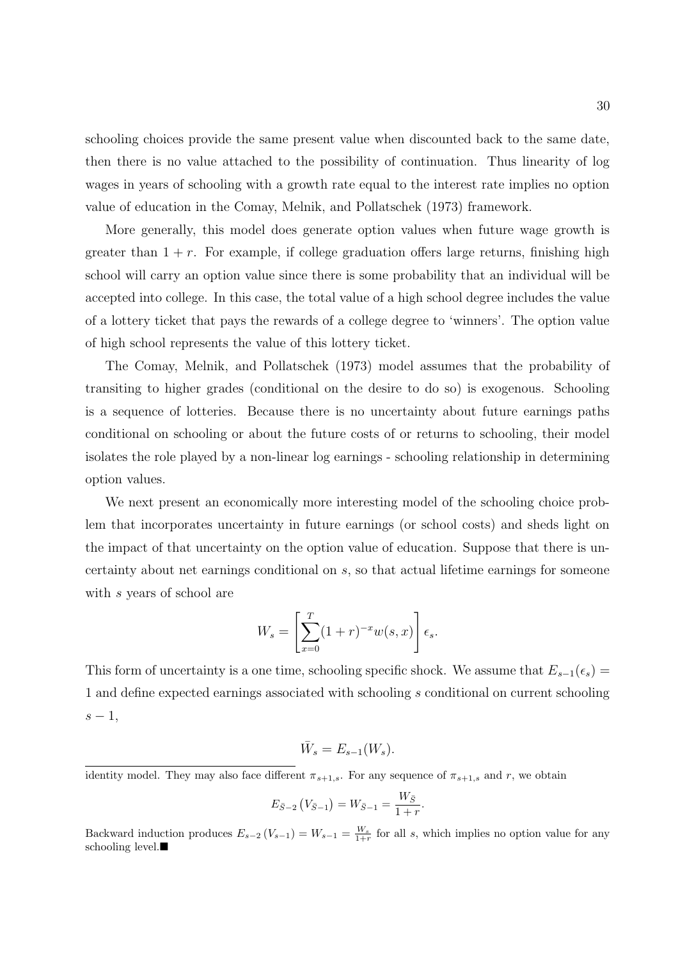schooling choices provide the same present value when discounted back to the same date, then there is no value attached to the possibility of continuation. Thus linearity of log wages in years of schooling with a growth rate equal to the interest rate implies no option value of education in the Comay, Melnik, and Pollatschek (1973) framework.

More generally, this model does generate option values when future wage growth is greater than  $1 + r$ . For example, if college graduation offers large returns, finishing high school will carry an option value since there is some probability that an individual will be accepted into college. In this case, the total value of a high school degree includes the value of a lottery ticket that pays the rewards of a college degree to 'winners'. The option value of high school represents the value of this lottery ticket.

The Comay, Melnik, and Pollatschek (1973) model assumes that the probability of transiting to higher grades (conditional on the desire to do so) is exogenous. Schooling is a sequence of lotteries. Because there is no uncertainty about future earnings paths conditional on schooling or about the future costs of or returns to schooling, their model isolates the role played by a non-linear log earnings - schooling relationship in determining option values.

We next present an economically more interesting model of the schooling choice problem that incorporates uncertainty in future earnings (or school costs) and sheds light on the impact of that uncertainty on the option value of education. Suppose that there is uncertainty about net earnings conditional on s, so that actual lifetime earnings for someone with s years of school are

$$
W_s = \left[\sum_{x=0}^T (1+r)^{-x} w(s,x)\right] \epsilon_s.
$$

This form of uncertainty is a one time, schooling specific shock. We assume that  $E_{s-1}(\epsilon_s)$  = 1 and define expected earnings associated with schooling s conditional on current schooling  $s-1,$ 

$$
\bar{W}_s = E_{s-1}(W_s).
$$

identity model. They may also face different  $\pi_{s+1,s}$ . For any sequence of  $\pi_{s+1,s}$  and r, we obtain

$$
E_{\bar{S}-2} (V_{\bar{S}-1}) = W_{\bar{S}-1} = \frac{W_{\bar{S}}}{1+r}.
$$

Backward induction produces  $E_{s-2}(V_{s-1}) = W_{s-1} = \frac{W_s}{1+r}$  for all s, which implies no option value for any schooling level. $\blacksquare$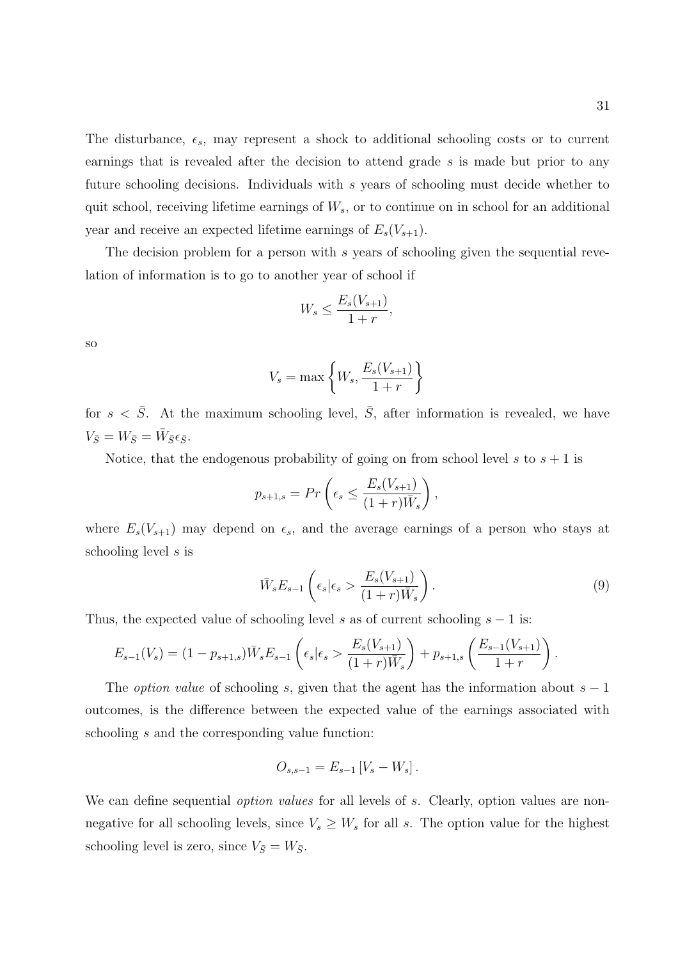The disturbance,  $\epsilon_s$ , may represent a shock to additional schooling costs or to current earnings that is revealed after the decision to attend grade s is made but prior to any future schooling decisions. Individuals with s years of schooling must decide whether to quit school, receiving lifetime earnings of  $W_s$ , or to continue on in school for an additional year and receive an expected lifetime earnings of  $E_s(V_{s+1})$ .

The decision problem for a person with s years of schooling given the sequential revelation of information is to go to another year of school if

$$
W_s \le \frac{E_s(V_{s+1})}{1+r},
$$

so

$$
V_s = \max\left\{W_s, \frac{E_s(V_{s+1})}{1+r}\right\}
$$

for  $s < \overline{S}$ . At the maximum schooling level,  $\overline{S}$ , after information is revealed, we have  $V_{\bar{S}} = W_{\bar{S}} = \bar{W}_{\bar{S}} \epsilon_{\bar{S}}.$ 

Notice, that the endogenous probability of going on from school level s to  $s + 1$  is

$$
p_{s+1,s} = Pr\left(\epsilon_s \le \frac{E_s(V_{s+1})}{(1+r)\overline{W}_s}\right),\,
$$

where  $E_s(V_{s+1})$  may depend on  $\epsilon_s$ , and the average earnings of a person who stays at schooling level s is

$$
\bar{W}_s E_{s-1} \left( \epsilon_s | \epsilon_s > \frac{E_s (V_{s+1})}{(1+r)\bar{W}_s} \right). \tag{9}
$$

Thus, the expected value of schooling level s as of current schooling  $s - 1$  is:

$$
E_{s-1}(V_s) = (1 - p_{s+1,s})\bar{W}_s E_{s-1}\left(\epsilon_s \vert \epsilon_s > \frac{E_s(V_{s+1})}{(1+r)\bar{W}_s}\right) + p_{s+1,s}\left(\frac{E_{s-1}(V_{s+1})}{1+r}\right).
$$

The *option value* of schooling s, given that the agent has the information about  $s - 1$ outcomes, is the difference between the expected value of the earnings associated with schooling s and the corresponding value function:

$$
O_{s,s-1} = E_{s-1} [V_s - W_s].
$$

We can define sequential *option values* for all levels of s. Clearly, option values are nonnegative for all schooling levels, since  $V_s \geq W_s$  for all s. The option value for the highest schooling level is zero, since  $V_{\bar{S}} = W_{\bar{S}}$ .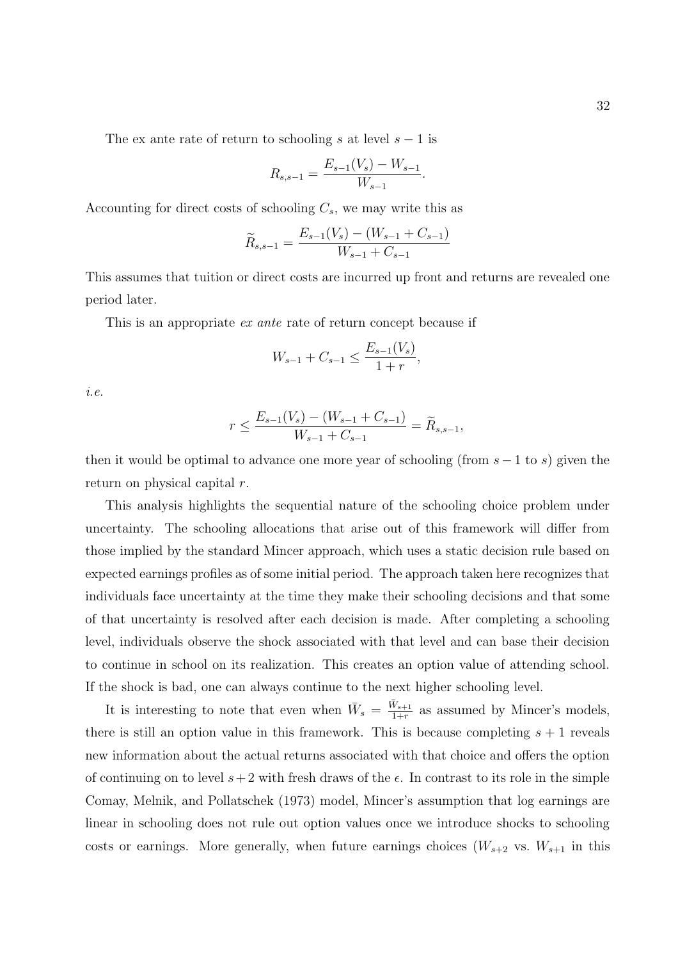The ex ante rate of return to schooling s at level  $s - 1$  is

$$
R_{s,s-1} = \frac{E_{s-1}(V_s) - W_{s-1}}{W_{s-1}}.
$$

Accounting for direct costs of schooling  $C_s$ , we may write this as

$$
\widetilde{R}_{s,s-1} = \frac{E_{s-1}(V_s) - (W_{s-1} + C_{s-1})}{W_{s-1} + C_{s-1}}
$$

This assumes that tuition or direct costs are incurred up front and returns are revealed one period later.

This is an appropriate ex ante rate of return concept because if

$$
W_{s-1} + C_{s-1} \le \frac{E_{s-1}(V_s)}{1+r},
$$

i.e.

$$
r \le \frac{E_{s-1}(V_s) - (W_{s-1} + C_{s-1})}{W_{s-1} + C_{s-1}} = \widetilde{R}_{s,s-1},
$$

then it would be optimal to advance one more year of schooling (from  $s - 1$  to s) given the return on physical capital r.

This analysis highlights the sequential nature of the schooling choice problem under uncertainty. The schooling allocations that arise out of this framework will differ from those implied by the standard Mincer approach, which uses a static decision rule based on expected earnings profiles as of some initial period. The approach taken here recognizes that individuals face uncertainty at the time they make their schooling decisions and that some of that uncertainty is resolved after each decision is made. After completing a schooling level, individuals observe the shock associated with that level and can base their decision to continue in school on its realization. This creates an option value of attending school. If the shock is bad, one can always continue to the next higher schooling level.

It is interesting to note that even when  $\bar{W}_s = \frac{\bar{W}_{s+1}}{1+r}$  $\frac{v_{s+1}}{1+r}$  as assumed by Mincer's models, there is still an option value in this framework. This is because completing  $s + 1$  reveals new information about the actual returns associated with that choice and offers the option of continuing on to level  $s+2$  with fresh draws of the  $\epsilon$ . In contrast to its role in the simple Comay, Melnik, and Pollatschek (1973) model, Mincer's assumption that log earnings are linear in schooling does not rule out option values once we introduce shocks to schooling costs or earnings. More generally, when future earnings choices  $(W_{s+2}$  vs.  $W_{s+1}$  in this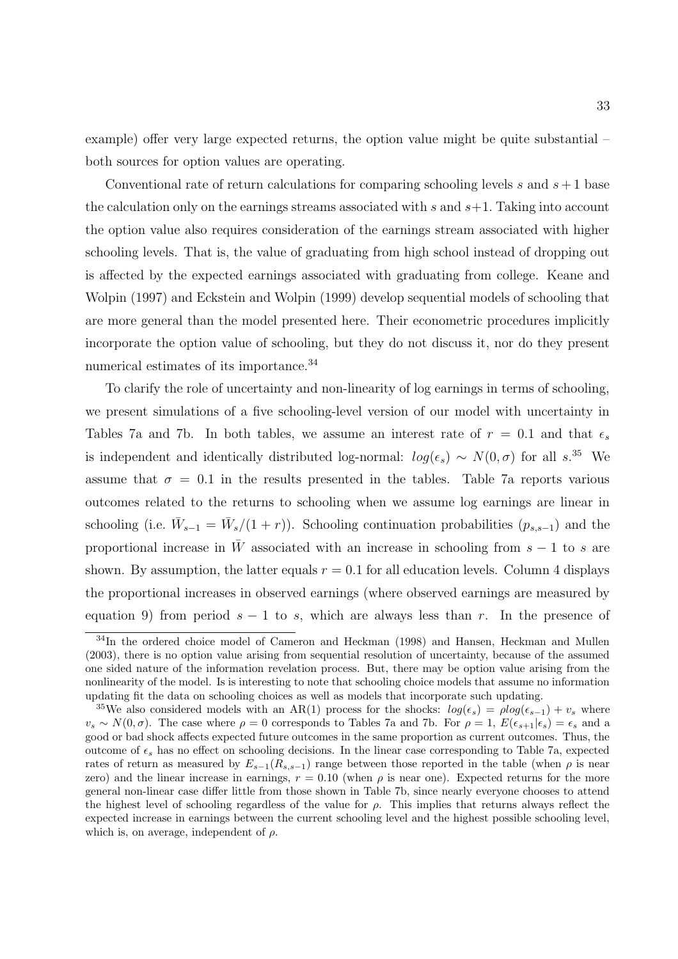example) offer very large expected returns, the option value might be quite substantial – both sources for option values are operating.

Conventional rate of return calculations for comparing schooling levels s and  $s + 1$  base the calculation only on the earnings streams associated with s and  $s+1$ . Taking into account the option value also requires consideration of the earnings stream associated with higher schooling levels. That is, the value of graduating from high school instead of dropping out is affected by the expected earnings associated with graduating from college. Keane and Wolpin (1997) and Eckstein and Wolpin (1999) develop sequential models of schooling that are more general than the model presented here. Their econometric procedures implicitly incorporate the option value of schooling, but they do not discuss it, nor do they present numerical estimates of its importance.<sup>34</sup>

To clarify the role of uncertainty and non-linearity of log earnings in terms of schooling, we present simulations of a five schooling-level version of our model with uncertainty in Tables 7a and 7b. In both tables, we assume an interest rate of  $r = 0.1$  and that  $\epsilon_s$ is independent and identically distributed log-normal:  $log(\epsilon_s) \sim N(0,\sigma)$  for all s.<sup>35</sup> We assume that  $\sigma = 0.1$  in the results presented in the tables. Table 7a reports various outcomes related to the returns to schooling when we assume log earnings are linear in schooling (i.e.  $\bar{W}_{s-1} = \bar{W}_s/(1+r)$ ). Schooling continuation probabilities  $(p_{s,s-1})$  and the proportional increase in  $\bar{W}$  associated with an increase in schooling from  $s - 1$  to s are shown. By assumption, the latter equals  $r = 0.1$  for all education levels. Column 4 displays the proportional increases in observed earnings (where observed earnings are measured by equation 9) from period  $s - 1$  to s, which are always less than r. In the presence of

<sup>&</sup>lt;sup>34</sup>In the ordered choice model of Cameron and Heckman (1998) and Hansen, Heckman and Mullen (2003), there is no option value arising from sequential resolution of uncertainty, because of the assumed one sided nature of the information revelation process. But, there may be option value arising from the nonlinearity of the model. Is is interesting to note that schooling choice models that assume no information updating fit the data on schooling choices as well as models that incorporate such updating.

<sup>&</sup>lt;sup>35</sup>We also considered models with an AR(1) process for the shocks:  $log(\epsilon_s) = plog(\epsilon_{s-1}) + v_s$  where  $v_s \sim N(0,\sigma)$ . The case where  $\rho = 0$  corresponds to Tables 7a and 7b. For  $\rho = 1$ ,  $E(\epsilon_{s+1}|\epsilon_s) = \epsilon_s$  and a good or bad shock affects expected future outcomes in the same proportion as current outcomes. Thus, the outcome of  $\epsilon_s$  has no effect on schooling decisions. In the linear case corresponding to Table 7a, expected rates of return as measured by  $E_{s-1}(R_{s,s-1})$  range between those reported in the table (when  $\rho$  is near zero) and the linear increase in earnings,  $r = 0.10$  (when  $\rho$  is near one). Expected returns for the more general non-linear case differ little from those shown in Table 7b, since nearly everyone chooses to attend the highest level of schooling regardless of the value for  $\rho$ . This implies that returns always reflect the expected increase in earnings between the current schooling level and the highest possible schooling level, which is, on average, independent of  $\rho$ .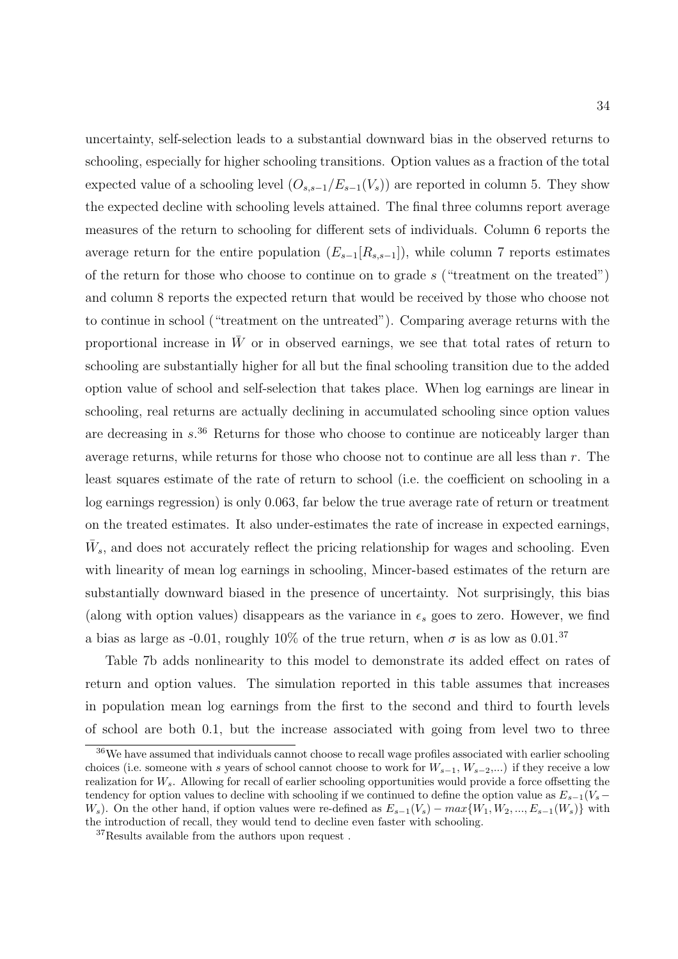uncertainty, self-selection leads to a substantial downward bias in the observed returns to schooling, especially for higher schooling transitions. Option values as a fraction of the total expected value of a schooling level  $(O_{s,s-1}/E_{s-1}(V_s))$  are reported in column 5. They show the expected decline with schooling levels attained. The final three columns report average measures of the return to schooling for different sets of individuals. Column 6 reports the average return for the entire population  $(E_{s-1}[R_{s,s-1}])$ , while column 7 reports estimates of the return for those who choose to continue on to grade s ("treatment on the treated") and column 8 reports the expected return that would be received by those who choose not to continue in school ("treatment on the untreated"). Comparing average returns with the proportional increase in  $\bar{W}$  or in observed earnings, we see that total rates of return to schooling are substantially higher for all but the final schooling transition due to the added option value of school and self-selection that takes place. When log earnings are linear in schooling, real returns are actually declining in accumulated schooling since option values are decreasing in  $s^{36}$  Returns for those who choose to continue are noticeably larger than average returns, while returns for those who choose not to continue are all less than  $r$ . The least squares estimate of the rate of return to school (i.e. the coefficient on schooling in a log earnings regression) is only 0.063, far below the true average rate of return or treatment on the treated estimates. It also under-estimates the rate of increase in expected earnings,  $\bar{W}_s$ , and does not accurately reflect the pricing relationship for wages and schooling. Even with linearity of mean log earnings in schooling, Mincer-based estimates of the return are substantially downward biased in the presence of uncertainty. Not surprisingly, this bias (along with option values) disappears as the variance in  $\epsilon_s$  goes to zero. However, we find a bias as large as -0.01, roughly 10% of the true return, when  $\sigma$  is as low as 0.01.<sup>37</sup>

Table 7b adds nonlinearity to this model to demonstrate its added effect on rates of return and option values. The simulation reported in this table assumes that increases in population mean log earnings from the first to the second and third to fourth levels of school are both 0.1, but the increase associated with going from level two to three

<sup>36</sup>We have assumed that individuals cannot choose to recall wage profiles associated with earlier schooling choices (i.e. someone with s years of school cannot choose to work for  $W_{s-1}, W_{s-2},...$ ) if they receive a low realization for  $W_s$ . Allowing for recall of earlier schooling opportunities would provide a force offsetting the tendency for option values to decline with schooling if we continued to define the option value as  $E_{s-1}(V_s -$ W<sub>s</sub>). On the other hand, if option values were re-defined as  $E_{s-1}(V_s) - max\{W_1, W_2, ..., E_{s-1}(W_s)\}\$  with the introduction of recall, they would tend to decline even faster with schooling.

 ${}^{37}\mathrm{Results}$  available from the authors upon request .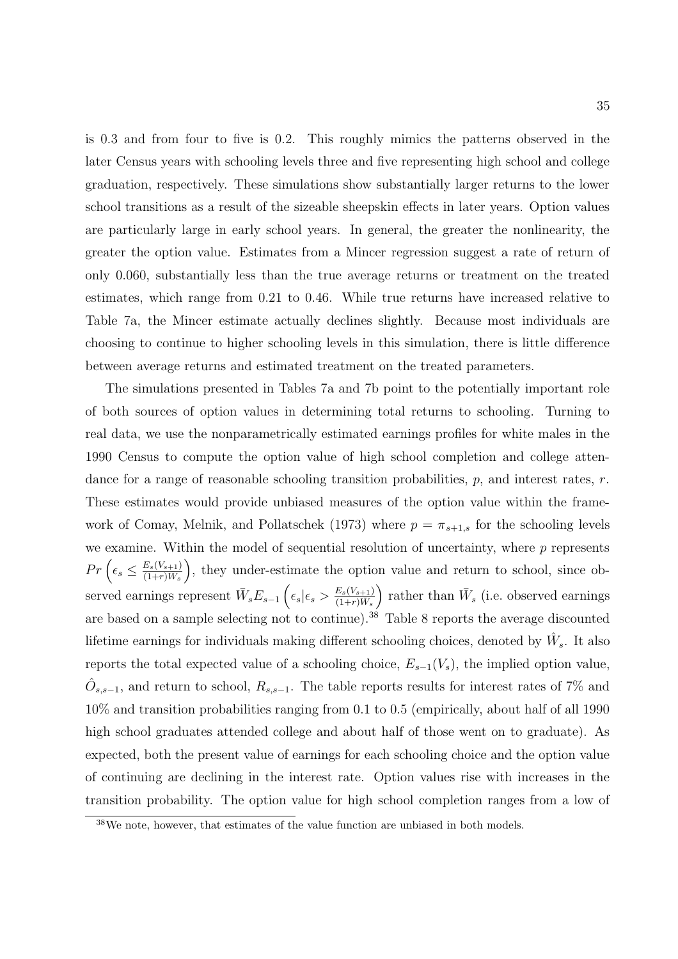is 0.3 and from four to five is 0.2. This roughly mimics the patterns observed in the later Census years with schooling levels three and five representing high school and college graduation, respectively. These simulations show substantially larger returns to the lower school transitions as a result of the sizeable sheepskin effects in later years. Option values are particularly large in early school years. In general, the greater the nonlinearity, the greater the option value. Estimates from a Mincer regression suggest a rate of return of only 0.060, substantially less than the true average returns or treatment on the treated estimates, which range from 0.21 to 0.46. While true returns have increased relative to Table 7a, the Mincer estimate actually declines slightly. Because most individuals are choosing to continue to higher schooling levels in this simulation, there is little difference between average returns and estimated treatment on the treated parameters.

The simulations presented in Tables 7a and 7b point to the potentially important role of both sources of option values in determining total returns to schooling. Turning to real data, we use the nonparametrically estimated earnings profiles for white males in the 1990 Census to compute the option value of high school completion and college attendance for a range of reasonable schooling transition probabilities,  $p$ , and interest rates,  $r$ . These estimates would provide unbiased measures of the option value within the framework of Comay, Melnik, and Pollatschek (1973) where  $p = \pi_{s+1,s}$  for the schooling levels we examine. Within the model of sequential resolution of uncertainty, where  $p$  represents  $Pr\left(\epsilon_s \leq \frac{E_s(V_{s+1})}{(1+r)\bar{W}_s}\right)$  $(1{+}r)\bar{W}_{s}$ ), they under-estimate the option value and return to school, since observed earnings represent  $\bar{W}_s E_{s-1} \left( \epsilon_s | \epsilon_s > \frac{E_s(V_{s+1})}{(1+r)\bar{W}_s} \right)$ ) rather than  $\bar{W}_s$  (i.e. observed earnings are based on a sample selecting not to continue).<sup>38</sup> Table 8 reports the average discounted lifetime earnings for individuals making different schooling choices, denoted by  $\hat{W}_s$ . It also reports the total expected value of a schooling choice,  $E_{s-1}(V_s)$ , the implied option value,  $\hat{O}_{s,s-1}$ , and return to school,  $R_{s,s-1}$ . The table reports results for interest rates of 7% and 10% and transition probabilities ranging from 0.1 to 0.5 (empirically, about half of all 1990 high school graduates attended college and about half of those went on to graduate). As expected, both the present value of earnings for each schooling choice and the option value of continuing are declining in the interest rate. Option values rise with increases in the transition probability. The option value for high school completion ranges from a low of

<sup>38</sup>We note, however, that estimates of the value function are unbiased in both models.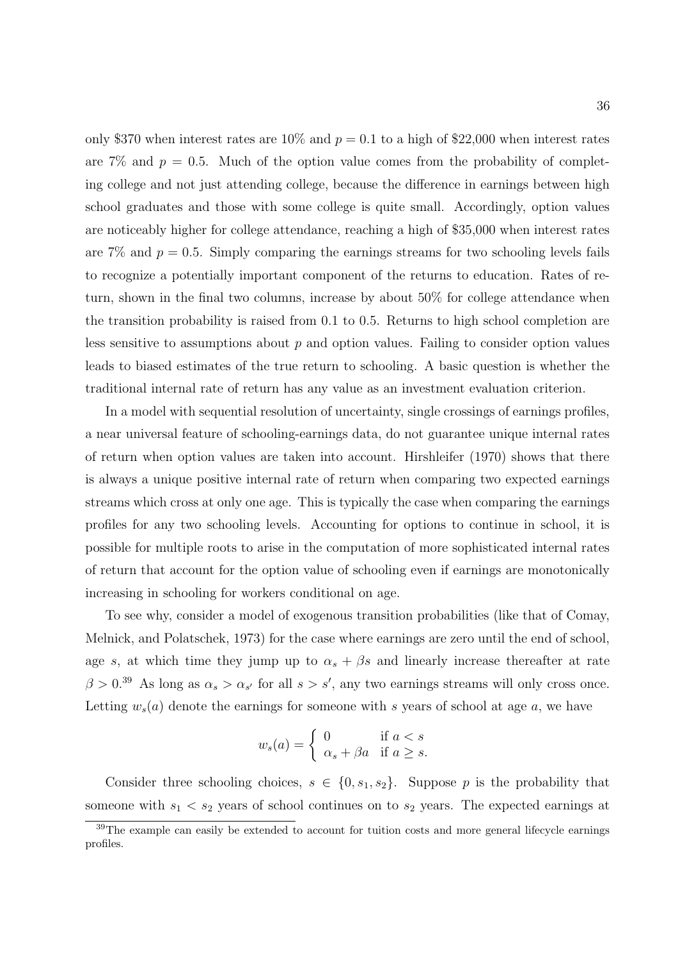only \$370 when interest rates are 10% and  $p = 0.1$  to a high of \$22,000 when interest rates are 7% and  $p = 0.5$ . Much of the option value comes from the probability of completing college and not just attending college, because the difference in earnings between high school graduates and those with some college is quite small. Accordingly, option values are noticeably higher for college attendance, reaching a high of \$35,000 when interest rates are 7% and  $p = 0.5$ . Simply comparing the earnings streams for two schooling levels fails to recognize a potentially important component of the returns to education. Rates of return, shown in the final two columns, increase by about 50% for college attendance when the transition probability is raised from 0.1 to 0.5. Returns to high school completion are less sensitive to assumptions about  $p$  and option values. Failing to consider option values leads to biased estimates of the true return to schooling. A basic question is whether the traditional internal rate of return has any value as an investment evaluation criterion.

In a model with sequential resolution of uncertainty, single crossings of earnings profiles, a near universal feature of schooling-earnings data, do not guarantee unique internal rates of return when option values are taken into account. Hirshleifer (1970) shows that there is always a unique positive internal rate of return when comparing two expected earnings streams which cross at only one age. This is typically the case when comparing the earnings profiles for any two schooling levels. Accounting for options to continue in school, it is possible for multiple roots to arise in the computation of more sophisticated internal rates of return that account for the option value of schooling even if earnings are monotonically increasing in schooling for workers conditional on age.

To see why, consider a model of exogenous transition probabilities (like that of Comay, Melnick, and Polatschek, 1973) for the case where earnings are zero until the end of school, age s, at which time they jump up to  $\alpha_s + \beta_s$  and linearly increase thereafter at rate  $\beta > 0^{39}$  As long as  $\alpha_s > \alpha_{s'}$  for all  $s > s'$ , any two earnings streams will only cross once. Letting  $w_s(a)$  denote the earnings for someone with s years of school at age a, we have

$$
w_s(a) = \begin{cases} 0 & \text{if } a < s \\ \alpha_s + \beta a & \text{if } a \ge s. \end{cases}
$$

Consider three schooling choices,  $s \in \{0, s_1, s_2\}$ . Suppose p is the probability that someone with  $s_1 < s_2$  years of school continues on to  $s_2$  years. The expected earnings at

<sup>&</sup>lt;sup>39</sup>The example can easily be extended to account for tuition costs and more general lifecycle earnings profiles.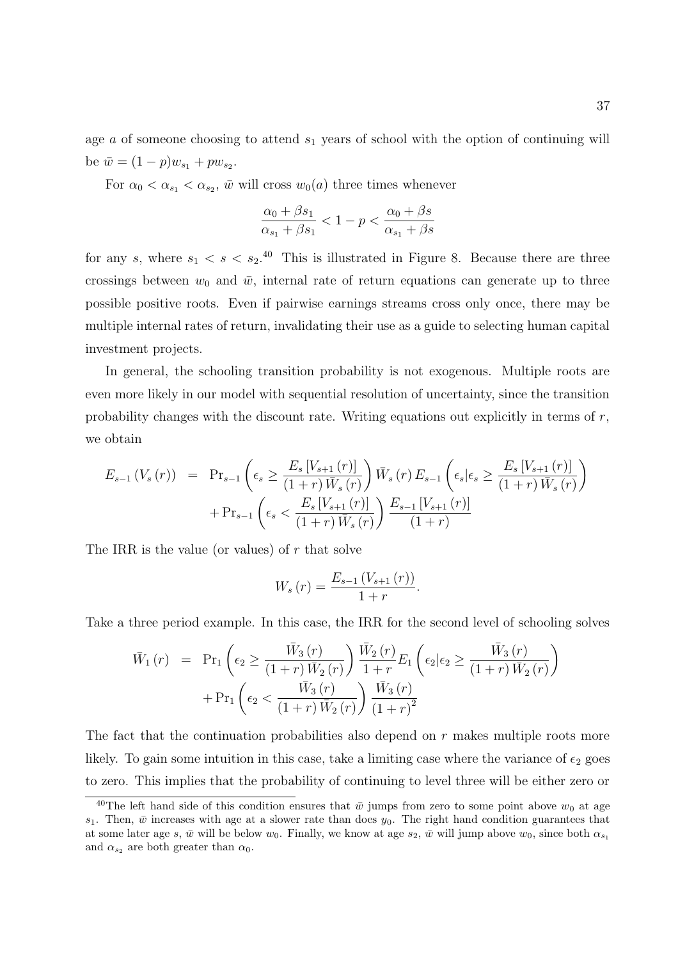age  $\alpha$  of someone choosing to attend  $s_1$  years of school with the option of continuing will be  $\bar{w} = (1 - p)w_{s_1} + pw_{s_2}$ .

For  $\alpha_0 < \alpha_{s_1} < \alpha_{s_2}$ , we will cross  $w_0(a)$  three times whenever

$$
\frac{\alpha_0 + \beta s_1}{\alpha_{s_1} + \beta s_1} < 1 - p < \frac{\alpha_0 + \beta s}{\alpha_{s_1} + \beta s}
$$

for any s, where  $s_1 < s < s_2$ .<sup>40</sup> This is illustrated in Figure 8. Because there are three crossings between  $w_0$  and  $\bar{w}$ , internal rate of return equations can generate up to three possible positive roots. Even if pairwise earnings streams cross only once, there may be multiple internal rates of return, invalidating their use as a guide to selecting human capital investment projects.

In general, the schooling transition probability is not exogenous. Multiple roots are even more likely in our model with sequential resolution of uncertainty, since the transition probability changes with the discount rate. Writing equations out explicitly in terms of  $r$ , we obtain

$$
E_{s-1} (V_s (r)) = \Pr_{s-1} \left( \epsilon_s \ge \frac{E_s [V_{s+1} (r)]}{(1+r) \bar{W}_s (r)} \right) \bar{W}_s (r) E_{s-1} \left( \epsilon_s | \epsilon_s \ge \frac{E_s [V_{s+1} (r)]}{(1+r) \bar{W}_s (r)} \right) + \Pr_{s-1} \left( \epsilon_s < \frac{E_s [V_{s+1} (r)]}{(1+r) \bar{W}_s (r)} \right) \frac{E_{s-1} [V_{s+1} (r)]}{(1+r)}
$$

The IRR is the value (or values) of  $r$  that solve

$$
W_s(r) = \frac{E_{s-1} (V_{s+1} (r))}{1+r}.
$$

Take a three period example. In this case, the IRR for the second level of schooling solves

$$
\bar{W}_{1}(r) = \Pr_{1} \left( \epsilon_{2} \ge \frac{\bar{W}_{3}(r)}{(1+r)\bar{W}_{2}(r)} \right) \frac{\bar{W}_{2}(r)}{1+r} E_{1} \left( \epsilon_{2} | \epsilon_{2} \ge \frac{\bar{W}_{3}(r)}{(1+r)\bar{W}_{2}(r)} \right) \n+ \Pr_{1} \left( \epsilon_{2} < \frac{\bar{W}_{3}(r)}{(1+r)\bar{W}_{2}(r)} \right) \frac{\bar{W}_{3}(r)}{(1+r)^{2}}
$$

The fact that the continuation probabilities also depend on r makes multiple roots more likely. To gain some intuition in this case, take a limiting case where the variance of  $\epsilon_2$  goes to zero. This implies that the probability of continuing to level three will be either zero or

<sup>&</sup>lt;sup>40</sup>The left hand side of this condition ensures that  $\bar{w}$  jumps from zero to some point above  $w_0$  at age  $s_1$ . Then,  $\bar{w}$  increases with age at a slower rate than does  $y_0$ . The right hand condition guarantees that at some later age s,  $\bar{w}$  will be below  $w_0$ . Finally, we know at age  $s_2$ ,  $\bar{w}$  will jump above  $w_0$ , since both  $\alpha_{s_1}$ and  $\alpha_{s_2}$  are both greater than  $\alpha_0$ .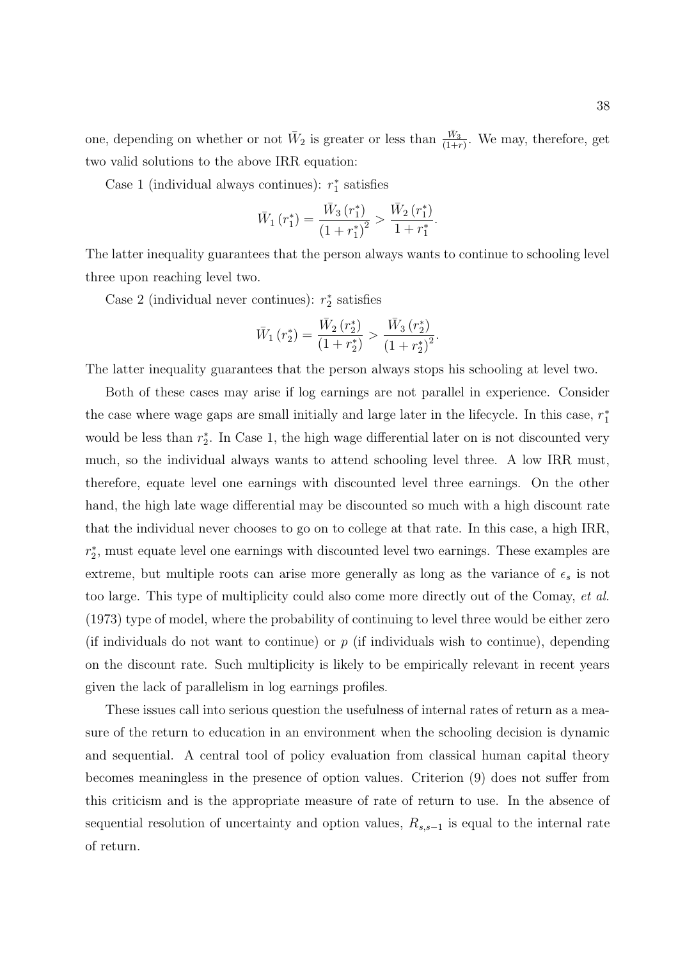one, depending on whether or not  $\bar{W}_2$  is greater or less than  $\frac{\bar{W}_3}{(1+r)}$ . We may, therefore, get two valid solutions to the above IRR equation:

Case 1 (individual always continues):  $r_1^*$  satisfies

$$
\bar{W}_1(r_1^*) = \frac{\bar{W}_3(r_1^*)}{\left(1 + r_1^*\right)^2} > \frac{\bar{W}_2(r_1^*)}{1 + r_1^*}.
$$

The latter inequality guarantees that the person always wants to continue to schooling level three upon reaching level two.

Case 2 (individual never continues):  $r_2^*$  satisfies

$$
\bar{W}_1(r_2^*) = \frac{\bar{W}_2(r_2^*)}{(1+r_2^*)} > \frac{\bar{W}_3(r_2^*)}{(1+r_2^*)^2}.
$$

The latter inequality guarantees that the person always stops his schooling at level two.

Both of these cases may arise if log earnings are not parallel in experience. Consider the case where wage gaps are small initially and large later in the lifecycle. In this case,  $r_1^*$ would be less than  $r_2^*$ . In Case 1, the high wage differential later on is not discounted very much, so the individual always wants to attend schooling level three. A low IRR must, therefore, equate level one earnings with discounted level three earnings. On the other hand, the high late wage differential may be discounted so much with a high discount rate that the individual never chooses to go on to college at that rate. In this case, a high IRR,  $r_2^*$ , must equate level one earnings with discounted level two earnings. These examples are extreme, but multiple roots can arise more generally as long as the variance of  $\epsilon_s$  is not too large. This type of multiplicity could also come more directly out of the Comay, et al. (1973) type of model, where the probability of continuing to level three would be either zero (if individuals do not want to continue) or  $p$  (if individuals wish to continue), depending on the discount rate. Such multiplicity is likely to be empirically relevant in recent years given the lack of parallelism in log earnings profiles.

These issues call into serious question the usefulness of internal rates of return as a measure of the return to education in an environment when the schooling decision is dynamic and sequential. A central tool of policy evaluation from classical human capital theory becomes meaningless in the presence of option values. Criterion (9) does not suffer from this criticism and is the appropriate measure of rate of return to use. In the absence of sequential resolution of uncertainty and option values,  $R_{s,s-1}$  is equal to the internal rate of return.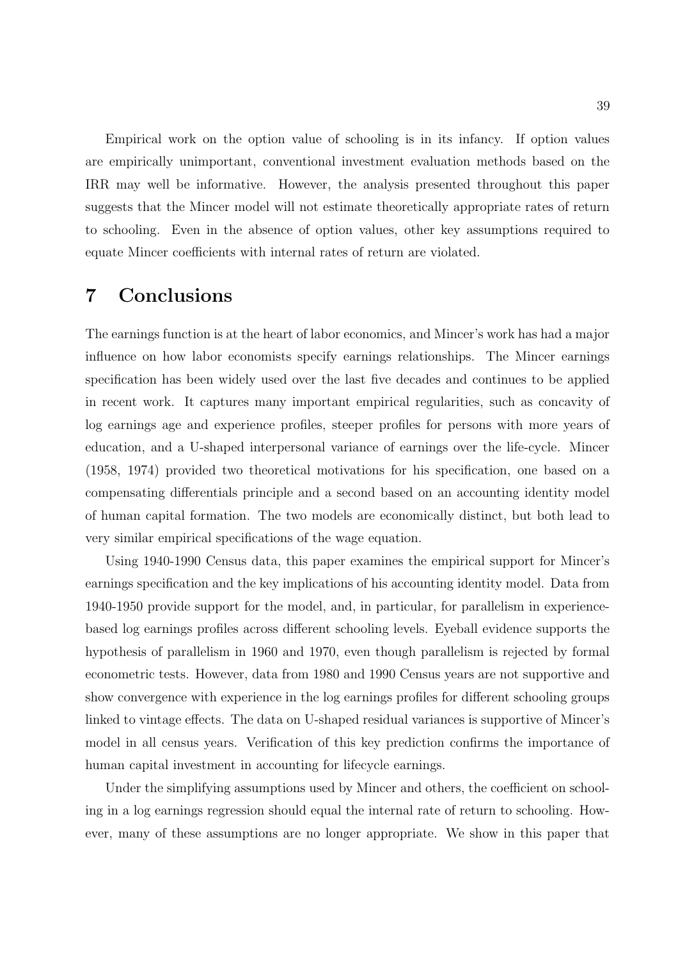Empirical work on the option value of schooling is in its infancy. If option values are empirically unimportant, conventional investment evaluation methods based on the IRR may well be informative. However, the analysis presented throughout this paper suggests that the Mincer model will not estimate theoretically appropriate rates of return to schooling. Even in the absence of option values, other key assumptions required to equate Mincer coefficients with internal rates of return are violated.

# 7 Conclusions

The earnings function is at the heart of labor economics, and Mincer's work has had a major influence on how labor economists specify earnings relationships. The Mincer earnings specification has been widely used over the last five decades and continues to be applied in recent work. It captures many important empirical regularities, such as concavity of log earnings age and experience profiles, steeper profiles for persons with more years of education, and a U-shaped interpersonal variance of earnings over the life-cycle. Mincer (1958, 1974) provided two theoretical motivations for his specification, one based on a compensating differentials principle and a second based on an accounting identity model of human capital formation. The two models are economically distinct, but both lead to very similar empirical specifications of the wage equation.

Using 1940-1990 Census data, this paper examines the empirical support for Mincer's earnings specification and the key implications of his accounting identity model. Data from 1940-1950 provide support for the model, and, in particular, for parallelism in experiencebased log earnings profiles across different schooling levels. Eyeball evidence supports the hypothesis of parallelism in 1960 and 1970, even though parallelism is rejected by formal econometric tests. However, data from 1980 and 1990 Census years are not supportive and show convergence with experience in the log earnings profiles for different schooling groups linked to vintage effects. The data on U-shaped residual variances is supportive of Mincer's model in all census years. Verification of this key prediction confirms the importance of human capital investment in accounting for lifecycle earnings.

Under the simplifying assumptions used by Mincer and others, the coefficient on schooling in a log earnings regression should equal the internal rate of return to schooling. However, many of these assumptions are no longer appropriate. We show in this paper that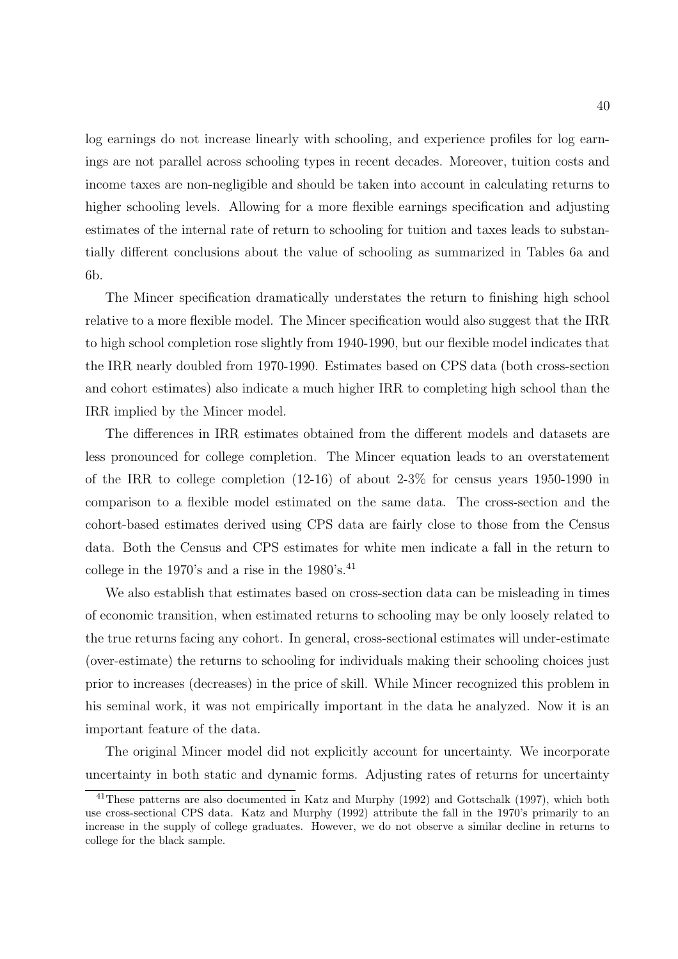log earnings do not increase linearly with schooling, and experience profiles for log earnings are not parallel across schooling types in recent decades. Moreover, tuition costs and income taxes are non-negligible and should be taken into account in calculating returns to higher schooling levels. Allowing for a more flexible earnings specification and adjusting estimates of the internal rate of return to schooling for tuition and taxes leads to substantially different conclusions about the value of schooling as summarized in Tables 6a and 6b.

The Mincer specification dramatically understates the return to finishing high school relative to a more flexible model. The Mincer specification would also suggest that the IRR to high school completion rose slightly from 1940-1990, but our flexible model indicates that the IRR nearly doubled from 1970-1990. Estimates based on CPS data (both cross-section and cohort estimates) also indicate a much higher IRR to completing high school than the IRR implied by the Mincer model.

The differences in IRR estimates obtained from the different models and datasets are less pronounced for college completion. The Mincer equation leads to an overstatement of the IRR to college completion (12-16) of about 2-3% for census years 1950-1990 in comparison to a flexible model estimated on the same data. The cross-section and the cohort-based estimates derived using CPS data are fairly close to those from the Census data. Both the Census and CPS estimates for white men indicate a fall in the return to college in the 1970's and a rise in the  $1980\text{'s}$ .<sup>41</sup>

We also establish that estimates based on cross-section data can be misleading in times of economic transition, when estimated returns to schooling may be only loosely related to the true returns facing any cohort. In general, cross-sectional estimates will under-estimate (over-estimate) the returns to schooling for individuals making their schooling choices just prior to increases (decreases) in the price of skill. While Mincer recognized this problem in his seminal work, it was not empirically important in the data he analyzed. Now it is an important feature of the data.

The original Mincer model did not explicitly account for uncertainty. We incorporate uncertainty in both static and dynamic forms. Adjusting rates of returns for uncertainty

<sup>&</sup>lt;sup>41</sup>These patterns are also documented in Katz and Murphy (1992) and Gottschalk (1997), which both use cross-sectional CPS data. Katz and Murphy (1992) attribute the fall in the 1970's primarily to an increase in the supply of college graduates. However, we do not observe a similar decline in returns to college for the black sample.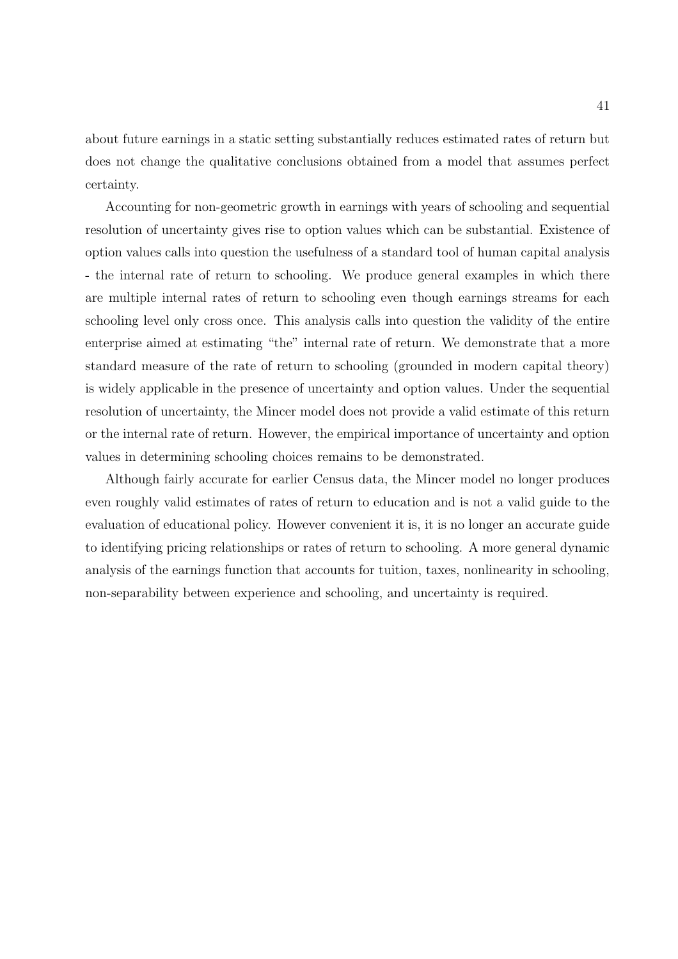about future earnings in a static setting substantially reduces estimated rates of return but does not change the qualitative conclusions obtained from a model that assumes perfect certainty.

Accounting for non-geometric growth in earnings with years of schooling and sequential resolution of uncertainty gives rise to option values which can be substantial. Existence of option values calls into question the usefulness of a standard tool of human capital analysis - the internal rate of return to schooling. We produce general examples in which there are multiple internal rates of return to schooling even though earnings streams for each schooling level only cross once. This analysis calls into question the validity of the entire enterprise aimed at estimating "the" internal rate of return. We demonstrate that a more standard measure of the rate of return to schooling (grounded in modern capital theory) is widely applicable in the presence of uncertainty and option values. Under the sequential resolution of uncertainty, the Mincer model does not provide a valid estimate of this return or the internal rate of return. However, the empirical importance of uncertainty and option values in determining schooling choices remains to be demonstrated.

Although fairly accurate for earlier Census data, the Mincer model no longer produces even roughly valid estimates of rates of return to education and is not a valid guide to the evaluation of educational policy. However convenient it is, it is no longer an accurate guide to identifying pricing relationships or rates of return to schooling. A more general dynamic analysis of the earnings function that accounts for tuition, taxes, nonlinearity in schooling, non-separability between experience and schooling, and uncertainty is required.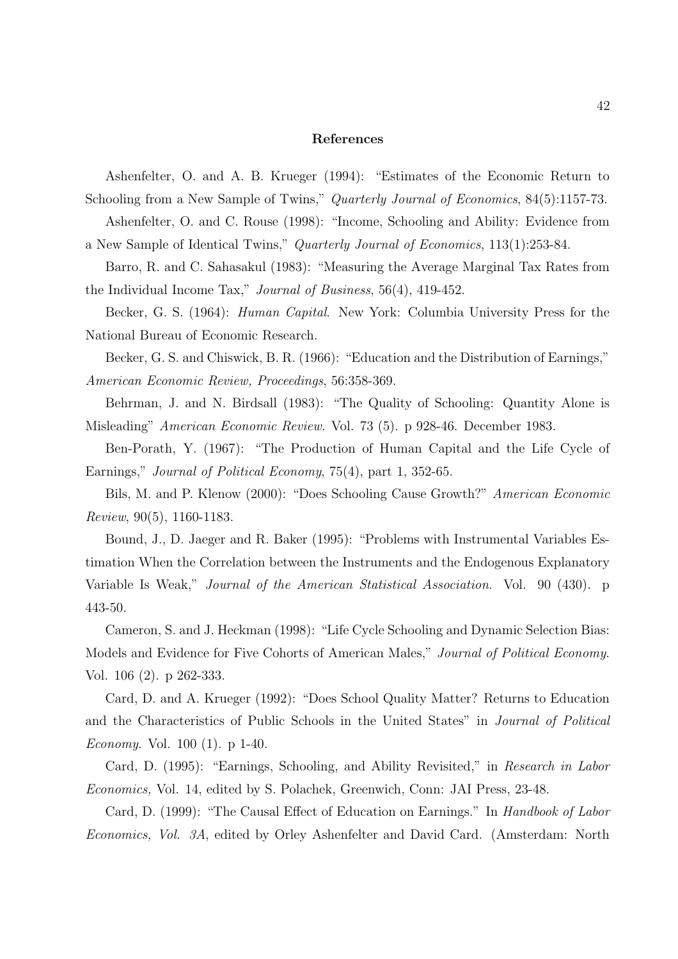#### References

Ashenfelter, O. and A. B. Krueger (1994): "Estimates of the Economic Return to Schooling from a New Sample of Twins," Quarterly Journal of Economics, 84(5):1157-73.

Ashenfelter, O. and C. Rouse (1998): "Income, Schooling and Ability: Evidence from a New Sample of Identical Twins," Quarterly Journal of Economics, 113(1):253-84.

Barro, R. and C. Sahasakul (1983): "Measuring the Average Marginal Tax Rates from the Individual Income Tax," Journal of Business, 56(4), 419-452.

Becker, G. S. (1964): Human Capital. New York: Columbia University Press for the National Bureau of Economic Research.

Becker, G. S. and Chiswick, B. R. (1966): "Education and the Distribution of Earnings," American Economic Review, Proceedings, 56:358-369.

Behrman, J. and N. Birdsall (1983): "The Quality of Schooling: Quantity Alone is Misleading" American Economic Review. Vol. 73 (5). p 928-46. December 1983.

Ben-Porath, Y. (1967): "The Production of Human Capital and the Life Cycle of Earnings," *Journal of Political Economy*, 75(4), part 1, 352-65.

Bils, M. and P. Klenow (2000): "Does Schooling Cause Growth?" American Economic Review, 90(5), 1160-1183.

Bound, J., D. Jaeger and R. Baker (1995): "Problems with Instrumental Variables Estimation When the Correlation between the Instruments and the Endogenous Explanatory Variable Is Weak," Journal of the American Statistical Association. Vol. 90 (430). p 443-50.

Cameron, S. and J. Heckman (1998): "Life Cycle Schooling and Dynamic Selection Bias: Models and Evidence for Five Cohorts of American Males," Journal of Political Economy. Vol. 106 (2). p 262-333.

Card, D. and A. Krueger (1992): "Does School Quality Matter? Returns to Education and the Characteristics of Public Schools in the United States" in Journal of Political Economy. Vol. 100 (1). p 1-40.

Card, D. (1995): "Earnings, Schooling, and Ability Revisited," in Research in Labor Economics, Vol. 14, edited by S. Polachek, Greenwich, Conn: JAI Press, 23-48.

Card, D. (1999): "The Causal Effect of Education on Earnings." In Handbook of Labor Economics, Vol. 3A, edited by Orley Ashenfelter and David Card. (Amsterdam: North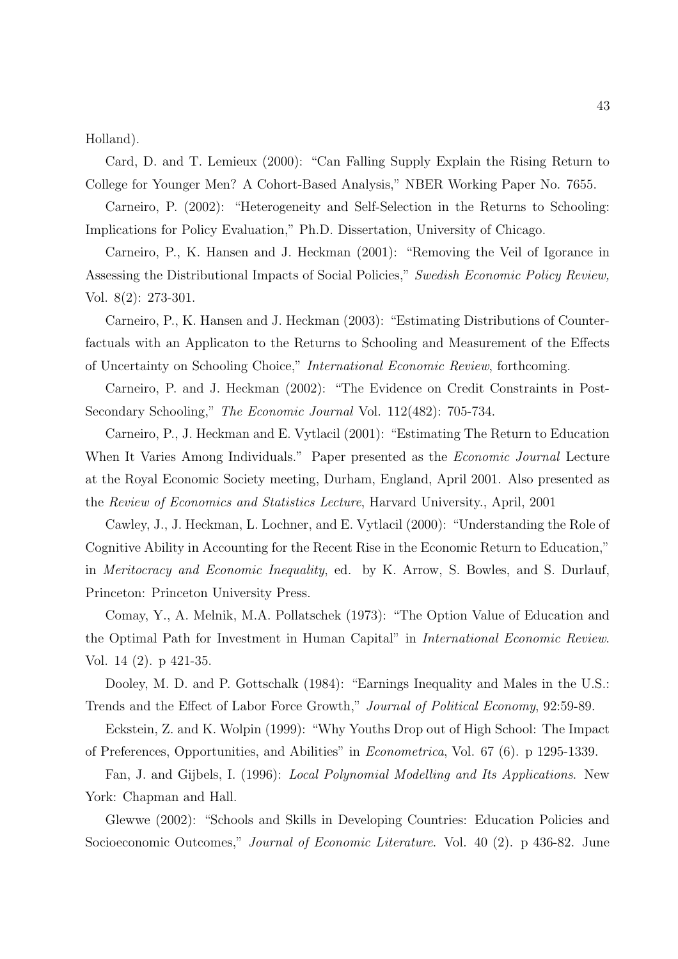Holland).

Card, D. and T. Lemieux (2000): "Can Falling Supply Explain the Rising Return to College for Younger Men? A Cohort-Based Analysis," NBER Working Paper No. 7655.

Carneiro, P. (2002): "Heterogeneity and Self-Selection in the Returns to Schooling: Implications for Policy Evaluation," Ph.D. Dissertation, University of Chicago.

Carneiro, P., K. Hansen and J. Heckman (2001): "Removing the Veil of Igorance in Assessing the Distributional Impacts of Social Policies," Swedish Economic Policy Review, Vol. 8(2): 273-301.

Carneiro, P., K. Hansen and J. Heckman (2003): "Estimating Distributions of Counterfactuals with an Applicaton to the Returns to Schooling and Measurement of the Effects of Uncertainty on Schooling Choice," International Economic Review, forthcoming.

Carneiro, P. and J. Heckman (2002): "The Evidence on Credit Constraints in Post-Secondary Schooling," The Economic Journal Vol. 112(482): 705-734.

Carneiro, P., J. Heckman and E. Vytlacil (2001): "Estimating The Return to Education When It Varies Among Individuals." Paper presented as the *Economic Journal* Lecture at the Royal Economic Society meeting, Durham, England, April 2001. Also presented as the Review of Economics and Statistics Lecture, Harvard University., April, 2001

Cawley, J., J. Heckman, L. Lochner, and E. Vytlacil (2000): "Understanding the Role of Cognitive Ability in Accounting for the Recent Rise in the Economic Return to Education," in Meritocracy and Economic Inequality, ed. by K. Arrow, S. Bowles, and S. Durlauf, Princeton: Princeton University Press.

Comay, Y., A. Melnik, M.A. Pollatschek (1973): "The Option Value of Education and the Optimal Path for Investment in Human Capital" in International Economic Review. Vol. 14 (2). p 421-35.

Dooley, M. D. and P. Gottschalk (1984): "Earnings Inequality and Males in the U.S.: Trends and the Effect of Labor Force Growth," Journal of Political Economy, 92:59-89.

Eckstein, Z. and K. Wolpin (1999): "Why Youths Drop out of High School: The Impact of Preferences, Opportunities, and Abilities" in Econometrica, Vol. 67 (6). p 1295-1339.

Fan, J. and Gijbels, I. (1996): Local Polynomial Modelling and Its Applications. New York: Chapman and Hall.

Glewwe (2002): "Schools and Skills in Developing Countries: Education Policies and Socioeconomic Outcomes," Journal of Economic Literature. Vol. 40 (2). p 436-82. June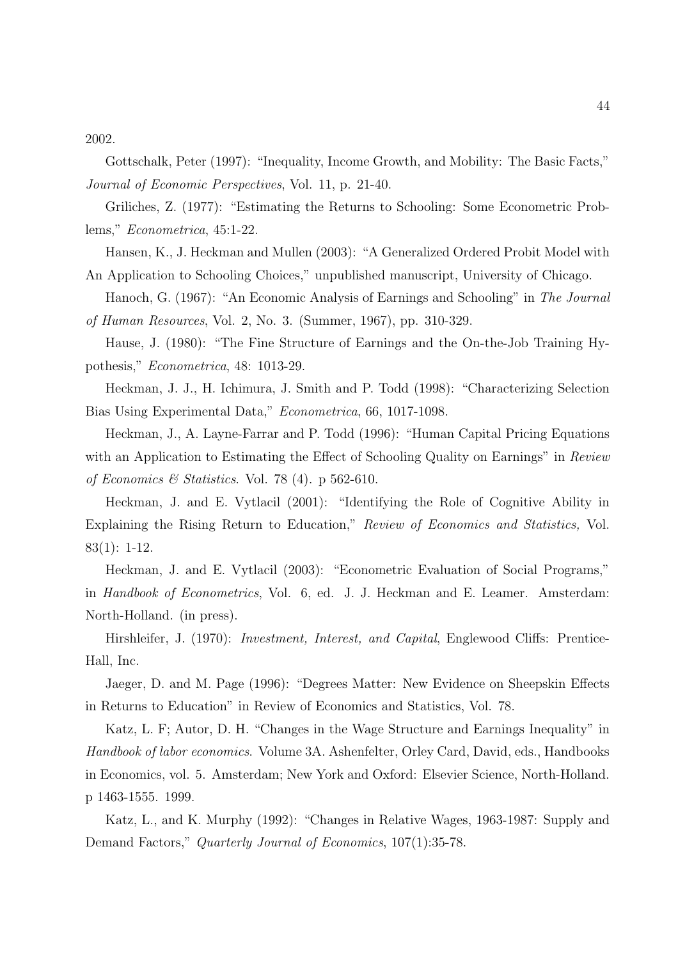2002.

Gottschalk, Peter (1997): "Inequality, Income Growth, and Mobility: The Basic Facts," Journal of Economic Perspectives, Vol. 11, p. 21-40.

Griliches, Z. (1977): "Estimating the Returns to Schooling: Some Econometric Problems," Econometrica, 45:1-22.

Hansen, K., J. Heckman and Mullen (2003): "A Generalized Ordered Probit Model with An Application to Schooling Choices," unpublished manuscript, University of Chicago.

Hanoch, G. (1967): "An Economic Analysis of Earnings and Schooling" in The Journal of Human Resources, Vol. 2, No. 3. (Summer, 1967), pp. 310-329.

Hause, J. (1980): "The Fine Structure of Earnings and the On-the-Job Training Hypothesis," Econometrica, 48: 1013-29.

Heckman, J. J., H. Ichimura, J. Smith and P. Todd (1998): "Characterizing Selection Bias Using Experimental Data," Econometrica, 66, 1017-1098.

Heckman, J., A. Layne-Farrar and P. Todd (1996): "Human Capital Pricing Equations with an Application to Estimating the Effect of Schooling Quality on Earnings" in Review of Economics & Statistics. Vol. 78 (4). p 562-610.

Heckman, J. and E. Vytlacil (2001): "Identifying the Role of Cognitive Ability in Explaining the Rising Return to Education," Review of Economics and Statistics, Vol. 83(1): 1-12.

Heckman, J. and E. Vytlacil (2003): "Econometric Evaluation of Social Programs," in Handbook of Econometrics, Vol. 6, ed. J. J. Heckman and E. Leamer. Amsterdam: North-Holland. (in press).

Hirshleifer, J. (1970): *Investment, Interest, and Capital*, Englewood Cliffs: Prentice-Hall, Inc.

Jaeger, D. and M. Page (1996): "Degrees Matter: New Evidence on Sheepskin Effects in Returns to Education" in Review of Economics and Statistics, Vol. 78.

Katz, L. F; Autor, D. H. "Changes in the Wage Structure and Earnings Inequality" in Handbook of labor economics. Volume 3A. Ashenfelter, Orley Card, David, eds., Handbooks in Economics, vol. 5. Amsterdam; New York and Oxford: Elsevier Science, North-Holland. p 1463-1555. 1999.

Katz, L., and K. Murphy (1992): "Changes in Relative Wages, 1963-1987: Supply and Demand Factors," Quarterly Journal of Economics, 107(1):35-78.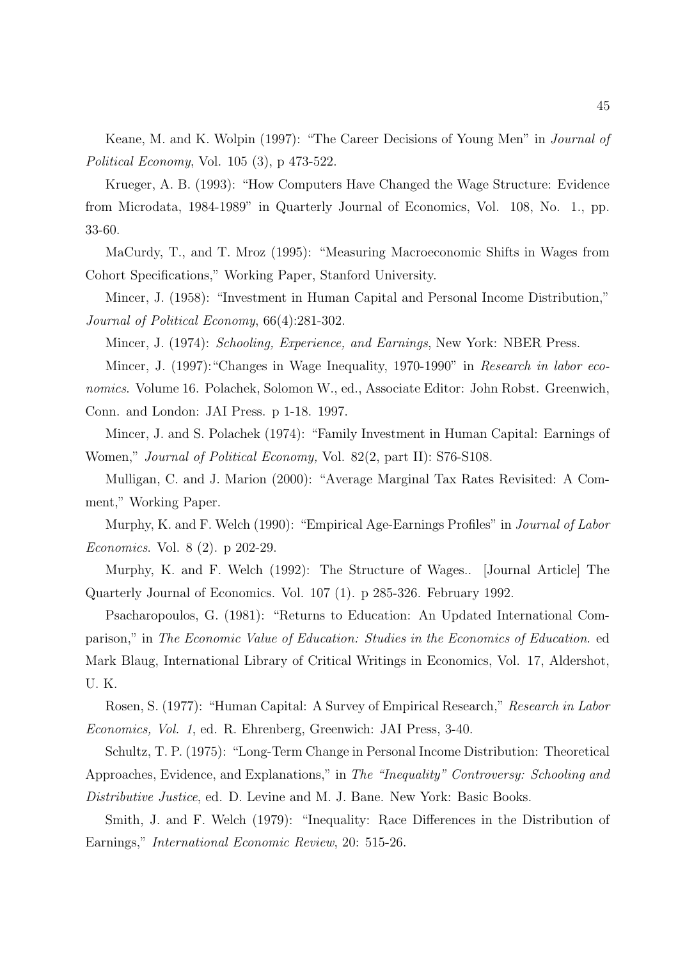Keane, M. and K. Wolpin (1997): "The Career Decisions of Young Men" in Journal of Political Economy, Vol. 105 (3), p 473-522.

Krueger, A. B. (1993): "How Computers Have Changed the Wage Structure: Evidence from Microdata, 1984-1989" in Quarterly Journal of Economics, Vol. 108, No. 1., pp. 33-60.

MaCurdy, T., and T. Mroz (1995): "Measuring Macroeconomic Shifts in Wages from Cohort Specifications," Working Paper, Stanford University.

Mincer, J. (1958): "Investment in Human Capital and Personal Income Distribution," Journal of Political Economy, 66(4):281-302.

Mincer, J. (1974): Schooling, Experience, and Earnings, New York: NBER Press.

Mincer, J. (1997):"Changes in Wage Inequality, 1970-1990" in Research in labor economics. Volume 16. Polachek, Solomon W., ed., Associate Editor: John Robst. Greenwich, Conn. and London: JAI Press. p 1-18. 1997.

Mincer, J. and S. Polachek (1974): "Family Investment in Human Capital: Earnings of Women," *Journal of Political Economy*, Vol. 82(2, part II): S76-S108.

Mulligan, C. and J. Marion (2000): "Average Marginal Tax Rates Revisited: A Comment," Working Paper.

Murphy, K. and F. Welch (1990): "Empirical Age-Earnings Profiles" in Journal of Labor Economics. Vol. 8 (2). p 202-29.

Murphy, K. and F. Welch (1992): The Structure of Wages.. [Journal Article] The Quarterly Journal of Economics. Vol. 107 (1). p 285-326. February 1992.

Psacharopoulos, G. (1981): "Returns to Education: An Updated International Comparison," in The Economic Value of Education: Studies in the Economics of Education. ed Mark Blaug, International Library of Critical Writings in Economics, Vol. 17, Aldershot, U. K.

Rosen, S. (1977): "Human Capital: A Survey of Empirical Research," Research in Labor Economics, Vol. 1, ed. R. Ehrenberg, Greenwich: JAI Press, 3-40.

Schultz, T. P. (1975): "Long-Term Change in Personal Income Distribution: Theoretical Approaches, Evidence, and Explanations," in The "Inequality" Controversy: Schooling and Distributive Justice, ed. D. Levine and M. J. Bane. New York: Basic Books.

Smith, J. and F. Welch (1979): "Inequality: Race Differences in the Distribution of Earnings," International Economic Review, 20: 515-26.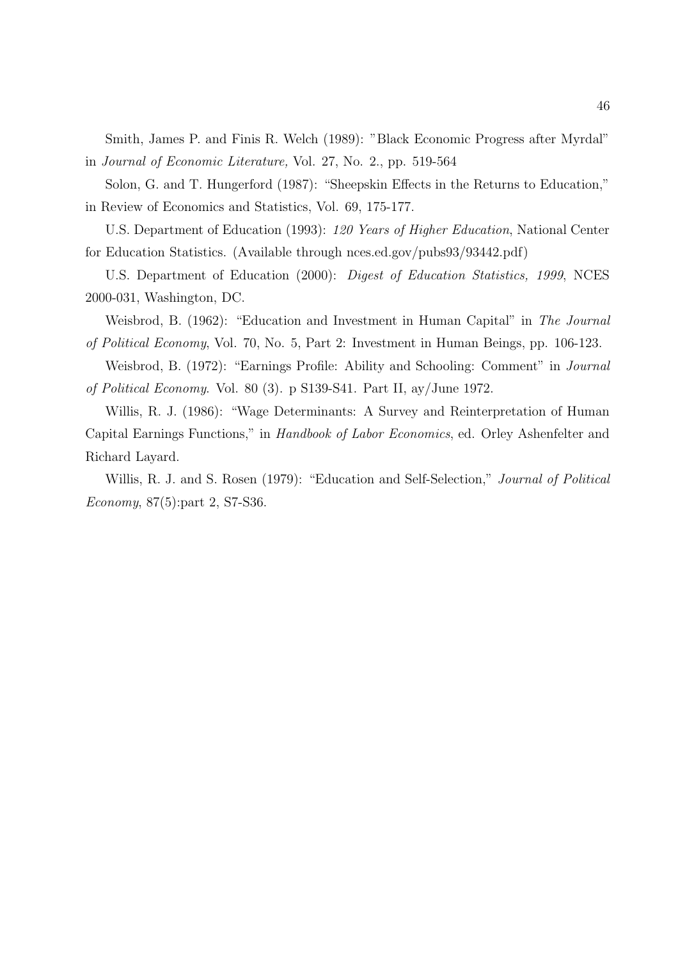Smith, James P. and Finis R. Welch (1989): "Black Economic Progress after Myrdal" in Journal of Economic Literature, Vol. 27, No. 2., pp. 519-564

Solon, G. and T. Hungerford (1987): "Sheepskin Effects in the Returns to Education," in Review of Economics and Statistics, Vol. 69, 175-177.

U.S. Department of Education (1993): 120 Years of Higher Education, National Center for Education Statistics. (Available through nces.ed.gov/pubs93/93442.pdf)

U.S. Department of Education (2000): Digest of Education Statistics, 1999, NCES 2000-031, Washington, DC.

Weisbrod, B. (1962): "Education and Investment in Human Capital" in The Journal of Political Economy, Vol. 70, No. 5, Part 2: Investment in Human Beings, pp. 106-123.

Weisbrod, B. (1972): "Earnings Profile: Ability and Schooling: Comment" in Journal of Political Economy. Vol. 80 (3). p S139-S41. Part II, ay/June 1972.

Willis, R. J. (1986): "Wage Determinants: A Survey and Reinterpretation of Human Capital Earnings Functions," in Handbook of Labor Economics, ed. Orley Ashenfelter and Richard Layard.

Willis, R. J. and S. Rosen (1979): "Education and Self-Selection," *Journal of Political* Economy, 87(5):part 2, S7-S36.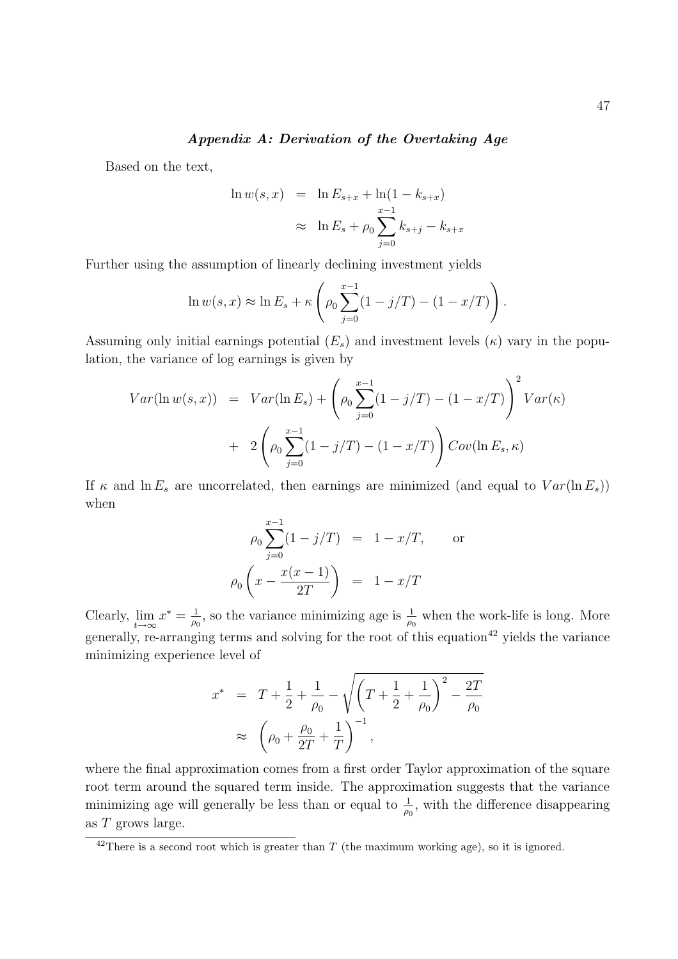### Appendix A: Derivation of the Overtaking Age

Based on the text,

$$
\ln w(s, x) = \ln E_{s+x} + \ln(1 - k_{s+x})
$$
  

$$
\approx \ln E_s + \rho_0 \sum_{j=0}^{x-1} k_{s+j} - k_{s+x}
$$

Further using the assumption of linearly declining investment yields

$$
\ln w(s, x) \approx \ln E_s + \kappa \left( \rho_0 \sum_{j=0}^{x-1} (1 - j/T) - (1 - x/T) \right).
$$

Assuming only initial earnings potential  $(E_s)$  and investment levels  $(\kappa)$  vary in the population, the variance of log earnings is given by

$$
Var(\ln w(s, x)) = Var(\ln E_s) + \left(\rho_0 \sum_{j=0}^{x-1} (1 - j/T) - (1 - x/T)\right)^2 Var(\kappa)
$$
  
+  $2\left(\rho_0 \sum_{j=0}^{x-1} (1 - j/T) - (1 - x/T)\right) Cov(\ln E_s, \kappa)$ 

If  $\kappa$  and  $\ln E_s$  are uncorrelated, then earnings are minimized (and equal to  $Var(\ln E_s)$ ) when

$$
\rho_0 \sum_{j=0}^{x-1} (1 - j/T) = 1 - x/T, \quad \text{or}
$$

$$
\rho_0 \left( x - \frac{x(x-1)}{2T} \right) = 1 - x/T
$$

Clearly,  $\lim_{t \to \infty} x^* = \frac{1}{\rho_0}$  $\frac{1}{\rho_0}$ , so the variance minimizing age is  $\frac{1}{\rho_0}$  when the work-life is long. More generally, re-arranging terms and solving for the root of this equation<sup>42</sup> yields the variance minimizing experience level of

$$
x^* = T + \frac{1}{2} + \frac{1}{\rho_0} - \sqrt{\left(T + \frac{1}{2} + \frac{1}{\rho_0}\right)^2 - \frac{2T}{\rho_0}}
$$
  
 
$$
\approx \left(\rho_0 + \frac{\rho_0}{2T} + \frac{1}{T}\right)^{-1},
$$

where the final approximation comes from a first order Taylor approximation of the square root term around the squared term inside. The approximation suggests that the variance minimizing age will generally be less than or equal to  $\frac{1}{\rho_0}$ , with the difference disappearing as T grows large.

 $42$ There is a second root which is greater than T (the maximum working age), so it is ignored.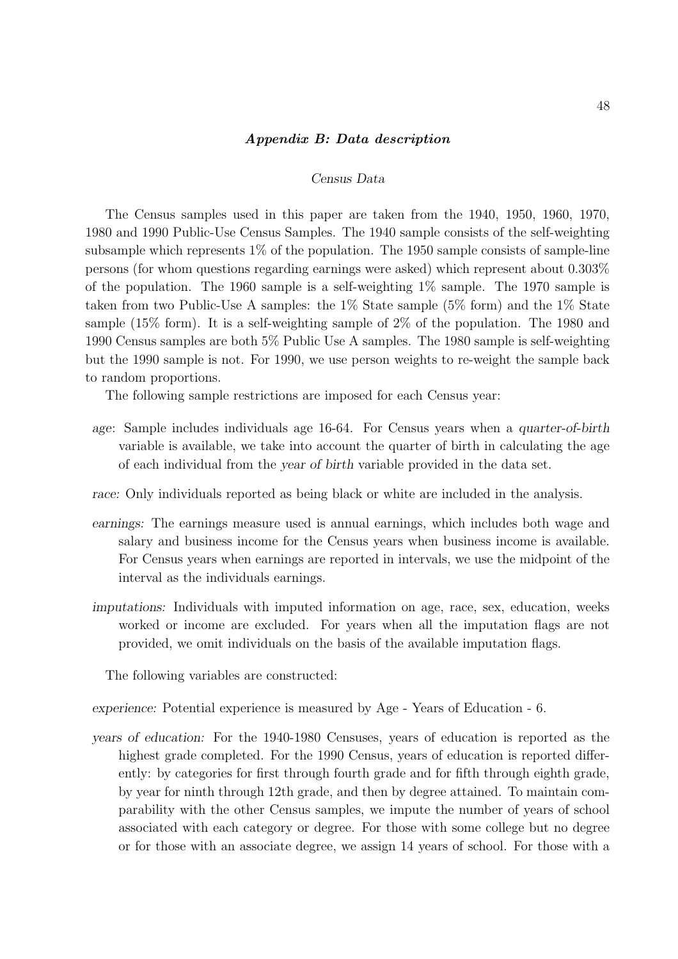#### Appendix B: Data description

#### Census Data

The Census samples used in this paper are taken from the 1940, 1950, 1960, 1970, 1980 and 1990 Public-Use Census Samples. The 1940 sample consists of the self-weighting subsample which represents 1% of the population. The 1950 sample consists of sample-line persons (for whom questions regarding earnings were asked) which represent about 0.303% of the population. The 1960 sample is a self-weighting 1% sample. The 1970 sample is taken from two Public-Use A samples: the  $1\%$  State sample ( $5\%$  form) and the  $1\%$  State sample (15% form). It is a self-weighting sample of 2% of the population. The 1980 and 1990 Census samples are both 5% Public Use A samples. The 1980 sample is self-weighting but the 1990 sample is not. For 1990, we use person weights to re-weight the sample back to random proportions.

The following sample restrictions are imposed for each Census year:

- age: Sample includes individuals age 16-64. For Census years when a quarter-of-birth variable is available, we take into account the quarter of birth in calculating the age of each individual from the year of birth variable provided in the data set.
- race: Only individuals reported as being black or white are included in the analysis.
- earnings: The earnings measure used is annual earnings, which includes both wage and salary and business income for the Census years when business income is available. For Census years when earnings are reported in intervals, we use the midpoint of the interval as the individuals earnings.
- imputations: Individuals with imputed information on age, race, sex, education, weeks worked or income are excluded. For years when all the imputation flags are not provided, we omit individuals on the basis of the available imputation flags.

The following variables are constructed:

experience: Potential experience is measured by Age - Years of Education - 6.

years of education: For the 1940-1980 Censuses, years of education is reported as the highest grade completed. For the 1990 Census, years of education is reported differently: by categories for first through fourth grade and for fifth through eighth grade, by year for ninth through 12th grade, and then by degree attained. To maintain comparability with the other Census samples, we impute the number of years of school associated with each category or degree. For those with some college but no degree or for those with an associate degree, we assign 14 years of school. For those with a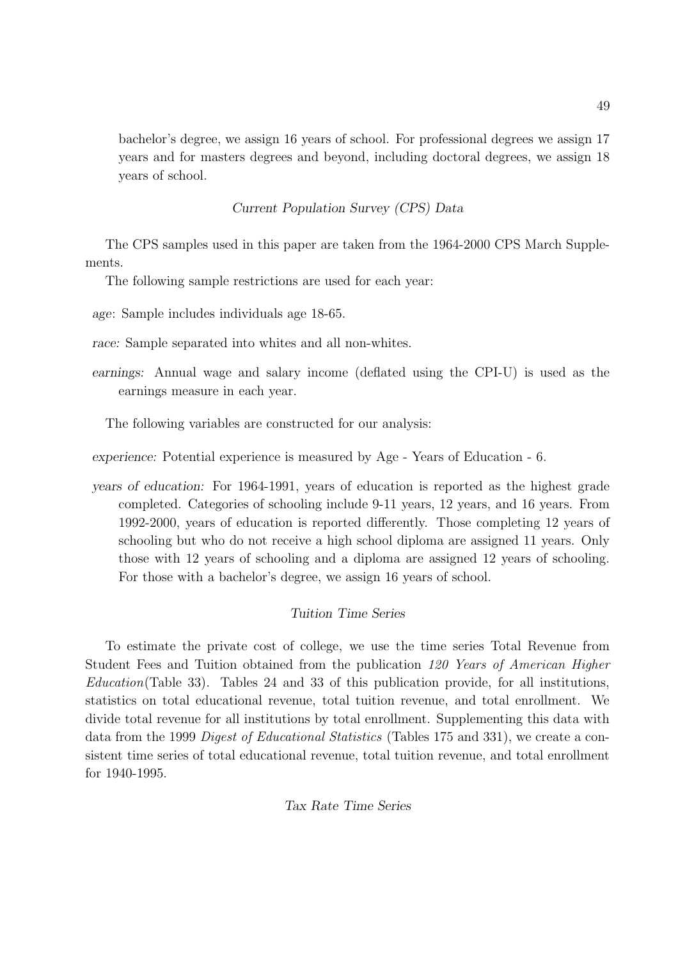bachelor's degree, we assign 16 years of school. For professional degrees we assign 17 years and for masters degrees and beyond, including doctoral degrees, we assign 18 years of school.

# Current Population Survey (CPS) Data

The CPS samples used in this paper are taken from the 1964-2000 CPS March Supplements.

The following sample restrictions are used for each year:

age: Sample includes individuals age 18-65.

race: Sample separated into whites and all non-whites.

earnings: Annual wage and salary income (deflated using the CPI-U) is used as the earnings measure in each year.

The following variables are constructed for our analysis:

experience: Potential experience is measured by Age - Years of Education - 6.

years of education: For 1964-1991, years of education is reported as the highest grade completed. Categories of schooling include 9-11 years, 12 years, and 16 years. From 1992-2000, years of education is reported differently. Those completing 12 years of schooling but who do not receive a high school diploma are assigned 11 years. Only those with 12 years of schooling and a diploma are assigned 12 years of schooling. For those with a bachelor's degree, we assign 16 years of school.

# Tuition Time Series

To estimate the private cost of college, we use the time series Total Revenue from Student Fees and Tuition obtained from the publication 120 Years of American Higher Education(Table 33). Tables 24 and 33 of this publication provide, for all institutions, statistics on total educational revenue, total tuition revenue, and total enrollment. We divide total revenue for all institutions by total enrollment. Supplementing this data with data from the 1999 Digest of Educational Statistics (Tables 175 and 331), we create a consistent time series of total educational revenue, total tuition revenue, and total enrollment for 1940-1995.

# Tax Rate Time Series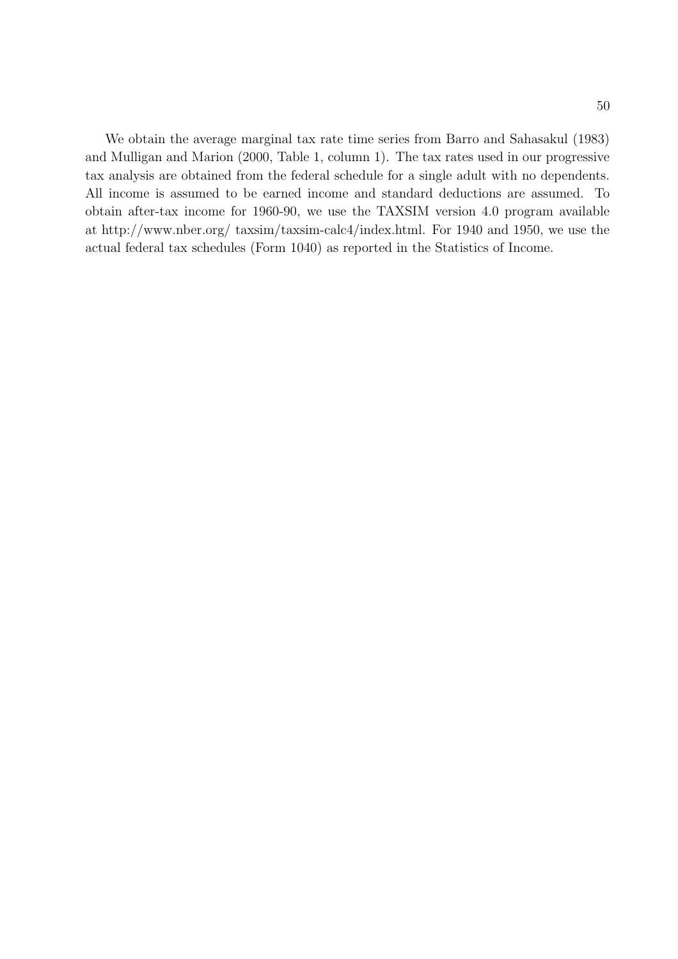We obtain the average marginal tax rate time series from Barro and Sahasakul (1983) and Mulligan and Marion (2000, Table 1, column 1). The tax rates used in our progressive tax analysis are obtained from the federal schedule for a single adult with no dependents. All income is assumed to be earned income and standard deductions are assumed. To obtain after-tax income for 1960-90, we use the TAXSIM version 4.0 program available at http://www.nber.org/ taxsim/taxsim-calc4/index.html. For 1940 and 1950, we use the actual federal tax schedules (Form 1040) as reported in the Statistics of Income.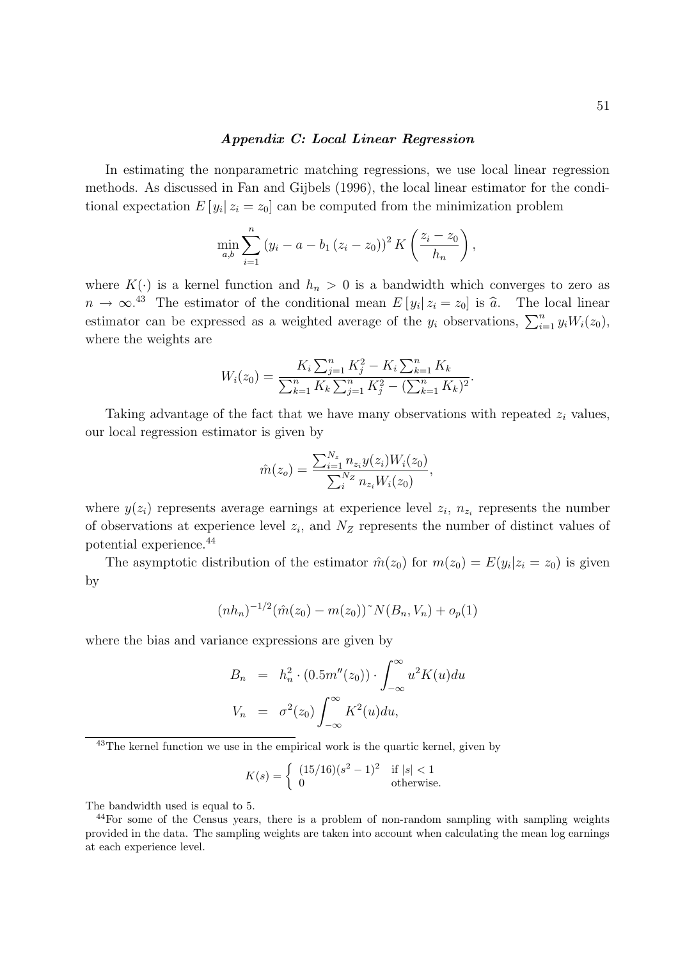#### Appendix C: Local Linear Regression

In estimating the nonparametric matching regressions, we use local linear regression methods. As discussed in Fan and Gijbels (1996), the local linear estimator for the conditional expectation  $E[y_i | z_i = z_0]$  can be computed from the minimization problem

$$
\min_{a,b} \sum_{i=1}^{n} (y_i - a - b_1 (z_i - z_0))^2 K\left(\frac{z_i - z_0}{h_n}\right),
$$

where  $K(\cdot)$  is a kernel function and  $h_n > 0$  is a bandwidth which converges to zero as  $n \to \infty^{43}$  The estimator of the conditional mean  $E[y_i | z_i = z_0]$  is  $\widehat{a}$ . The local linear estimator can be expressed as a weighted average of the  $y_i$  observations,  $\sum_{i=1}^n y_i W_i(z_0)$ , where the weights are

$$
W_i(z_0) = \frac{K_i \sum_{j=1}^n K_j^2 - K_i \sum_{k=1}^n K_k}{\sum_{k=1}^n K_k \sum_{j=1}^n K_j^2 - (\sum_{k=1}^n K_k)^2}.
$$

Taking advantage of the fact that we have many observations with repeated  $z_i$  values, our local regression estimator is given by

$$
\hat{m}(z_o) = \frac{\sum_{i=1}^{N_z} n_{z_i} y(z_i) W_i(z_0)}{\sum_{i=1}^{N_z} n_{z_i} W_i(z_0)},
$$

where  $y(z_i)$  represents average earnings at experience level  $z_i$ ,  $n_{z_i}$  represents the number of observations at experience level  $z_i$ , and  $N_Z$  represents the number of distinct values of potential experience.<sup>44</sup>

The asymptotic distribution of the estimator  $\hat{m}(z_0)$  for  $m(z_0) = E(y_i | z_i = z_0)$  is given by

$$
(nh_n)^{-1/2}(\hat{m}(z_0) - m(z_0))^{\sim} N(B_n, V_n) + o_p(1)
$$

where the bias and variance expressions are given by

$$
B_n = h_n^2 \cdot (0.5m''(z_0)) \cdot \int_{-\infty}^{\infty} u^2 K(u) du
$$
  

$$
V_n = \sigma^2(z_0) \int_{-\infty}^{\infty} K^2(u) du,
$$

 $^{43}$ The kernel function we use in the empirical work is the quartic kernel, given by

$$
K(s) = \begin{cases} (15/16)(s^2 - 1)^2 & \text{if } |s| < 1\\ 0 & \text{otherwise.} \end{cases}
$$

The bandwidth used is equal to 5.

<sup>44</sup>For some of the Census years, there is a problem of non-random sampling with sampling weights provided in the data. The sampling weights are taken into account when calculating the mean log earnings at each experience level.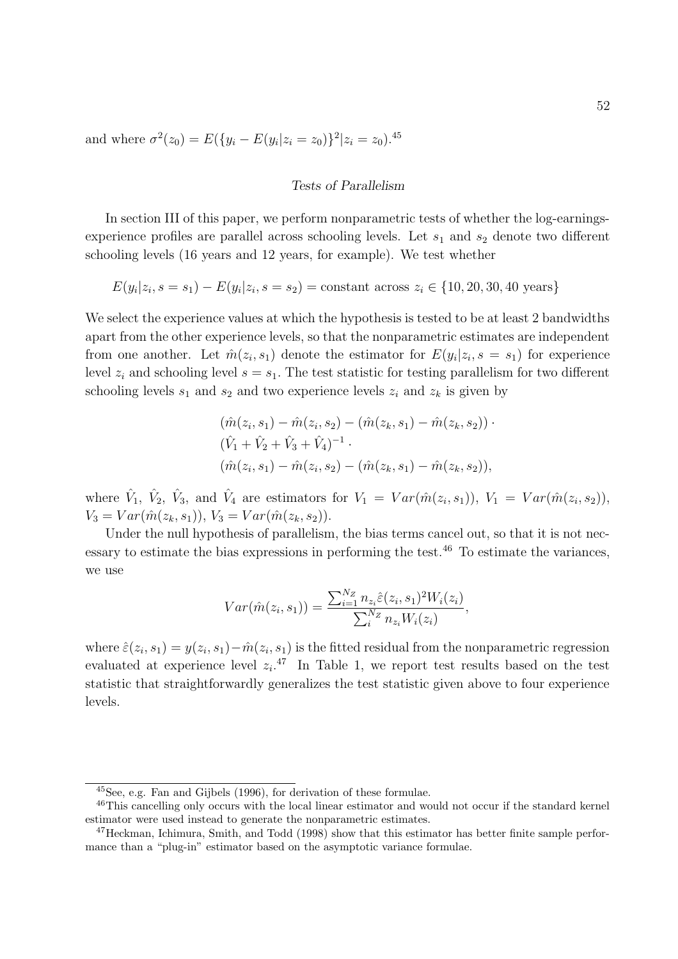and where  $\sigma^2(z_0) = E(\{y_i - E(y_i | z_i = z_0)\}^2 | z_i = z_0).$ <sup>45</sup>

#### Tests of Parallelism

In section III of this paper, we perform nonparametric tests of whether the log-earningsexperience profiles are parallel across schooling levels. Let  $s_1$  and  $s_2$  denote two different schooling levels (16 years and 12 years, for example). We test whether

$$
E(y_i|z_i, s = s_1) - E(y_i|z_i, s = s_2) = \text{constant across } z_i \in \{10, 20, 30, 40 \text{ years}\}\
$$

We select the experience values at which the hypothesis is tested to be at least 2 bandwidths apart from the other experience levels, so that the nonparametric estimates are independent from one another. Let  $\hat{m}(z_i, s_1)$  denote the estimator for  $E(y_i|z_i, s = s_1)$  for experience level  $z_i$  and schooling level  $s = s_1$ . The test statistic for testing parallelism for two different schooling levels  $s_1$  and  $s_2$  and two experience levels  $z_i$  and  $z_k$  is given by

$$
(\hat{m}(z_i, s_1) - \hat{m}(z_i, s_2) - (\hat{m}(z_k, s_1) - \hat{m}(z_k, s_2)) \cdot
$$
  

$$
(\hat{V}_1 + \hat{V}_2 + \hat{V}_3 + \hat{V}_4)^{-1} \cdot
$$
  

$$
(\hat{m}(z_i, s_1) - \hat{m}(z_i, s_2) - (\hat{m}(z_k, s_1) - \hat{m}(z_k, s_2)),
$$

where  $\hat{V}_1$ ,  $\hat{V}_2$ ,  $\hat{V}_3$ , and  $\hat{V}_4$  are estimators for  $V_1 = Var(\hat{m}(z_i, s_1)), V_1 = Var(\hat{m}(z_i, s_2)),$  $V_3 = Var(\hat{m}(z_k, s_1)), V_3 = Var(\hat{m}(z_k, s_2)).$ 

Under the null hypothesis of parallelism, the bias terms cancel out, so that it is not necessary to estimate the bias expressions in performing the test.<sup>46</sup> To estimate the variances, we use

$$
Var(\hat{m}(z_i, s_1)) = \frac{\sum_{i=1}^{N_Z} n_{z_i} \hat{\varepsilon}(z_i, s_1)^2 W_i(z_i)}{\sum_{i}^{N_Z} n_{z_i} W_i(z_i)},
$$

where  $\hat{\varepsilon}(z_i, s_1) = y(z_i, s_1) - \hat{m}(z_i, s_1)$  is the fitted residual from the nonparametric regression evaluated at experience level  $z_i$ <sup>47</sup> In Table 1, we report test results based on the test statistic that straightforwardly generalizes the test statistic given above to four experience levels.

<sup>45</sup>See, e.g. Fan and Gijbels (1996), for derivation of these formulae.

<sup>46</sup>This cancelling only occurs with the local linear estimator and would not occur if the standard kernel estimator were used instead to generate the nonparametric estimates.

<sup>&</sup>lt;sup>47</sup>Heckman, Ichimura, Smith, and Todd (1998) show that this estimator has better finite sample performance than a "plug-in" estimator based on the asymptotic variance formulae.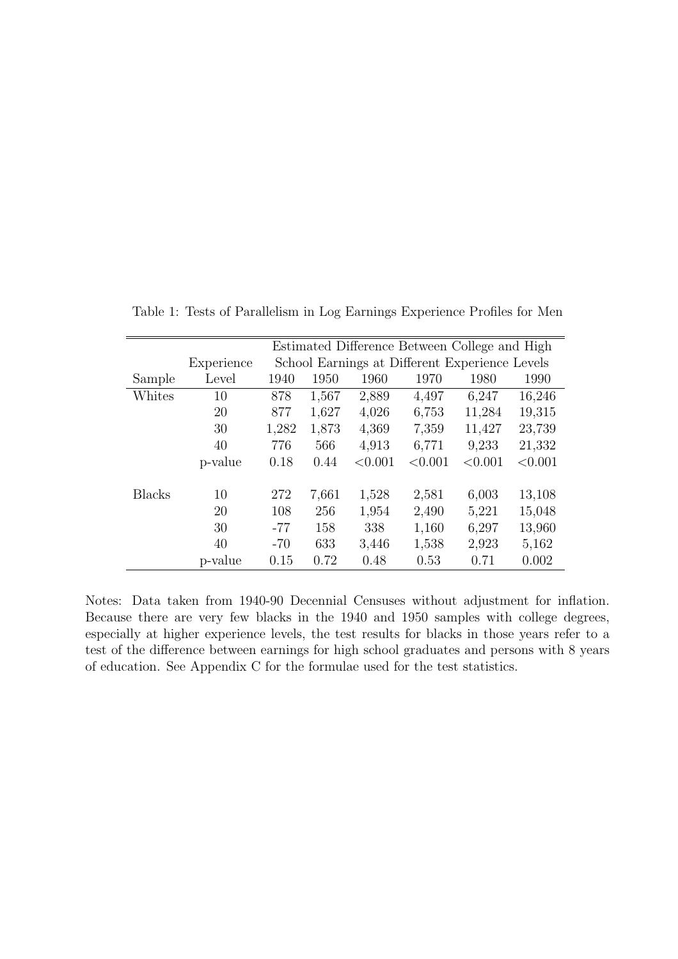|               |            | Estimated Difference Between College and High |       |         |                                                |         |         |  |  |  |  |
|---------------|------------|-----------------------------------------------|-------|---------|------------------------------------------------|---------|---------|--|--|--|--|
|               | Experience |                                               |       |         | School Earnings at Different Experience Levels |         |         |  |  |  |  |
| Sample        | Level      | 1940                                          | 1950  | 1960    | 1970                                           | 1980    | 1990    |  |  |  |  |
| Whites        | 10         | 878                                           | 1,567 | 2,889   | 4,497                                          | 6,247   | 16,246  |  |  |  |  |
|               | 20         | 877                                           | 1,627 | 4,026   | 6,753                                          | 11,284  | 19,315  |  |  |  |  |
|               | 30         | 1,282                                         | 1,873 | 4,369   | 7,359                                          | 11,427  | 23,739  |  |  |  |  |
|               | 40         | 776                                           | 566   | 4,913   | 6,771                                          | 9,233   | 21,332  |  |  |  |  |
|               | p-value    | 0.18                                          | 0.44  | < 0.001 | < 0.001                                        | < 0.001 | < 0.001 |  |  |  |  |
| <b>Blacks</b> | 10         | 272                                           | 7,661 | 1,528   | 2,581                                          | 6,003   | 13,108  |  |  |  |  |
|               | 20         | 108                                           | 256   | 1,954   | 2,490                                          | 5,221   | 15,048  |  |  |  |  |
|               | 30         | $-77$                                         | 158   | 338     | 1,160                                          | 6,297   | 13,960  |  |  |  |  |
|               | 40         | $-70$                                         | 633   | 3,446   | 1,538                                          | 2,923   | 5,162   |  |  |  |  |
|               | p-value    | 0.15                                          | 0.72  | 0.48    | 0.53                                           | 0.71    | 0.002   |  |  |  |  |

Table 1: Tests of Parallelism in Log Earnings Experience Profiles for Men

Notes: Data taken from 1940-90 Decennial Censuses without adjustment for inflation. Because there are very few blacks in the 1940 and 1950 samples with college degrees, especially at higher experience levels, the test results for blacks in those years refer to a test of the difference between earnings for high school graduates and persons with 8 years of education. See Appendix C for the formulae used for the test statistics.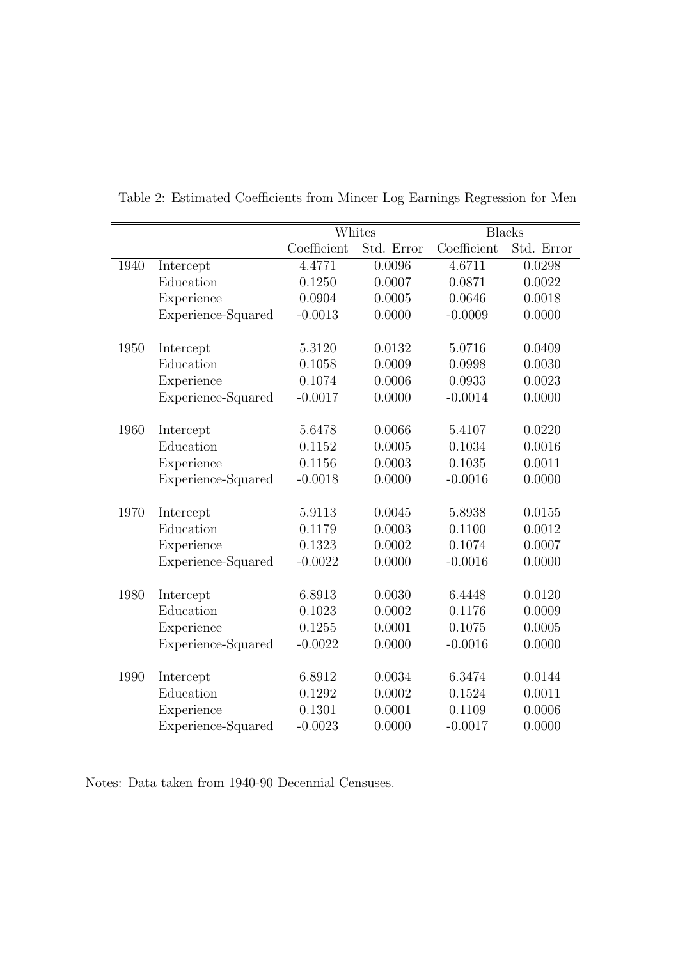|      |                    |             | Whites     |             | <b>Blacks</b> |
|------|--------------------|-------------|------------|-------------|---------------|
|      |                    | Coefficient | Std. Error | Coefficient | Std. Error    |
| 1940 | Intercept          | 4.4771      | 0.0096     | 4.6711      | 0.0298        |
|      | Education          | 0.1250      | 0.0007     | 0.0871      | 0.0022        |
|      | Experience         | 0.0904      | 0.0005     | 0.0646      | 0.0018        |
|      | Experience-Squared | $-0.0013$   | 0.0000     | $-0.0009$   | 0.0000        |
| 1950 | Intercept          | 5.3120      | 0.0132     | 5.0716      | 0.0409        |
|      | Education          | 0.1058      | 0.0009     | 0.0998      | 0.0030        |
|      | Experience         | 0.1074      | 0.0006     | 0.0933      | 0.0023        |
|      | Experience-Squared | $-0.0017$   | 0.0000     | $-0.0014$   | 0.0000        |
| 1960 | Intercept          | 5.6478      | 0.0066     | 5.4107      | 0.0220        |
|      | Education          | 0.1152      | 0.0005     | 0.1034      | 0.0016        |
|      | Experience         | 0.1156      | 0.0003     | 0.1035      | 0.0011        |
|      | Experience-Squared | $-0.0018$   | 0.0000     | $-0.0016$   | 0.0000        |
|      |                    |             |            |             |               |
| 1970 | Intercept          | 5.9113      | 0.0045     | 5.8938      | 0.0155        |
|      | Education          | 0.1179      | 0.0003     | 0.1100      | 0.0012        |
|      | Experience         | 0.1323      | 0.0002     | 0.1074      | 0.0007        |
|      | Experience-Squared | $-0.0022$   | 0.0000     | $-0.0016$   | 0.0000        |
| 1980 | Intercept          | 6.8913      | 0.0030     | 6.4448      | 0.0120        |
|      | Education          | 0.1023      | 0.0002     | 0.1176      | 0.0009        |
|      | Experience         | 0.1255      | 0.0001     | 0.1075      | 0.0005        |
|      | Experience-Squared | $-0.0022$   | 0.0000     | $-0.0016$   | 0.0000        |
|      |                    |             |            |             |               |
| 1990 | Intercept          | 6.8912      | 0.0034     | 6.3474      | 0.0144        |
|      | Education          | 0.1292      | 0.0002     | 0.1524      | 0.0011        |
|      | Experience         | 0.1301      | 0.0001     | 0.1109      | 0.0006        |
|      | Experience-Squared | $-0.0023$   | 0.0000     | $-0.0017$   | 0.0000        |
|      |                    |             |            |             |               |

Table 2: Estimated Coefficients from Mincer Log Earnings Regression for Men

Notes: Data taken from 1940-90 Decennial Censuses.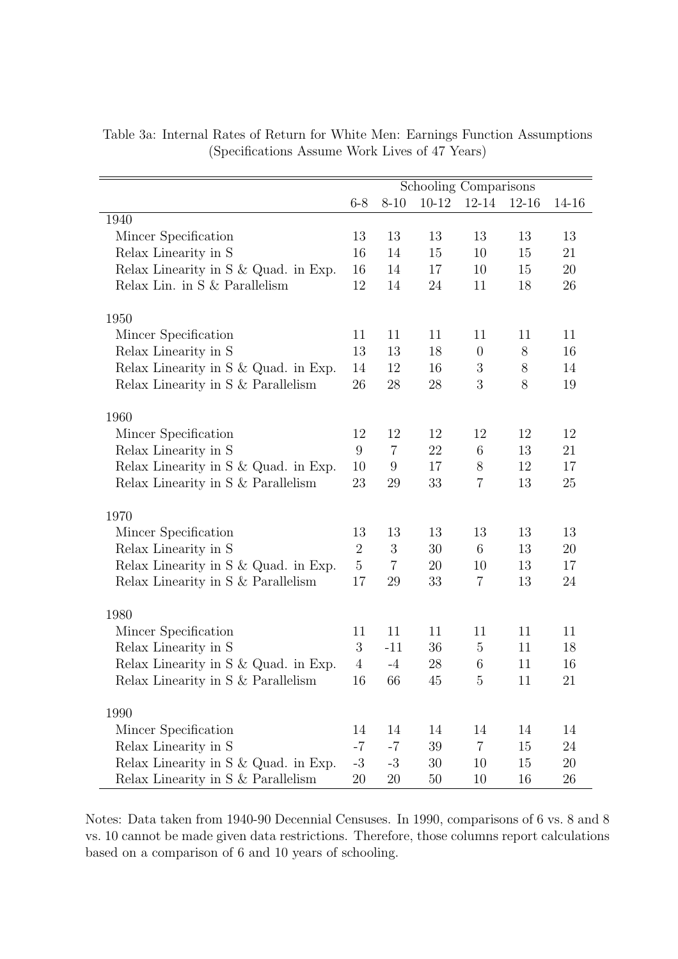|                                      |                |                | Schooling Comparisons |                  |           |        |
|--------------------------------------|----------------|----------------|-----------------------|------------------|-----------|--------|
|                                      | $6 - 8$        | $8 - 10$       | $10 - 12$             | $12 - 14$        | $12 - 16$ | 14-16  |
| 1940                                 |                |                |                       |                  |           |        |
| Mincer Specification                 | 13             | 13             | 13                    | 13               | 13        | 13     |
| Relax Linearity in S                 | 16             | 14             | 15                    | 10               | 15        | 21     |
| Relax Linearity in S & Quad. in Exp. | 16             | 14             | 17                    | 10               | 15        | 20     |
| Relax Lin. in S & Parallelism        | 12             | 14             | 24                    | 11               | 18        | 26     |
| 1950                                 |                |                |                       |                  |           |        |
| Mincer Specification                 | 11             | 11             | 11                    | 11               | 11        | 11     |
| Relax Linearity in S                 | 13             | 13             | 18                    | $\theta$         | 8         | 16     |
| Relax Linearity in S & Quad. in Exp. | 14             | 12             | 16                    | $\boldsymbol{3}$ | $8\,$     | 14     |
| Relax Linearity in S & Parallelism   | 26             | 28             | 28                    | 3                | 8         | 19     |
| 1960                                 |                |                |                       |                  |           |        |
| Mincer Specification                 | 12             | 12             | 12                    | 12               | 12        | 12     |
| Relax Linearity in S                 | 9              | $\overline{7}$ | 22                    | 6                | 13        | 21     |
| Relax Linearity in S & Quad. in Exp. | 10             | 9              | 17                    | 8                | 12        | 17     |
| Relax Linearity in S & Parallelism   | 23             | 29             | 33                    | $\overline{7}$   | 13        | 25     |
| 1970                                 |                |                |                       |                  |           |        |
| Mincer Specification                 | 13             | 13             | 13                    | 13               | 13        | 13     |
| Relax Linearity in S                 | $\overline{2}$ | 3              | 30                    | 6                | 13        | 20     |
| Relax Linearity in S & Quad. in Exp. | $\overline{5}$ | $\overline{7}$ | 20                    | 10               | 13        | 17     |
| Relax Linearity in S & Parallelism   | 17             | 29             | 33                    | 7                | 13        | 24     |
| 1980                                 |                |                |                       |                  |           |        |
| Mincer Specification                 | 11             | 11             | 11                    | 11               | 11        | 11     |
| Relax Linearity in S                 | 3              | $-11$          | 36                    | $\overline{5}$   | 11        | 18     |
| Relax Linearity in S & Quad. in Exp. | $\overline{4}$ | $-4$           | 28                    | 6                | 11        | 16     |
| Relax Linearity in S & Parallelism   | 16             | 66             | 45                    | 5                | 11        | 21     |
| 1990                                 |                |                |                       |                  |           |        |
| Mincer Specification                 | 14             | 14             | 14                    | 14               | 14        | 14     |
| Relax Linearity in S                 | $-7$           | $-7$           | 39                    | $\overline{7}$   | 15        | 24     |
| Relax Linearity in S & Quad. in Exp. | $-3$           | $-3$           | 30                    | 10               | 15        | 20     |
| Relax Linearity in S & Parallelism   | 20             | 20             | $50\,$                | 10               | 16        | $26\,$ |

Table 3a: Internal Rates of Return for White Men: Earnings Function Assumptions (Specifications Assume Work Lives of 47 Years)

Notes: Data taken from 1940-90 Decennial Censuses. In 1990, comparisons of 6 vs. 8 and 8 vs. 10 cannot be made given data restrictions. Therefore, those columns report calculations based on a comparison of 6 and 10 years of schooling.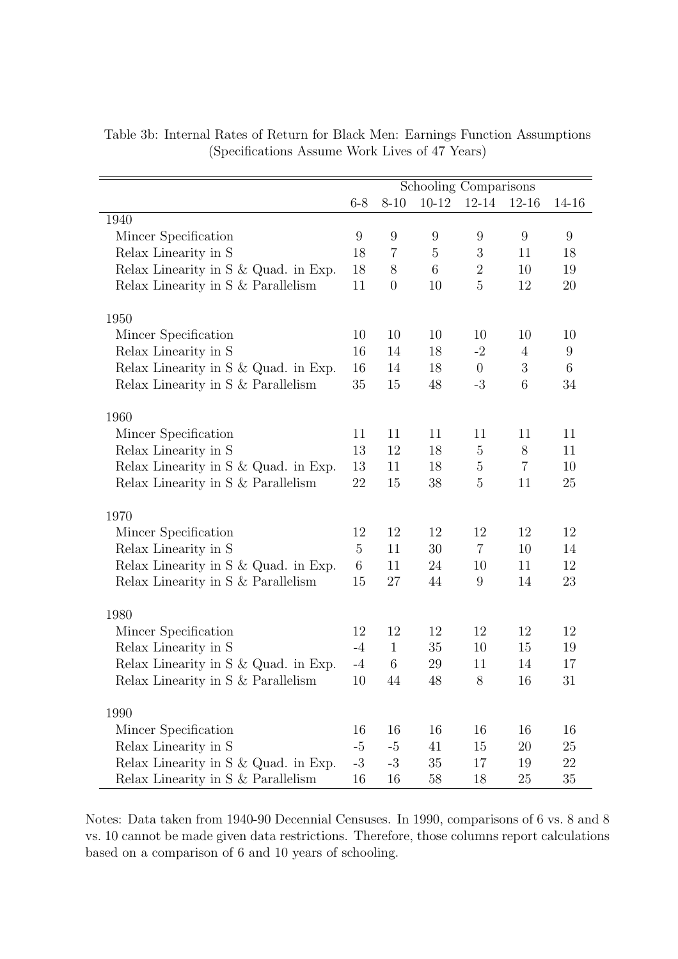|                                      |             |                  | Schooling Comparisons |                  |                |        |
|--------------------------------------|-------------|------------------|-----------------------|------------------|----------------|--------|
|                                      | $6 - 8$     | $8 - 10$         | $10-12$               | $12 - 14$        | $12 - 16$      | 14-16  |
| 1940                                 |             |                  |                       |                  |                |        |
| Mincer Specification                 | 9           | $9\phantom{.}$   | $9\phantom{.0}$       | 9                | 9              | 9      |
| Relax Linearity in S                 | 18          | 7                | $\overline{5}$        | $\boldsymbol{3}$ | 11             | 18     |
| Relax Linearity in S & Quad. in Exp. | 18          | 8                | $6\phantom{.}6$       | $\sqrt{2}$       | 10             | 19     |
| Relax Linearity in S & Parallelism   | 11          | $\boldsymbol{0}$ | 10                    | $\overline{5}$   | 12             | $20\,$ |
| 1950                                 |             |                  |                       |                  |                |        |
| Mincer Specification                 | 10          | 10               | 10                    | 10               | 10             | 10     |
| Relax Linearity in S                 | 16          | 14               | 18                    | $-2$             | $\overline{4}$ | 9      |
| Relax Linearity in S & Quad. in Exp. | 16          | 14               | 18                    | $\theta$         | 3              | 6      |
| Relax Linearity in S & Parallelism   | 35          | 15               | 48                    | $-3$             | 6              | 34     |
| 1960                                 |             |                  |                       |                  |                |        |
| Mincer Specification                 | 11          | 11               | 11                    | 11               | 11             | 11     |
| Relax Linearity in S                 | 13          | 12               | 18                    | $\overline{5}$   | 8              | 11     |
| Relax Linearity in S & Quad. in Exp. | 13          | 11               | 18                    | $\overline{5}$   | $\overline{7}$ | 10     |
| Relax Linearity in S & Parallelism   | 22          | 15               | 38                    | 5                | 11             | 25     |
| 1970                                 |             |                  |                       |                  |                |        |
| Mincer Specification                 | 12          | 12               | $12\,$                | 12               | 12             | 12     |
| Relax Linearity in S                 | $5^{\circ}$ | 11               | 30                    | $\overline{7}$   | 10             | 14     |
| Relax Linearity in S & Quad. in Exp. | 6           | 11               | 24                    | 10               | 11             | 12     |
| Relax Linearity in S & Parallelism   | 15          | 27               | 44                    | 9                | 14             | 23     |
| 1980                                 |             |                  |                       |                  |                |        |
| Mincer Specification                 | 12          | 12               | 12                    | 12               | 12             | 12     |
| Relax Linearity in S                 | $-4$        | $\mathbf{1}$     | 35                    | 10               | 15             | 19     |
| Relax Linearity in S & Quad. in Exp. | $-4$        | 6                | 29                    | 11               | 14             | 17     |
| Relax Linearity in S & Parallelism   | 10          | 44               | 48                    | 8                | 16             | 31     |
| 1990                                 |             |                  |                       |                  |                |        |
| Mincer Specification                 | 16          | 16               | 16                    | 16               | 16             | 16     |
| Relax Linearity in S                 | $-5$        | $-5$             | 41                    | 15               | 20             | 25     |
| Relax Linearity in S & Quad. in Exp. | $-3$        | $-3$             | $35\,$                | 17               | 19             | 22     |
| Relax Linearity in S & Parallelism   | 16          | 16               | 58                    | 18               | 25             | 35     |

Table 3b: Internal Rates of Return for Black Men: Earnings Function Assumptions (Specifications Assume Work Lives of 47 Years)

Notes: Data taken from 1940-90 Decennial Censuses. In 1990, comparisons of 6 vs. 8 and 8 vs. 10 cannot be made given data restrictions. Therefore, those columns report calculations based on a comparison of 6 and 10 years of schooling.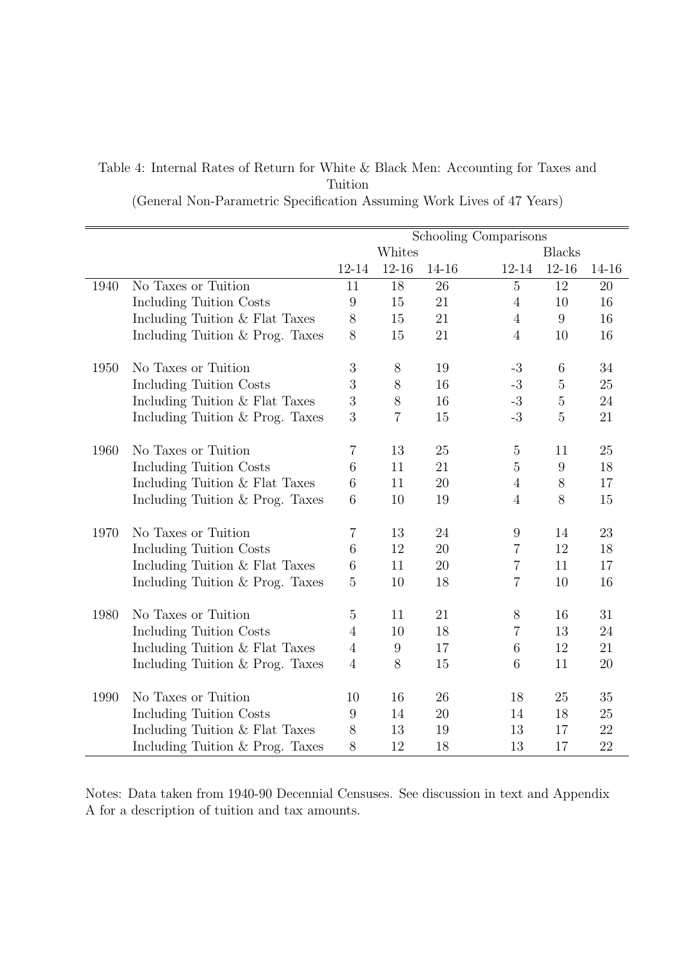# Table 4: Internal Rates of Return for White & Black Men: Accounting for Taxes and Tuition

(General Non-Parametric Specification Assuming Work Lives of 47 Years)

|      |                                 | Schooling Comparisons |                  |       |                 |                |       |  |  |
|------|---------------------------------|-----------------------|------------------|-------|-----------------|----------------|-------|--|--|
|      |                                 |                       | Whites           |       |                 | <b>Blacks</b>  |       |  |  |
|      |                                 | 12-14                 | $12 - 16$        | 14-16 | 12-14           | $12 - 16$      | 14-16 |  |  |
| 1940 | No Taxes or Tuition             | 11                    | 18               | 26    | $\overline{5}$  | 12             | 20    |  |  |
|      | Including Tuition Costs         | $9\,$                 | 15               | 21    | $\overline{4}$  | 10             | 16    |  |  |
|      | Including Tuition & Flat Taxes  | 8                     | 15               | 21    | $\overline{4}$  | 9              | 16    |  |  |
|      | Including Tuition & Prog. Taxes | 8                     | 15               | 21    | $\overline{4}$  | 10             | 16    |  |  |
|      |                                 |                       |                  |       |                 |                |       |  |  |
| 1950 | No Taxes or Tuition             | 3                     | 8                | 19    | $-3$            | 6              | 34    |  |  |
|      | Including Tuition Costs         | 3                     | $8\,$            | 16    | $-3$            | $\bf 5$        | 25    |  |  |
|      | Including Tuition & Flat Taxes  | $\overline{3}$        | $8\,$            | 16    | $-3$            | $\bf 5$        | 24    |  |  |
|      | Including Tuition & Prog. Taxes | 3                     | 7                | 15    | $-3$            | $\overline{5}$ | 21    |  |  |
|      |                                 |                       |                  |       |                 |                |       |  |  |
| 1960 | No Taxes or Tuition             | $\overline{7}$        | 13               | 25    | $\mathbf 5$     | 11             | 25    |  |  |
|      | Including Tuition Costs         | 6                     | 11               | 21    | 5               | 9              | 18    |  |  |
|      | Including Tuition & Flat Taxes  | 6                     | 11               | 20    | $\overline{4}$  | 8              | 17    |  |  |
|      | Including Tuition & Prog. Taxes | 6                     | 10               | 19    | $\overline{4}$  | 8              | 15    |  |  |
| 1970 | No Taxes or Tuition             | 7                     | 13               | 24    | 9               | 14             | 23    |  |  |
|      | Including Tuition Costs         | 6                     | 12               | 20    | 7               | 12             | 18    |  |  |
|      | Including Tuition & Flat Taxes  | 6                     | 11               | 20    | $\overline{7}$  | 11             | 17    |  |  |
|      | Including Tuition & Prog. Taxes | $\overline{5}$        | 10               | 18    | $\overline{7}$  | 10             | 16    |  |  |
|      |                                 |                       |                  |       |                 |                |       |  |  |
| 1980 | No Taxes or Tuition             | $\overline{5}$        | 11               | 21    | $8\,$           | 16             | 31    |  |  |
|      | Including Tuition Costs         | 4                     | 10               | 18    | 7               | 13             | 24    |  |  |
|      | Including Tuition & Flat Taxes  | $\overline{4}$        | $\boldsymbol{9}$ | 17    | $6\phantom{.}6$ | 12             | 21    |  |  |
|      | Including Tuition & Prog. Taxes | $\overline{4}$        | 8                | 15    | 6               | 11             | 20    |  |  |
| 1990 | No Taxes or Tuition             | 10                    | 16               | 26    | 18              | 25             | 35    |  |  |
|      | Including Tuition Costs         | 9                     | 14               | 20    | 14              | 18             | 25    |  |  |
|      |                                 | 8                     | 13               | 19    | 13              | 17             | 22    |  |  |
|      | Including Tuition & Flat Taxes  |                       |                  |       |                 |                |       |  |  |
|      | Including Tuition & Prog. Taxes | 8                     | 12               | 18    | 13              | 17             | 22    |  |  |

Notes: Data taken from 1940-90 Decennial Censuses. See discussion in text and Appendix A for a description of tuition and tax amounts.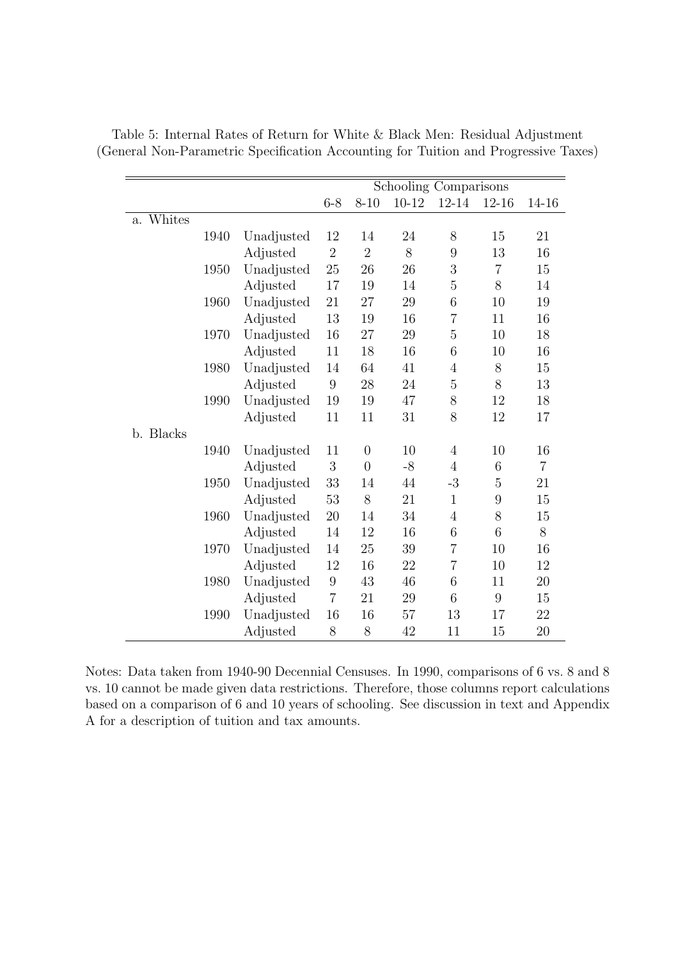|                       |      |            |                |                | Schooling Comparisons |                |                 |                |
|-----------------------|------|------------|----------------|----------------|-----------------------|----------------|-----------------|----------------|
|                       |      |            | $6 - 8$        | $8 - 10$       | $10 - 12$             | 12-14          | $12 - 16$       | 14-16          |
| Whites<br>$a_{\cdot}$ |      |            |                |                |                       |                |                 |                |
|                       | 1940 | Unadjusted | 12             | 14             | 24                    | 8              | 15              | 21             |
|                       |      | Adjusted   | $\overline{2}$ | $\overline{2}$ | 8                     | 9              | 13              | 16             |
|                       | 1950 | Unadjusted | 25             | 26             | 26                    | 3              | $\overline{7}$  | 15             |
|                       |      | Adjusted   | 17             | 19             | 14                    | $\overline{5}$ | 8               | 14             |
|                       | 1960 | Unadjusted | 21             | 27             | 29                    | 6              | 10              | 19             |
|                       |      | Adjusted   | 13             | 19             | 16                    | $\overline{7}$ | 11              | 16             |
|                       | 1970 | Unadjusted | 16             | 27             | 29                    | $\overline{5}$ | 10              | 18             |
|                       |      | Adjusted   | 11             | 18             | 16                    | 6              | 10              | 16             |
|                       | 1980 | Unadjusted | 14             | 64             | 41                    | $\overline{4}$ | $8\,$           | 15             |
|                       |      | Adjusted   | 9              | 28             | 24                    | $\overline{5}$ | 8               | 13             |
|                       | 1990 | Unadjusted | 19             | 19             | 47                    | 8              | 12              | 18             |
|                       |      | Adjusted   | 11             | 11             | 31                    | 8              | 12              | 17             |
| b. Blacks             |      |            |                |                |                       |                |                 |                |
|                       | 1940 | Unadjusted | 11             | $\overline{0}$ | 10                    | $\overline{4}$ | 10              | 16             |
|                       |      | Adjusted   | 3              | $\overline{0}$ | $-8$                  | $\overline{4}$ | 6               | $\overline{7}$ |
|                       | 1950 | Unadjusted | 33             | 14             | 44                    | $-3$           | $\overline{5}$  | 21             |
|                       |      | Adjusted   | 53             | 8              | 21                    | $\mathbf{1}$   | $9\phantom{.0}$ | 15             |
|                       | 1960 | Unadjusted | 20             | 14             | 34                    | $\overline{4}$ | 8               | 15             |
|                       |      | Adjusted   | 14             | 12             | 16                    | 6              | 6               | 8              |
|                       | 1970 | Unadjusted | 14             | 25             | 39                    | $\overline{7}$ | 10              | 16             |
|                       |      | Adjusted   | 12             | 16             | 22                    | $\overline{7}$ | 10              | 12             |
|                       | 1980 | Unadjusted | 9              | 43             | 46                    | 6              | 11              | 20             |
|                       |      | Adjusted   | $\overline{7}$ | 21             | 29                    | 6              | 9               | 15             |
|                       | 1990 | Unadjusted | 16             | 16             | 57                    | 13             | 17              | 22             |
|                       |      | Adjusted   | 8              | 8              | 42                    | 11             | 15              | 20             |

Table 5: Internal Rates of Return for White & Black Men: Residual Adjustment (General Non-Parametric Specification Accounting for Tuition and Progressive Taxes)

Notes: Data taken from 1940-90 Decennial Censuses. In 1990, comparisons of 6 vs. 8 and 8 vs. 10 cannot be made given data restrictions. Therefore, those columns report calculations based on a comparison of 6 and 10 years of schooling. See discussion in text and Appendix A for a description of tuition and tax amounts.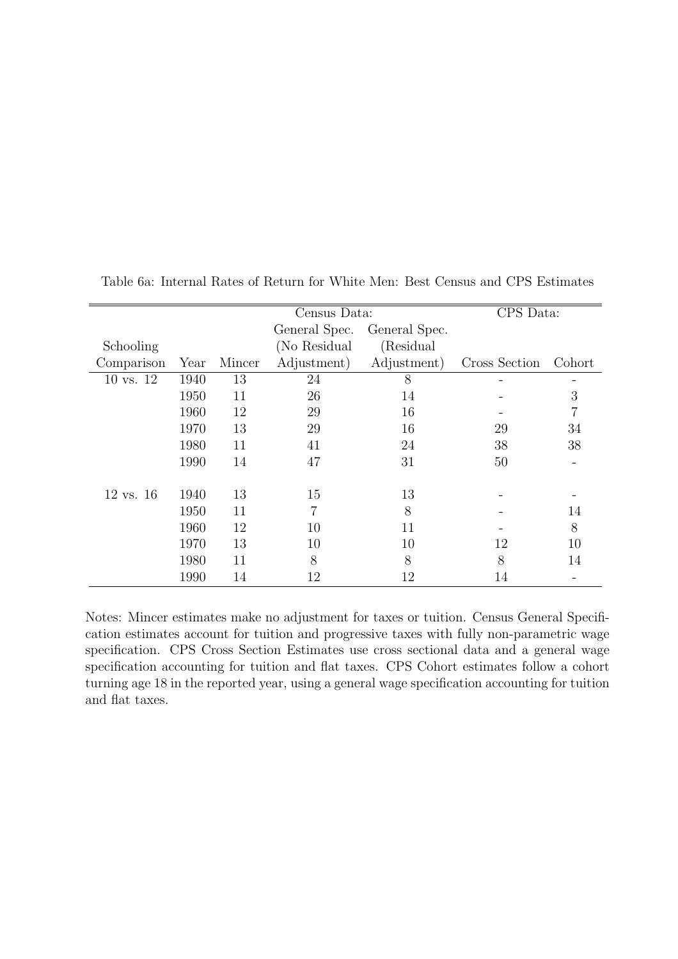|                      |      |        | Census Data:  |               | CPS Data:     |                |
|----------------------|------|--------|---------------|---------------|---------------|----------------|
|                      |      |        | General Spec. | General Spec. |               |                |
| Schooling            |      |        | (No Residual  | (Residual     |               |                |
| Comparison           | Year | Mincer | Adjustment)   | Adjustment)   | Cross Section | Cohort         |
| 10 vs. 12            | 1940 | 13     | 24            | 8             |               |                |
|                      | 1950 | 11     | 26            | 14            |               | 3              |
|                      | 1960 | 12     | 29            | 16            |               | $\overline{7}$ |
|                      | 1970 | 13     | 29            | 16            | 29            | 34             |
|                      | 1980 | 11     | 41            | 24            | 38            | 38             |
|                      | 1990 | 14     | 47            | 31            | 50            |                |
|                      |      |        |               |               |               |                |
| $12 \text{ vs. } 16$ | 1940 | 13     | 15            | 13            |               |                |
|                      | 1950 | 11     | 7             | 8             |               | 14             |
|                      | 1960 | 12     | 10            | 11            |               | 8              |
|                      | 1970 | 13     | 10            | 10            | 12            | 10             |
|                      | 1980 | 11     | 8             | 8             | 8             | 14             |
|                      | 1990 | 14     | 12            | 12            | 14            |                |

Table 6a: Internal Rates of Return for White Men: Best Census and CPS Estimates

Notes: Mincer estimates make no adjustment for taxes or tuition. Census General Specification estimates account for tuition and progressive taxes with fully non-parametric wage specification. CPS Cross Section Estimates use cross sectional data and a general wage specification accounting for tuition and flat taxes. CPS Cohort estimates follow a cohort turning age 18 in the reported year, using a general wage specification accounting for tuition and flat taxes.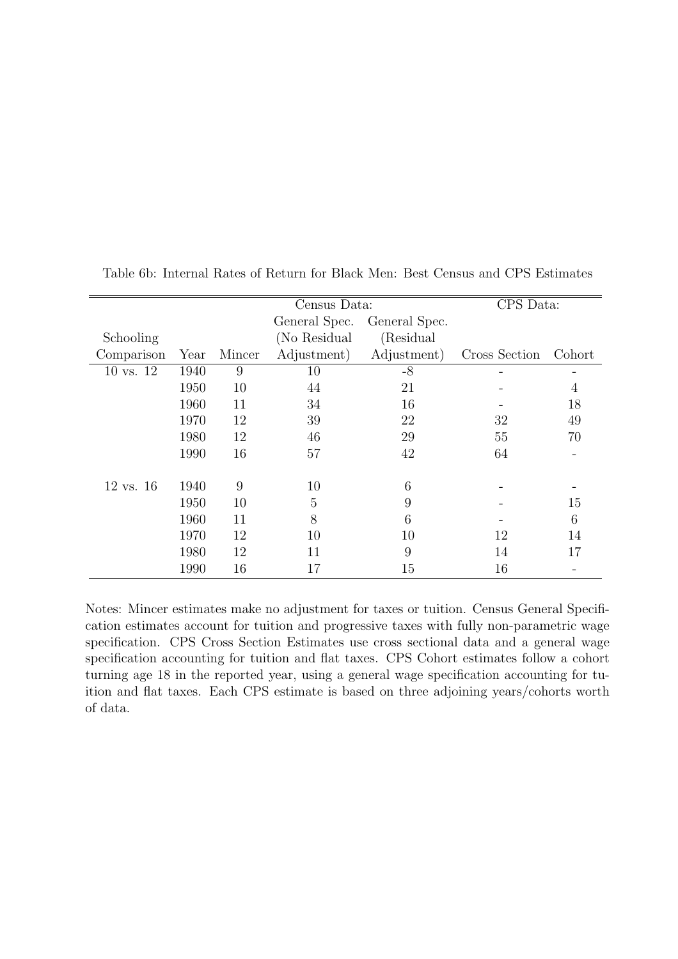|                      |      |        | Census Data:   |               | CPS Data:     |                          |
|----------------------|------|--------|----------------|---------------|---------------|--------------------------|
|                      |      |        | General Spec.  | General Spec. |               |                          |
| Schooling            |      |        | (No Residual   | (Residual     |               |                          |
| Comparison           | Year | Mincer | Adjustment)    | Adjustment)   | Cross Section | Cohort                   |
| 10 vs. 12            | 1940 | 9      | 10             | $-8$          |               |                          |
|                      | 1950 | 10     | 44             | 21            |               | $\overline{4}$           |
|                      | 1960 | 11     | 34             | 16            |               | 18                       |
|                      | 1970 | 12     | 39             | 22            | 32            | 49                       |
|                      | 1980 | 12     | 46             | 29            | 55            | 70                       |
|                      | 1990 | 16     | 57             | 42            | 64            | $\overline{\phantom{0}}$ |
|                      |      |        |                |               |               |                          |
| $12 \text{ vs. } 16$ | 1940 | 9      | 10             | 6             |               |                          |
|                      | 1950 | 10     | $\overline{5}$ | 9             |               | 15                       |
|                      | 1960 | 11     | 8              | 6             |               | 6                        |
|                      | 1970 | 12     | 10             | 10            | 12            | 14                       |
|                      | 1980 | 12     | 11             | 9             | 14            | 17                       |
|                      | 1990 | 16     | 17             | 15            | 16            |                          |

Table 6b: Internal Rates of Return for Black Men: Best Census and CPS Estimates

Notes: Mincer estimates make no adjustment for taxes or tuition. Census General Specification estimates account for tuition and progressive taxes with fully non-parametric wage specification. CPS Cross Section Estimates use cross sectional data and a general wage specification accounting for tuition and flat taxes. CPS Cohort estimates follow a cohort turning age 18 in the reported year, using a general wage specification accounting for tuition and flat taxes. Each CPS estimate is based on three adjoining years/cohorts worth of data.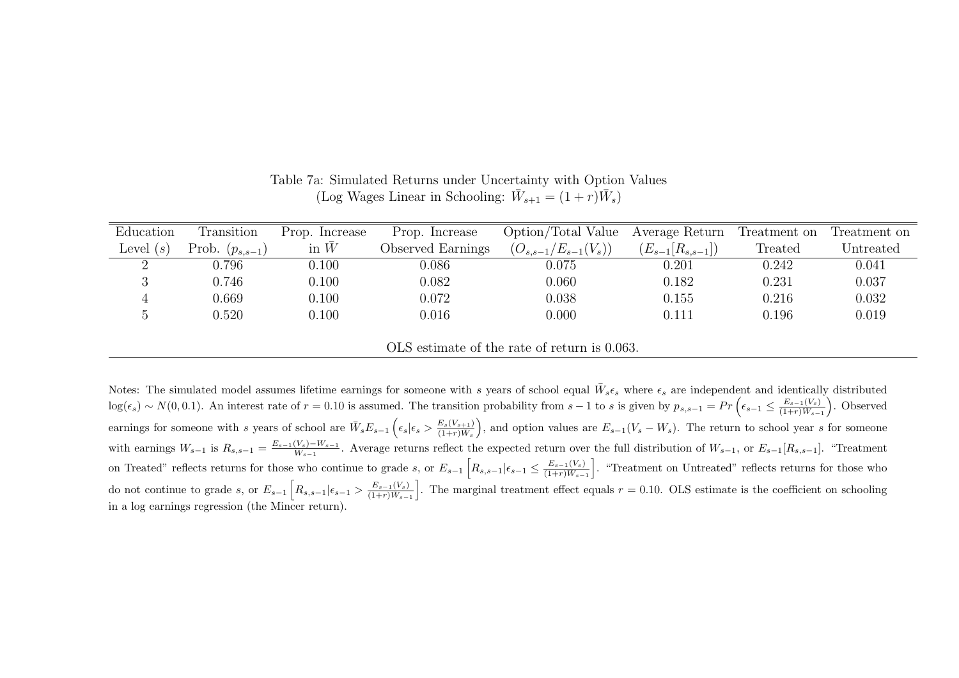| Education   | Transition          | Prop. Increase | Prop. Increase    | Option/Total Value          | Average Return         | Treatment on | Treatment on |
|-------------|---------------------|----------------|-------------------|-----------------------------|------------------------|--------------|--------------|
| Level $(s)$ | Prob. $(p_{s,s-1})$ | in $\bar{W}$   | Observed Earnings | $(O_{s,s-1}/E_{s-1}(V_s)),$ | $(E_{s-1}[R_{s,s-1}])$ | Treated      | Untreated    |
|             | 0.796               | 0.100          | 0.086             | 0.075                       | 0.201                  | 0.242        | 0.041        |
|             | 0.746               | 0.100          | 0.082             | 0.060                       | 0.182                  | 0.231        | 0.037        |
|             | 0.669               | 0.100          | 0.072             | 0.038                       | 0.155                  | 0.216        | 0.032        |
|             | 0.520               | 0.100          | 0.016             | 0.000                       | 0.111                  | 0.196        | 0.019        |
|             |                     |                |                   |                             |                        |              |              |

Table 7a: Simulated Returns under Uncertainty with Option Values (Log Wages Linear in Schooling:  $\bar{W}_{s+1} = (1+r)\bar{W}_s$ )

OLS estimate of the rate of return is 0.063.

Notes: The simulated model assumes lifetime earnings for someone with s years of school equal  $\bar{W}_{s}\epsilon_{s}$  where  $\epsilon_{s}$  are independent and identically distributed  $\log(\epsilon_s) \sim N(0, 0.1)$ . An interest rate of  $r = 0.10$  is assumed. The transition probability from  $s - 1$  to s is given by  $p_{s,s-1} = Pr\left(\epsilon_{s-1} \leq \frac{E_{s-1}(V_s)}{(1+r)W_{s-1}}\right)$ . Observed earnings for someone with s years of school are  $\bar{W}_s E_{s-1} \left( \epsilon_s | \epsilon_s > \frac{E_s(V_{s+1})}{(1+r)\bar{W}_s} \right)$ , and option values are  $E_{s-1}(V_s - W_s)$ . The return to school year s for someone with earnings  $W_{s-1}$  is  $R_{s,s-1} = \frac{E_{s-1}(V_s)-W_{s-1}}{W_{s-1}}$ . Average returns reflect the expected return over the full distribution of  $W_{s-1}$ , or  $E_{s-1}[R_{s,s-1}]$ . "Treatment on Treated" reflects returns for those who continue to grade s, or  $E_{s-1}\left[R_{s,s-1}|\epsilon_{s-1} \leq \frac{E_{s-1}(V_s)}{(1+r)W_{s-1}}\right]$ . "Treatment on Untreated" reflects returns for those who do not continue to grade s, or  $E_{s-1}\left[R_{s,s-1}|\epsilon_{s-1} > \frac{E_{s-1}(V_s)}{(1+r)W_{s-1}}\right]$ . The marginal treatment effect equals  $r = 0.10$ . OLS estimate is the coefficient on schooling in <sup>a</sup> log earnings regression (the Mincer return).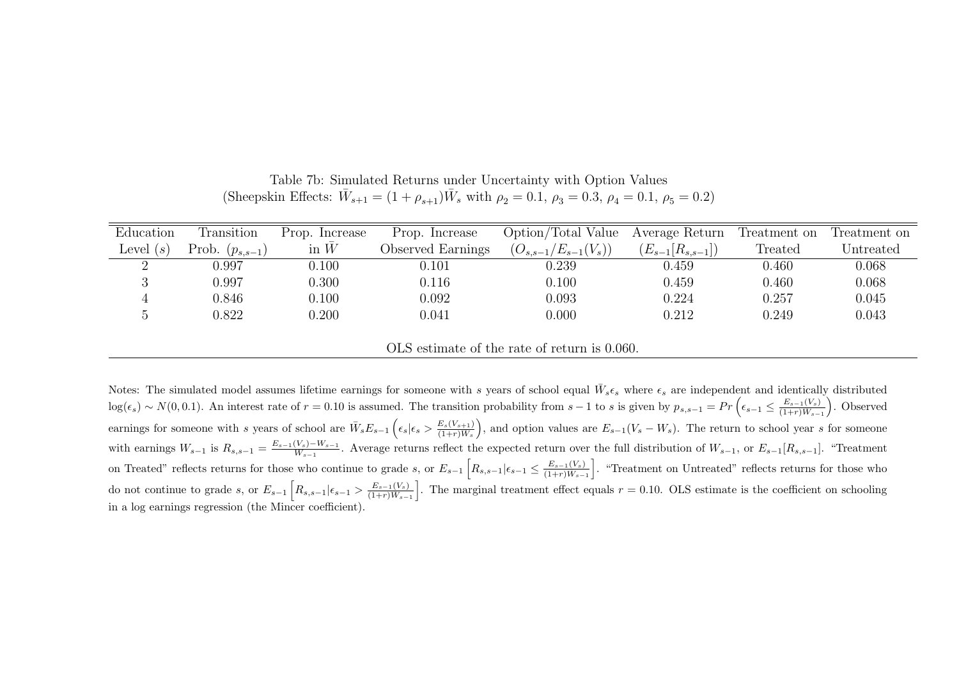| Education   | Transition          | Prop. Increase | Prop. Increase    | Option/Total Value         | Average Return         | Treatment on | Treatment on |
|-------------|---------------------|----------------|-------------------|----------------------------|------------------------|--------------|--------------|
| Level $(s)$ | Prob. $(p_{s,s-1})$ | in $\bar{W}$   | Observed Earnings | $(O_{s,s-1}/E_{s-1}(V_s))$ | $(E_{s-1}[R_{s,s-1}])$ | Treated      | Untreated    |
|             | 0.997               | 0.100          | 0.101             | 0.239                      | 0.459                  | 0.460        | 0.068        |
|             | 0.997               | 0.300          | 0.116             | 0.100                      | 0.459                  | 0.460        | 0.068        |
|             | 0.846               | 0.100          | 0.092             | 0.093                      | 0.224                  | 0.257        | 0.045        |
|             | 0.822               | 0.200          | 0.041             | 0.000                      | 0.212                  | 0.249        | 0.043        |
|             |                     |                |                   |                            |                        |              |              |

Table 7b: Simulated Returns under Uncertainty with Option Values (Sheepskin Effects:  $\bar{W}_{s+1} = (1 + \rho_{s+1})\bar{W}_s$  with  $\rho_2 = 0.1$ ,  $\rho_3 = 0.3$ ,  $\rho_4 = 0.1$ ,  $\rho_5 = 0.2$ )

OLS estimate of the rate of return is 0.060.

Notes: The simulated model assumes lifetime earnings for someone with s years of school equal  $\bar{W}_{s}\epsilon_{s}$  where  $\epsilon_{s}$  are independent and identically distributed  $\log(\epsilon_s) \sim N(0, 0.1)$ . An interest rate of  $r = 0.10$  is assumed. The transition probability from  $s - 1$  to s is given by  $p_{s,s-1} = Pr\left(\epsilon_{s-1} \leq \frac{E_{s-1}(V_s)}{(1+r)W_{s-1}}\right)$ . Observed earnings for someone with s years of school are  $\bar{W}_s E_{s-1} \left( \epsilon_s | \epsilon_s > \frac{E_s(V_{s+1})}{(1+r)\bar{W}_s} \right)$ , and option values are  $E_{s-1}(V_s - W_s)$ . The return to school year s for someone with earnings  $W_{s-1}$  is  $R_{s,s-1} = \frac{E_{s-1}(V_s)-W_{s-1}}{W_{s-1}}$ . Average returns reflect the expected return over the full distribution of  $W_{s-1}$ , or  $E_{s-1}[R_{s,s-1}]$ . "Treatment on Treated" reflects returns for those who continue to grade s, or  $E_{s-1}\left[R_{s,s-1}|\epsilon_{s-1} \leq \frac{E_{s-1}(V_s)}{(1+r)W_{s-1}}\right]$ . "Treatment on Untreated" reflects returns for those who do not continue to grade s, or  $E_{s-1}\left[R_{s,s-1}|\epsilon_{s-1} > \frac{E_{s-1}(V_s)}{(1+r)W_{s-1}}\right]$ . The marginal treatment effect equals  $r = 0.10$ . OLS estimate is the coefficient on schooling in <sup>a</sup> log earnings regression (the Mincer coefficient).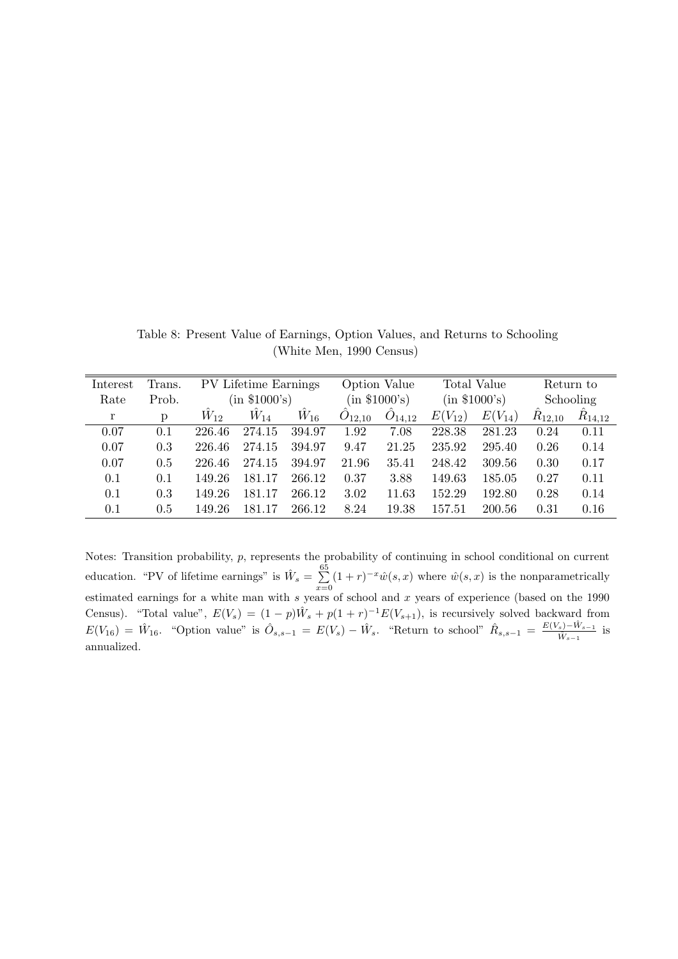| Interest | Trans. | PV Lifetime Earnings |          |               |             | Option Value       |                  | Total Value | Return to   |             |
|----------|--------|----------------------|----------|---------------|-------------|--------------------|------------------|-------------|-------------|-------------|
| Rate     | Prob.  | (in \$1000's)        |          | (in \$1000's) |             | (in \$1000's)      |                  | Schooling   |             |             |
| r        | D      | $W_{12}$             | $W_{14}$ | $W_{16}$      | $O_{12,10}$ | $\ddot{O}_{14,12}$ | $(V_{12})$<br>E( | $E(V_{14})$ | $R_{12,10}$ | $R_{14,12}$ |
| 0.07     | 0.1    | 226.46               | 274.15   | 394.97        | 1.92        | 7.08               | 228.38           | 281.23      | 0.24        | 0.11        |
| 0.07     | 0.3    | 226.46               | 274.15   | 394.97        | 9.47        | 21.25              | 235.92           | 295.40      | 0.26        | 0.14        |
| 0.07     | 0.5    | 226.46               | 274.15   | 394.97        | 21.96       | 35.41              | 248.42           | 309.56      | 0.30        | 0.17        |
| 0.1      | 0.1    | 149.26               | 181.17   | 266.12        | 0.37        | 3.88               | 149.63           | 185.05      | 0.27        | 0.11        |
| 0.1      | 0.3    | 149.26               | 181.17   | 266.12        | 3.02        | 11.63              | 152.29           | 192.80      | 0.28        | 0.14        |
| 0.1      | 0.5    | 149.26               | 181.17   | 266.12        | 8.24        | 19.38              | 157.51           | 200.56      | 0.31        | 0.16        |

Table 8: Present Value of Earnings, Option Values, and Returns to Schooling (White Men, 1990 Census)

Notes: Transition probability, p, represents the probability of continuing in school conditional on current education. "PV of lifetime earnings" is  $\hat{W}_s = \sum_{n=1}^{65}$  $\sum_{x=0} (1+r)^{-x} \hat{w}(s,x)$  where  $\hat{w}(s,x)$  is the nonparametrically estimated earnings for a white man with s years of school and x years of experience (based on the 1990 Census). "Total value",  $E(V_s) = (1-p)\hat{W}_s + p(1+r)^{-1}E(V_{s+1}),$  is recursively solved backward from  $E(V_{16}) = \hat{W}_{16}$ . "Option value" is  $\hat{O}_{s,s-1} = E(V_s) - \hat{W}_s$ . "Return to school"  $\hat{R}_{s,s-1} = \frac{E(V_s) - \hat{W}_{s-1}}{\hat{W}_{s-1}}$  $\frac{s)-W_{s-1}}{\hat{W}_{s-1}}$  is annualized.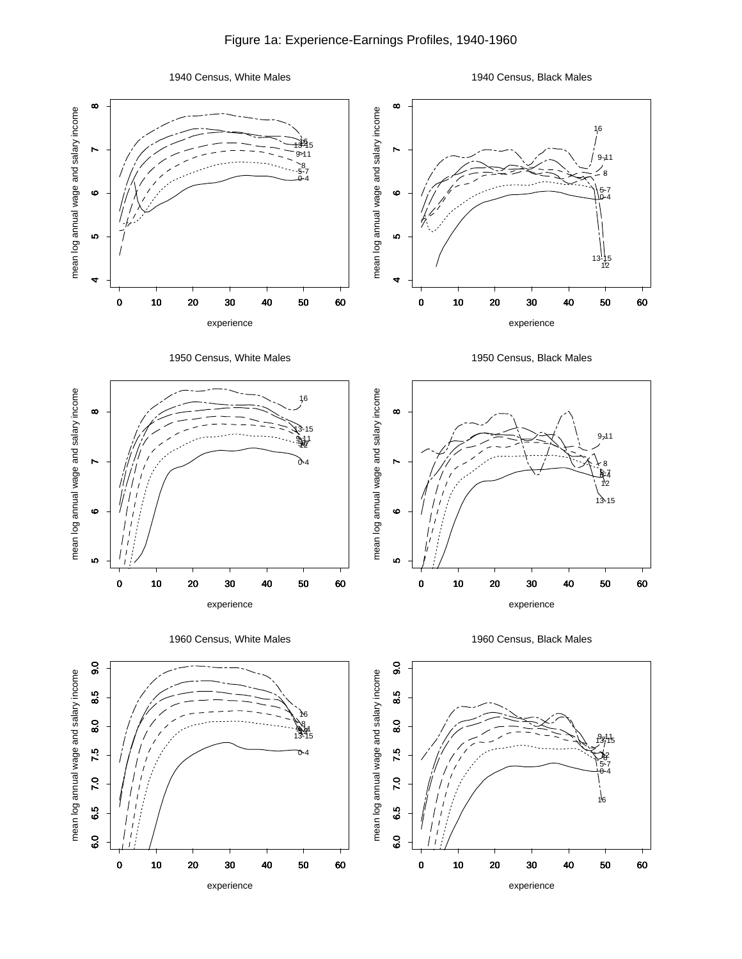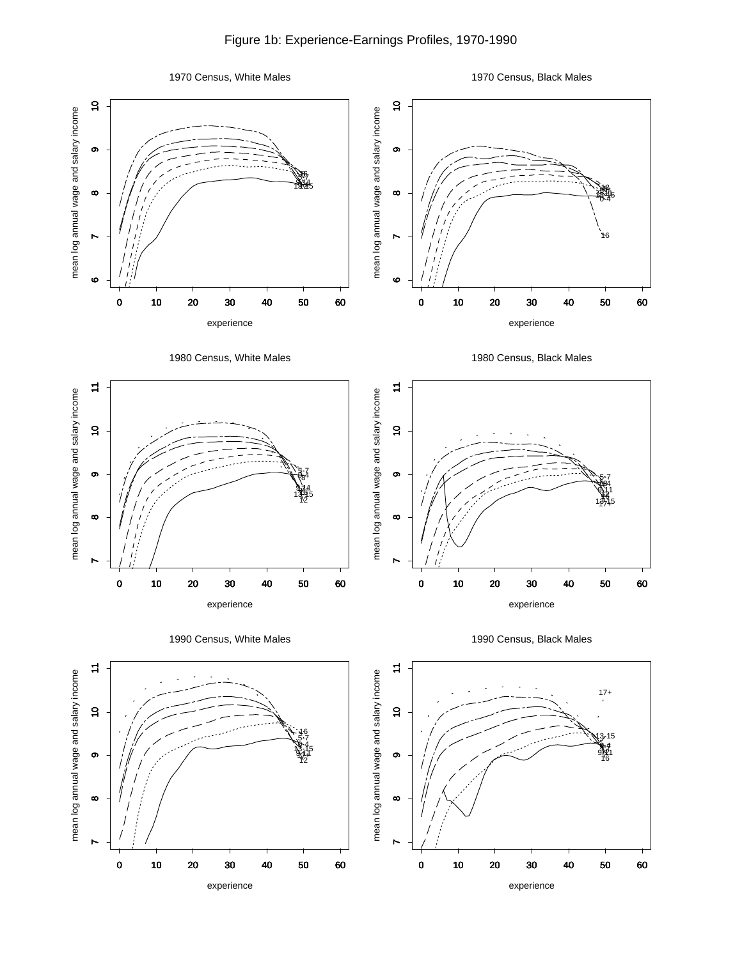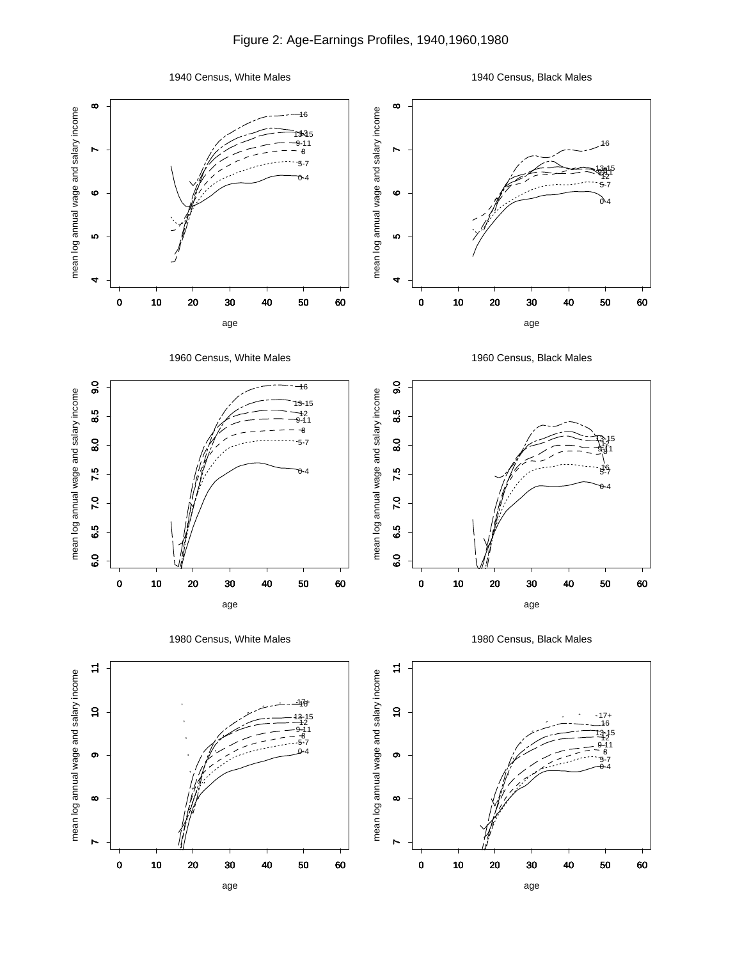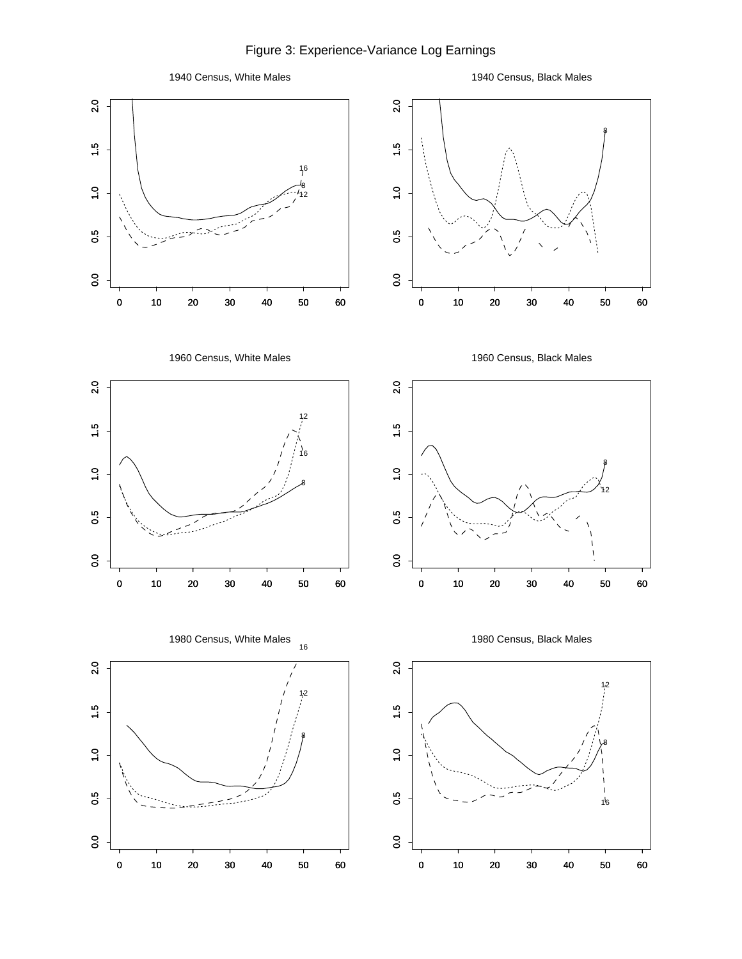Figure 3: Experience-Variance Log Earnings

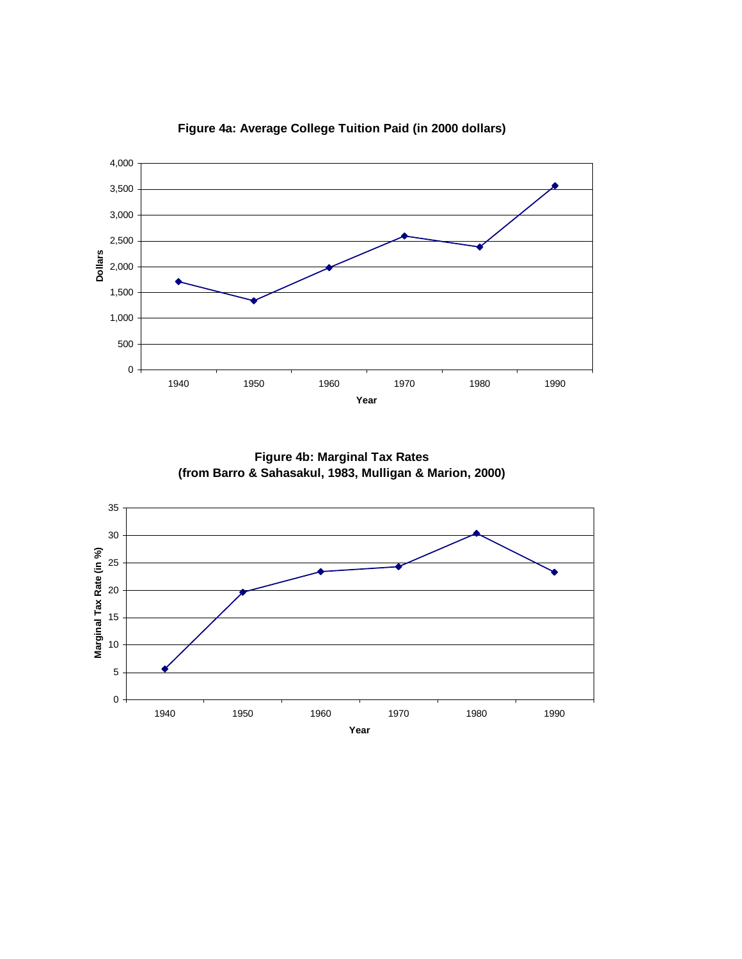

**Figure 4a: Average College Tuition Paid (in 2000 dollars)**

**Figure 4b: Marginal Tax Rates (from Barro & Sahasakul, 1983, Mulligan & Marion, 2000)**

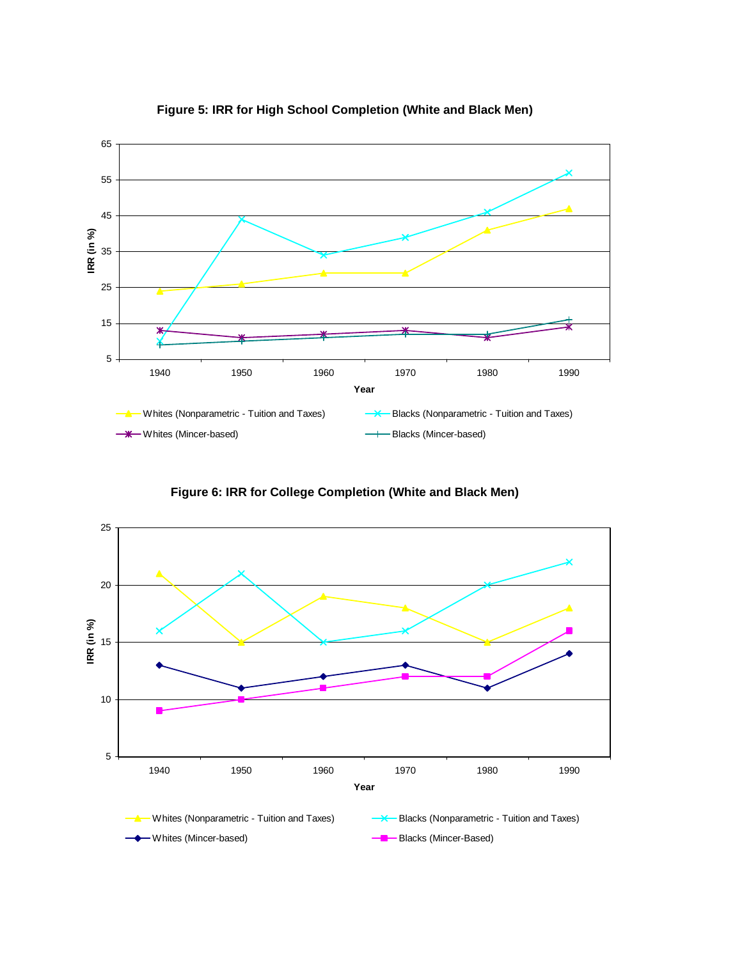

### **Figure 5: IRR for High School Completion (White and Black Men)**

**Figure 6: IRR for College Completion (White and Black Men)**

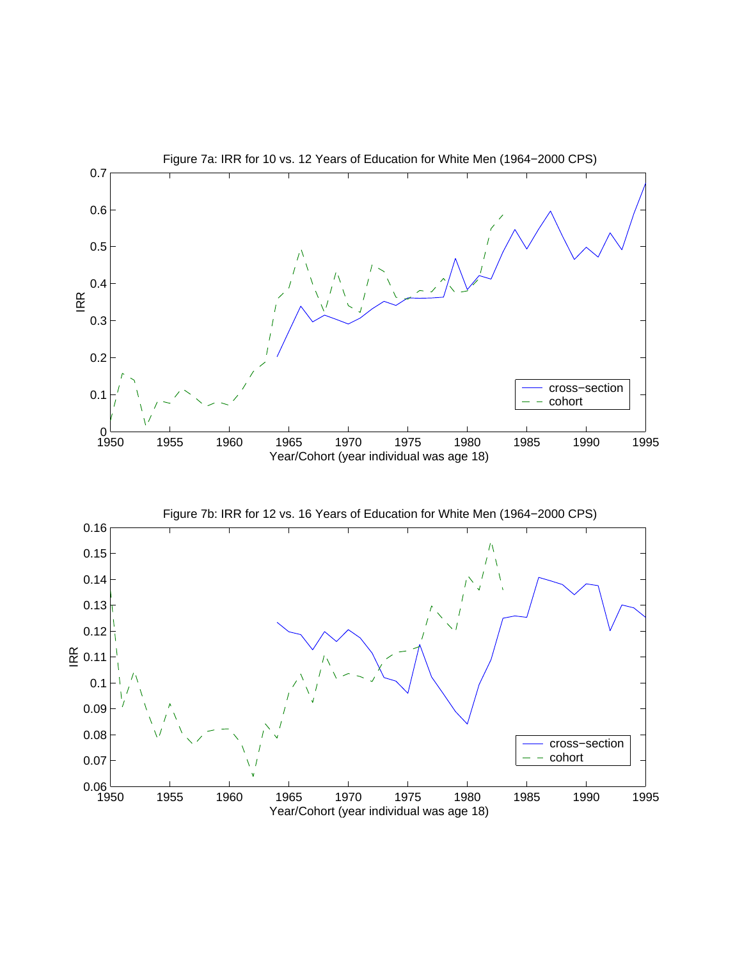